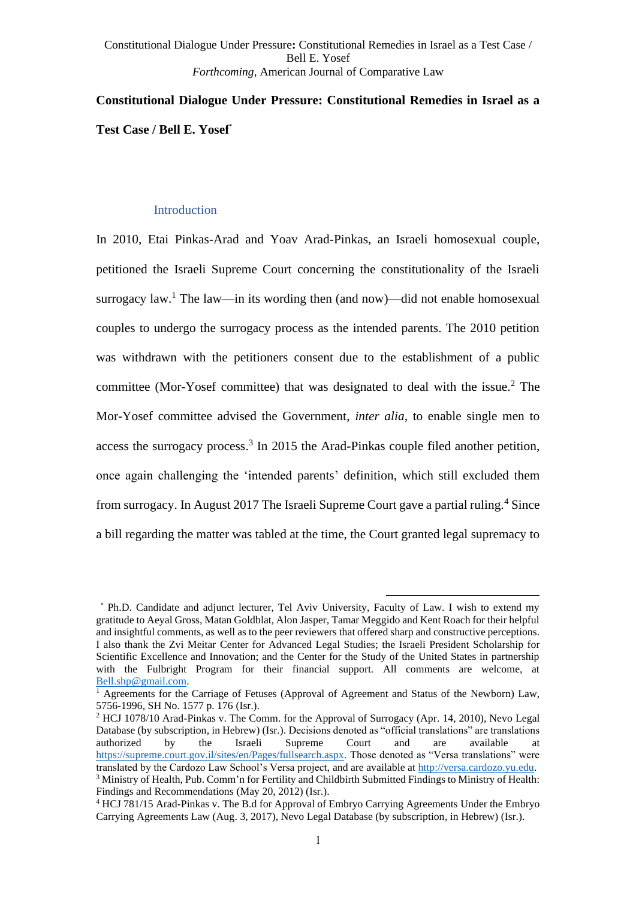# **Constitutional Dialogue Under Pressure: Constitutional Remedies in Israel as a Test Case / Bell E. Yosef**\*

## Introduction

In 2010, Etai Pinkas-Arad and Yoav Arad-Pinkas, an Israeli homosexual couple, petitioned the Israeli Supreme Court concerning the constitutionality of the Israeli surrogacy law.<sup>1</sup> The law—in its wording then (and now)—did not enable homosexual couples to undergo the surrogacy process as the intended parents. The 2010 petition was withdrawn with the petitioners consent due to the establishment of a public committee (Mor-Yosef committee) that was designated to deal with the issue.<sup>2</sup> The Mor-Yosef committee advised the Government, *inter alia*, to enable single men to access the surrogacy process. 3 In 2015 the Arad-Pinkas couple filed another petition, once again challenging the 'intended parents' definition, which still excluded them from surrogacy. In August 2017 The Israeli Supreme Court gave a partial ruling.<sup>4</sup> Since a bill regarding the matter was tabled at the time, the Court granted legal supremacy to

<sup>\*</sup> Ph.D. Candidate and adjunct lecturer, Tel Aviv University, Faculty of Law. I wish to extend my gratitude to Aeyal Gross, Matan Goldblat, Alon Jasper, Tamar Meggido and Kent Roach for their helpful and insightful comments, as well as to the peer reviewers that offered sharp and constructive perceptions. I also thank the Zvi Meitar Center for Advanced Legal Studies; the Israeli President Scholarship for Scientific Excellence and Innovation; and the Center for the Study of the United States in partnership with the Fulbright Program for their financial support. All comments are welcome, at [Bell.shp@gmail.com.](mailto:Bell.shp@gmail.com)

<sup>&</sup>lt;sup>1</sup> Agreements for the Carriage of Fetuses (Approval of Agreement and Status of the Newborn) Law, 5756-1996, SH No. 1577 p. 176 (Isr.).

<sup>&</sup>lt;sup>2</sup> HCJ 1078/10 Arad-Pinkas v. The Comm. for the Approval of Surrogacy (Apr. 14, 2010), Nevo Legal Database (by subscription, in Hebrew) (Isr.). Decisions denoted as "official translations" are translations authorized by the Israeli Supreme Court and are available at [https://supreme.court.gov.il/sites/en/Pages/fullsearch.aspx.](https://supreme.court.gov.il/sites/en/Pages/fullsearch.aspx) Those denoted as "Versa translations" were translated by the Cardozo Law School's Versa project, and are available at [http://versa.cardozo.yu.edu.](http://versa.cardozo.yu.edu/) <sup>3</sup> Ministry of Health, Pub. Comm'n for Fertility and Childbirth Submitted Findings to Ministry of Health: Findings and Recommendations (May 20, 2012) (Isr.).

<sup>4</sup> HCJ 781/15 Arad-Pinkas v. The B.d for Approval of Embryo Carrying Agreements Under the Embryo Carrying Agreements Law (Aug. 3, 2017), Nevo Legal Database (by subscription, in Hebrew) (Isr.).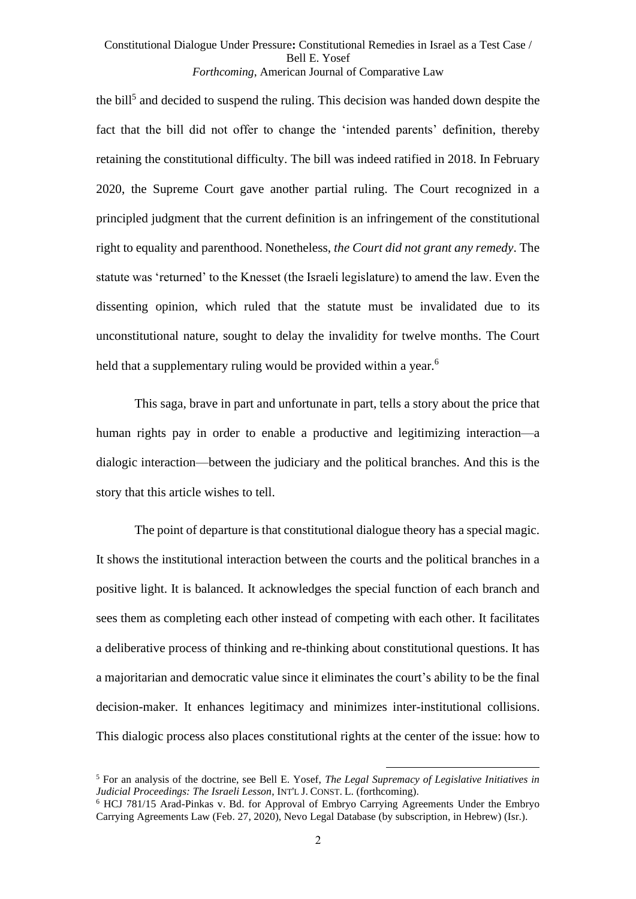<span id="page-1-0"></span>the bill<sup>5</sup> and decided to suspend the ruling. This decision was handed down despite the fact that the bill did not offer to change the 'intended parents' definition, thereby retaining the constitutional difficulty. The bill was indeed ratified in 2018. In February 2020, the Supreme Court gave another partial ruling. The Court recognized in a principled judgment that the current definition is an infringement of the constitutional right to equality and parenthood. Nonetheless, *the Court did not grant any remedy*. The statute was 'returned' to the Knesset (the Israeli legislature) to amend the law. Even the dissenting opinion, which ruled that the statute must be invalidated due to its unconstitutional nature, sought to delay the invalidity for twelve months. The Court held that a supplementary ruling would be provided within a year.<sup>6</sup>

This saga, brave in part and unfortunate in part, tells a story about the price that human rights pay in order to enable a productive and legitimizing interaction—a dialogic interaction—between the judiciary and the political branches. And this is the story that this article wishes to tell.

The point of departure is that constitutional dialogue theory has a special magic. It shows the institutional interaction between the courts and the political branches in a positive light. It is balanced. It acknowledges the special function of each branch and sees them as completing each other instead of competing with each other. It facilitates a deliberative process of thinking and re-thinking about constitutional questions. It has a majoritarian and democratic value since it eliminates the court's ability to be the final decision-maker. It enhances legitimacy and minimizes inter-institutional collisions. This dialogic process also places constitutional rights at the center of the issue: how to

<sup>5</sup> For an analysis of the doctrine, see Bell E. Yosef, *The Legal Supremacy of Legislative Initiatives in Judicial Proceedings: The Israeli Lesson*, INT'L J. CONST. L. (forthcoming).

<sup>6</sup> HCJ 781/15 Arad-Pinkas v. Bd. for Approval of Embryo Carrying Agreements Under the Embryo Carrying Agreements Law (Feb. 27, 2020), Nevo Legal Database (by subscription, in Hebrew) (Isr.).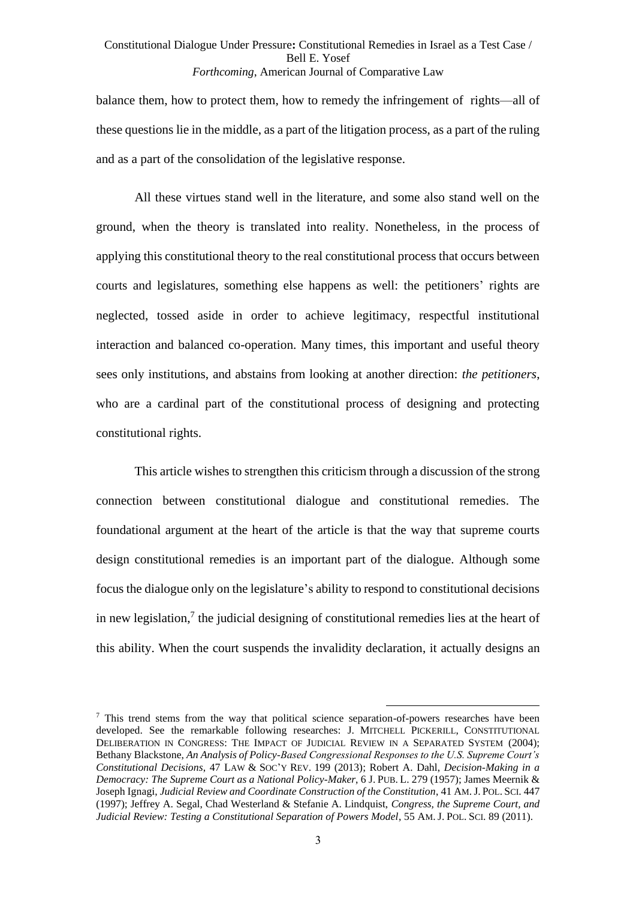balance them, how to protect them, how to remedy the infringement of rights—all of these questions lie in the middle, as a part of the litigation process, as a part of the ruling and as a part of the consolidation of the legislative response.

All these virtues stand well in the literature, and some also stand well on the ground, when the theory is translated into reality. Nonetheless, in the process of applying this constitutional theory to the real constitutional process that occurs between courts and legislatures, something else happens as well: the petitioners' rights are neglected, tossed aside in order to achieve legitimacy, respectful institutional interaction and balanced co-operation. Many times, this important and useful theory sees only institutions, and abstains from looking at another direction: *the petitioners*, who are a cardinal part of the constitutional process of designing and protecting constitutional rights.

This article wishes to strengthen this criticism through a discussion of the strong connection between constitutional dialogue and constitutional remedies. The foundational argument at the heart of the article is that the way that supreme courts design constitutional remedies is an important part of the dialogue. Although some focus the dialogue only on the legislature's ability to respond to constitutional decisions in new legislation, $\frac{7}{7}$  the judicial designing of constitutional remedies lies at the heart of this ability. When the court suspends the invalidity declaration, it actually designs an

<span id="page-2-0"></span><sup>&</sup>lt;sup>7</sup> This trend stems from the way that political science separation-of-powers researches have been developed. See the remarkable following researches: J. MITCHELL PICKERILL, CONSTITUTIONAL DELIBERATION IN CONGRESS: THE IMPACT OF JUDICIAL REVIEW IN A SEPARATED SYSTEM (2004); Bethany Blackstone, *An Analysis of Policy-Based Congressional Responses to the U.S. Supreme Court's Constitutional Decisions*, 47 LAW & SOC'Y REV. 199 (2013); Robert A. Dahl, *Decision-Making in a Democracy: The Supreme Court as a National Policy-Maker*, 6 J. PUB. L. 279 (1957); James Meernik & Joseph Ignagi, *Judicial Review and Coordinate Construction of the Constitution*, 41 AM.J. POL. SCI. 447 (1997); Jeffrey A. Segal, Chad Westerland & Stefanie A. Lindquist, *Congress, the Supreme Court, and Judicial Review: Testing a Constitutional Separation of Powers Model*, 55 AM. J. POL. SCI. 89 (2011).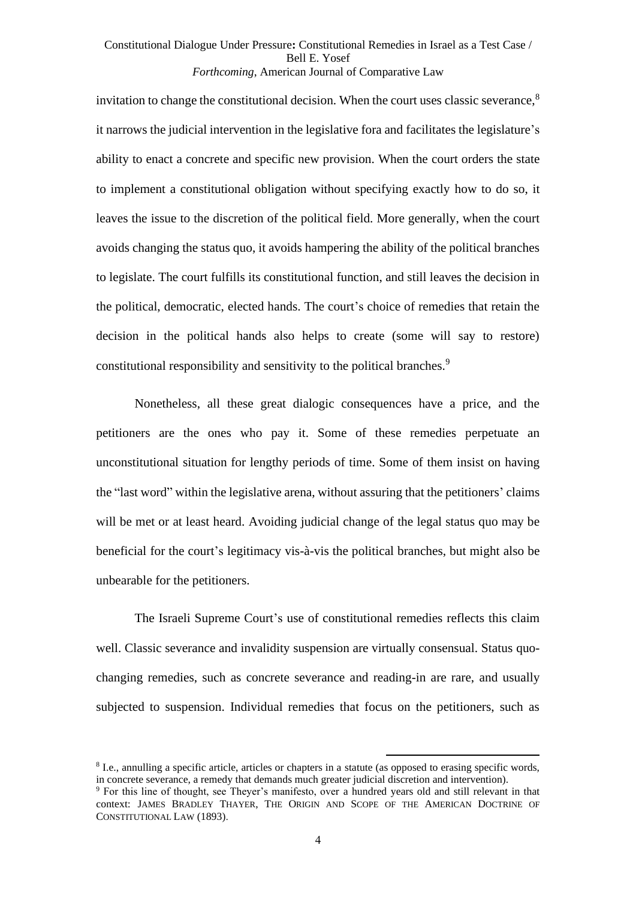invitation to change the constitutional decision. When the court uses classic severance,<sup>8</sup> it narrows the judicial intervention in the legislative fora and facilitates the legislature's ability to enact a concrete and specific new provision. When the court orders the state to implement a constitutional obligation without specifying exactly how to do so, it leaves the issue to the discretion of the political field. More generally, when the court avoids changing the status quo, it avoids hampering the ability of the political branches to legislate. The court fulfills its constitutional function, and still leaves the decision in the political, democratic, elected hands. The court's choice of remedies that retain the decision in the political hands also helps to create (some will say to restore) constitutional responsibility and sensitivity to the political branches.<sup>9</sup>

Nonetheless, all these great dialogic consequences have a price, and the petitioners are the ones who pay it. Some of these remedies perpetuate an unconstitutional situation for lengthy periods of time. Some of them insist on having the "last word" within the legislative arena, without assuring that the petitioners' claims will be met or at least heard. Avoiding judicial change of the legal status quo may be beneficial for the court's legitimacy vis-à-vis the political branches, but might also be unbearable for the petitioners.

The Israeli Supreme Court's use of constitutional remedies reflects this claim well. Classic severance and invalidity suspension are virtually consensual. Status quochanging remedies, such as concrete severance and reading-in are rare, and usually subjected to suspension. Individual remedies that focus on the petitioners, such as

<sup>&</sup>lt;sup>8</sup> I.e., annulling a specific article, articles or chapters in a statute (as opposed to erasing specific words, in concrete severance, a remedy that demands much greater judicial discretion and intervention).

<sup>9</sup> For this line of thought, see Theyer's manifesto, over a hundred years old and still relevant in that context: JAMES BRADLEY THAYER, THE ORIGIN AND SCOPE OF THE AMERICAN DOCTRINE OF CONSTITUTIONAL LAW (1893).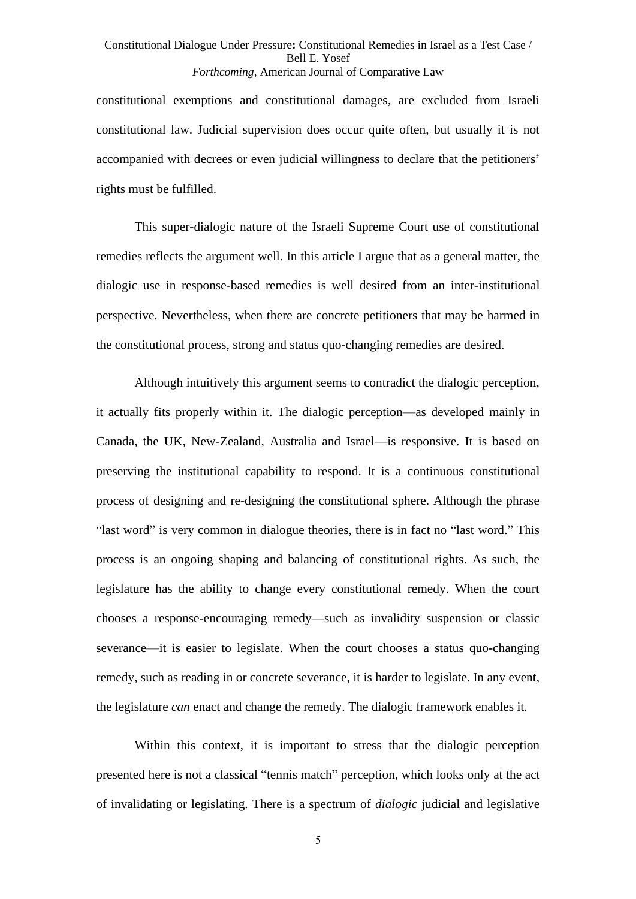constitutional exemptions and constitutional damages, are excluded from Israeli constitutional law. Judicial supervision does occur quite often, but usually it is not accompanied with decrees or even judicial willingness to declare that the petitioners' rights must be fulfilled.

This super-dialogic nature of the Israeli Supreme Court use of constitutional remedies reflects the argument well. In this article I argue that as a general matter, the dialogic use in response-based remedies is well desired from an inter-institutional perspective. Nevertheless, when there are concrete petitioners that may be harmed in the constitutional process, strong and status quo-changing remedies are desired.

Although intuitively this argument seems to contradict the dialogic perception, it actually fits properly within it. The dialogic perception—as developed mainly in Canada, the UK, New-Zealand, Australia and Israel—is responsive. It is based on preserving the institutional capability to respond. It is a continuous constitutional process of designing and re-designing the constitutional sphere. Although the phrase "last word" is very common in dialogue theories, there is in fact no "last word." This process is an ongoing shaping and balancing of constitutional rights. As such, the legislature has the ability to change every constitutional remedy. When the court chooses a response-encouraging remedy—such as invalidity suspension or classic severance—it is easier to legislate. When the court chooses a status quo-changing remedy, such as reading in or concrete severance, it is harder to legislate. In any event, the legislature *can* enact and change the remedy. The dialogic framework enables it.

Within this context, it is important to stress that the dialogic perception presented here is not a classical "tennis match" perception, which looks only at the act of invalidating or legislating. There is a spectrum of *dialogic* judicial and legislative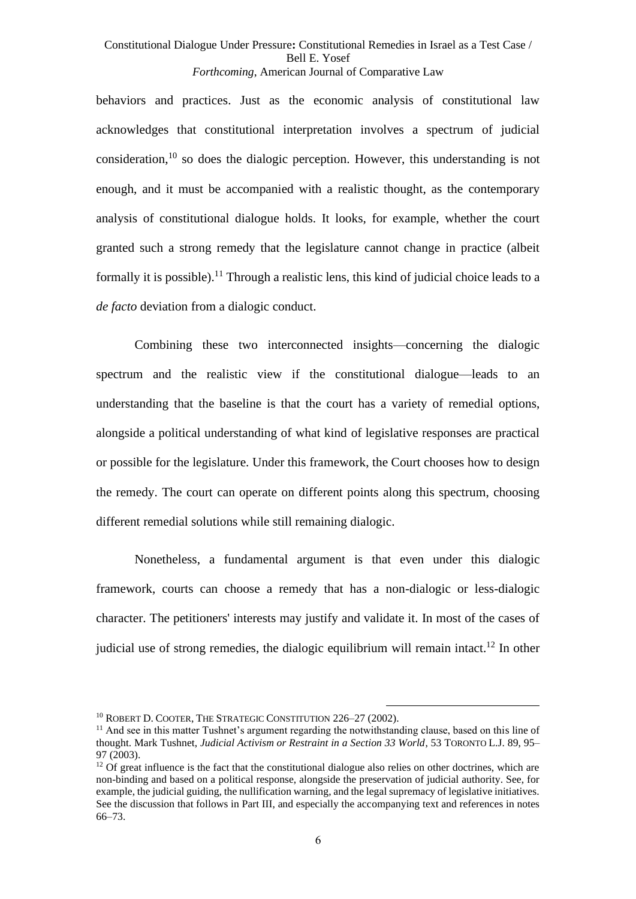behaviors and practices. Just as the economic analysis of constitutional law acknowledges that constitutional interpretation involves a spectrum of judicial consideration,<sup>10</sup> so does the dialogic perception. However, this understanding is not enough, and it must be accompanied with a realistic thought, as the contemporary analysis of constitutional dialogue holds. It looks, for example, whether the court granted such a strong remedy that the legislature cannot change in practice (albeit formally it is possible).<sup>11</sup> Through a realistic lens, this kind of judicial choice leads to a *de facto* deviation from a dialogic conduct.

Combining these two interconnected insights—concerning the dialogic spectrum and the realistic view if the constitutional dialogue—leads to an understanding that the baseline is that the court has a variety of remedial options, alongside a political understanding of what kind of legislative responses are practical or possible for the legislature. Under this framework, the Court chooses how to design the remedy. The court can operate on different points along this spectrum, choosing different remedial solutions while still remaining dialogic.

Nonetheless, a fundamental argument is that even under this dialogic framework, courts can choose a remedy that has a non-dialogic or less-dialogic character. The petitioners' interests may justify and validate it. In most of the cases of judicial use of strong remedies, the dialogic equilibrium will remain intact.<sup>12</sup> In other

<sup>&</sup>lt;sup>10</sup> ROBERT D. COOTER, THE STRATEGIC CONSTITUTION 226-27 (2002).

 $11$  And see in this matter Tushnet's argument regarding the notwithstanding clause, based on this line of thought. Mark Tushnet, *Judicial Activism or Restraint in a Section 33 World*, 53 TORONTO L.J. 89, 95– 97 (2003).

 $12$  Of great influence is the fact that the constitutional dialogue also relies on other doctrines, which are non-binding and based on a political response, alongside the preservation of judicial authority. See, for example, the judicial guiding, the nullification warning, and the legal supremacy of legislative initiatives. See the discussion that follows in Part III, and especially the accompanying text and references in notes [66](#page-20-0)[–73.](#page-21-0)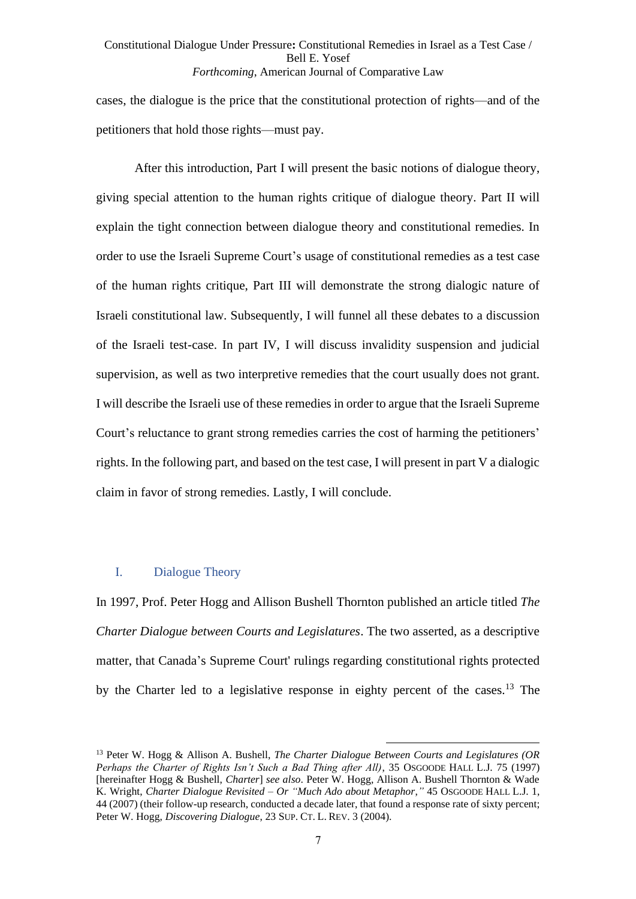cases, the dialogue is the price that the constitutional protection of rights—and of the petitioners that hold those rights—must pay.

After this introduction, Part I will present the basic notions of dialogue theory, giving special attention to the human rights critique of dialogue theory. Part II will explain the tight connection between dialogue theory and constitutional remedies. In order to use the Israeli Supreme Court's usage of constitutional remedies as a test case of the human rights critique, Part III will demonstrate the strong dialogic nature of Israeli constitutional law. Subsequently, I will funnel all these debates to a discussion of the Israeli test-case. In part IV, I will discuss invalidity suspension and judicial supervision, as well as two interpretive remedies that the court usually does not grant. I will describe the Israeli use of these remedies in order to argue that the Israeli Supreme Court's reluctance to grant strong remedies carries the cost of harming the petitioners' rights. In the following part, and based on the test case, I will present in part V a dialogic claim in favor of strong remedies. Lastly, I will conclude.

#### <span id="page-6-0"></span>I. Dialogue Theory

In 1997, Prof. Peter Hogg and Allison Bushell Thornton published an article titled *The Charter Dialogue between Courts and Legislatures*. The two asserted, as a descriptive matter, that Canada's Supreme Court' rulings regarding constitutional rights protected by the Charter led to a legislative response in eighty percent of the cases.<sup>13</sup> The

<sup>13</sup> Peter W. Hogg & Allison A. Bushell, *The Charter Dialogue Between Courts and Legislatures (OR Perhaps the Charter of Rights Isn't Such a Bad Thing after All)*, 35 OSGOODE HALL L.J. 75 (1997) [hereinafter Hogg & Bushell, *Charter*] *see also*. Peter W. Hogg, Allison A. Bushell Thornton & Wade K. Wright, *Charter Dialogue Revisited – Or "Much Ado about Metaphor*,*"* 45 OSGOODE HALL L.J. 1, 44 (2007) (their follow-up research, conducted a decade later, that found a response rate of sixty percent; Peter W. Hogg, *Discovering Dialogue*, 23 SUP. CT. L. REV. 3 (2004).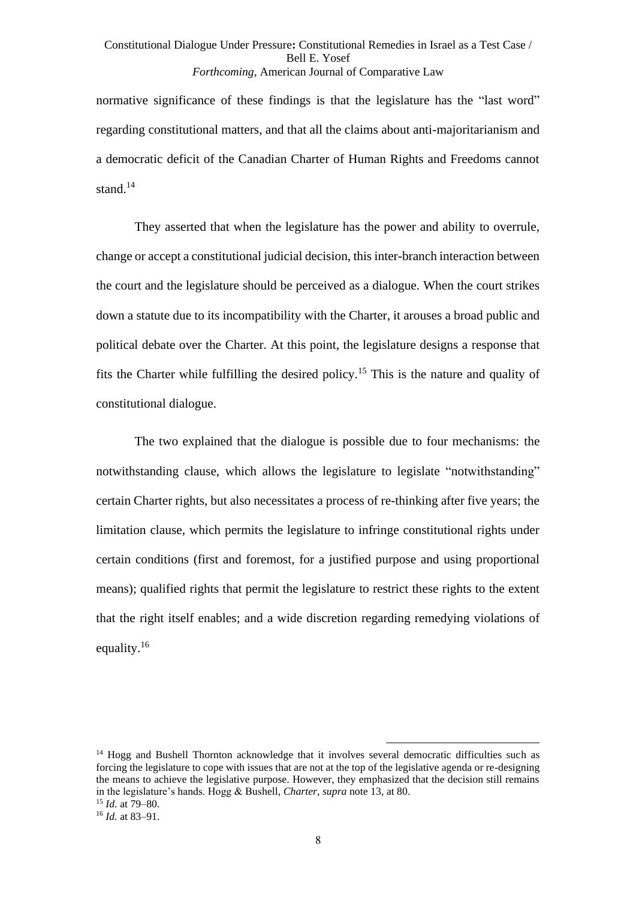normative significance of these findings is that the legislature has the "last word" regarding constitutional matters, and that all the claims about anti-majoritarianism and a democratic deficit of the Canadian Charter of Human Rights and Freedoms cannot stand. $14$ 

They asserted that when the legislature has the power and ability to overrule, change or accept a constitutional judicial decision, this inter-branch interaction between the court and the legislature should be perceived as a dialogue. When the court strikes down a statute due to its incompatibility with the Charter, it arouses a broad public and political debate over the Charter. At this point, the legislature designs a response that fits the Charter while fulfilling the desired policy.<sup>15</sup> This is the nature and quality of constitutional dialogue.

The two explained that the dialogue is possible due to four mechanisms: the notwithstanding clause, which allows the legislature to legislate "notwithstanding" certain Charter rights, but also necessitates a process of re-thinking after five years; the limitation clause, which permits the legislature to infringe constitutional rights under certain conditions (first and foremost, for a justified purpose and using proportional means); qualified rights that permit the legislature to restrict these rights to the extent that the right itself enables; and a wide discretion regarding remedying violations of equality.<sup>16</sup>

<sup>&</sup>lt;sup>14</sup> Hogg and Bushell Thornton acknowledge that it involves several democratic difficulties such as forcing the legislature to cope with issues that are not at the top of the legislative agenda or re-designing the means to achieve the legislative purpose. However, they emphasized that the decision still remains in the legislature's hands. Hogg & Bushell, *Charter*, *supra* note [13,](#page-6-0) at 80. <sup>15</sup> *Id.* at 79–80.

<sup>16</sup> *Id.* at 83–91.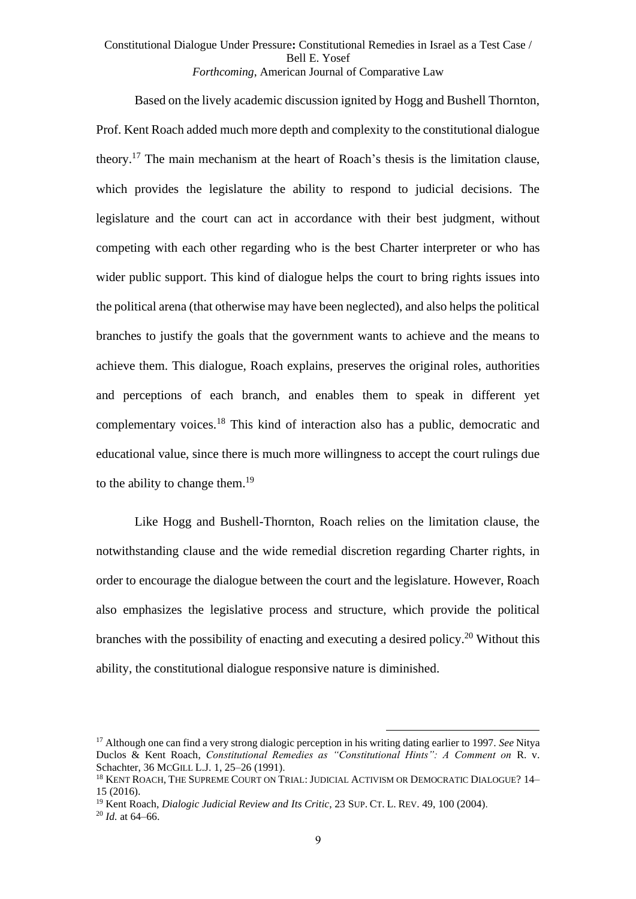<span id="page-8-1"></span>Based on the lively academic discussion ignited by Hogg and Bushell Thornton, Prof. Kent Roach added much more depth and complexity to the constitutional dialogue theory.<sup>17</sup> The main mechanism at the heart of Roach's thesis is the limitation clause, which provides the legislature the ability to respond to judicial decisions. The legislature and the court can act in accordance with their best judgment, without competing with each other regarding who is the best Charter interpreter or who has wider public support. This kind of dialogue helps the court to bring rights issues into the political arena (that otherwise may have been neglected), and also helps the political branches to justify the goals that the government wants to achieve and the means to achieve them. This dialogue, Roach explains, preserves the original roles, authorities and perceptions of each branch, and enables them to speak in different yet complementary voices.<sup>18</sup> This kind of interaction also has a public, democratic and educational value, since there is much more willingness to accept the court rulings due to the ability to change them.<sup>19</sup>

<span id="page-8-2"></span><span id="page-8-0"></span>Like Hogg and Bushell-Thornton, Roach relies on the limitation clause, the notwithstanding clause and the wide remedial discretion regarding Charter rights, in order to encourage the dialogue between the court and the legislature. However, Roach also emphasizes the legislative process and structure, which provide the political branches with the possibility of enacting and executing a desired policy.<sup>20</sup> Without this ability, the constitutional dialogue responsive nature is diminished.

<sup>17</sup> Although one can find a very strong dialogic perception in his writing dating earlier to 1997. *See* Nitya Duclos & Kent Roach, *Constitutional Remedies as "Constitutional Hints": A Comment on* R. v. Schachter, 36 MCGILL L.J. 1, 25–26 (1991).

<sup>&</sup>lt;sup>18</sup> KENT ROACH, THE SUPREME COURT ON TRIAL: JUDICIAL ACTIVISM OR DEMOCRATIC DIALOGUE? 14– 15 (2016).

<sup>&</sup>lt;sup>19</sup> Kent Roach, *Dialogic Judicial Review and Its Critic*, 23 SUP. CT. L. REV. 49, 100 (2004).

 $^{20}$  *Id.* at 64–66.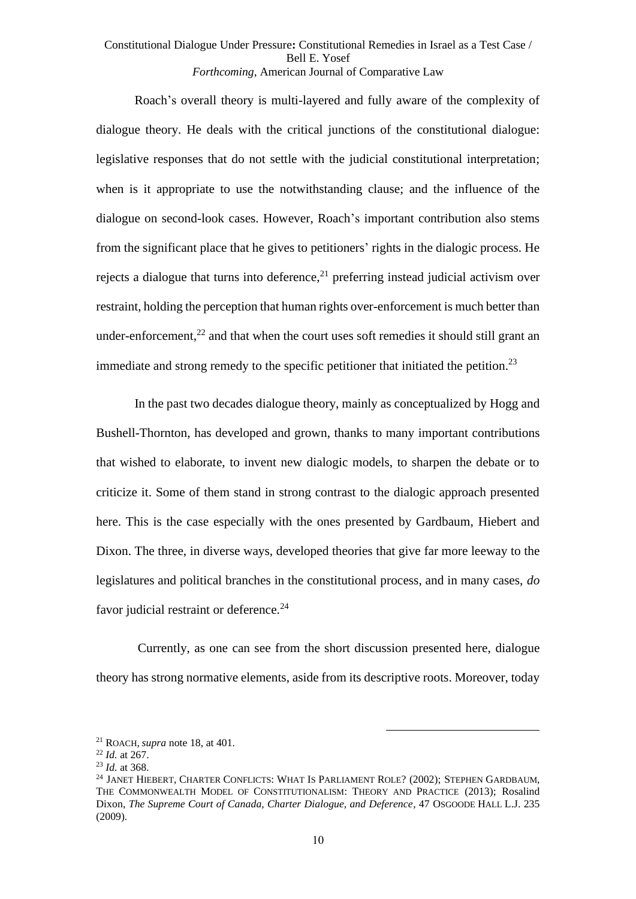Roach's overall theory is multi-layered and fully aware of the complexity of dialogue theory. He deals with the critical junctions of the constitutional dialogue: legislative responses that do not settle with the judicial constitutional interpretation; when is it appropriate to use the notwithstanding clause; and the influence of the dialogue on second-look cases. However, Roach's important contribution also stems from the significant place that he gives to petitioners' rights in the dialogic process. He rejects a dialogue that turns into deference, $21$  preferring instead judicial activism over restraint, holding the perception that human rights over-enforcement is much better than under-enforcement, $^{22}$  and that when the court uses soft remedies it should still grant an immediate and strong remedy to the specific petitioner that initiated the petition.<sup>23</sup>

In the past two decades dialogue theory, mainly as conceptualized by Hogg and Bushell-Thornton, has developed and grown, thanks to many important contributions that wished to elaborate, to invent new dialogic models, to sharpen the debate or to criticize it. Some of them stand in strong contrast to the dialogic approach presented here. This is the case especially with the ones presented by Gardbaum, Hiebert and Dixon. The three, in diverse ways, developed theories that give far more leeway to the legislatures and political branches in the constitutional process, and in many cases, *do* favor judicial restraint or deference.<sup>24</sup>

Currently, as one can see from the short discussion presented here, dialogue theory has strong normative elements, aside from its descriptive roots. Moreover, today

<sup>21</sup> ROACH, *supra* note [18,](#page-8-0) at 401.

<sup>22</sup> *Id.* at 267.

<sup>23</sup> *Id.* at 368.

<sup>&</sup>lt;sup>24</sup> JANET HIEBERT, CHARTER CONFLICTS: WHAT IS PARLIAMENT ROLE? (2002); STEPHEN GARDBAUM, THE COMMONWEALTH MODEL OF CONSTITUTIONALISM: THEORY AND PRACTICE (2013); Rosalind Dixon, *The Supreme Court of Canada, Charter Dialogue, and Deference*, 47 OSGOODE HALL L.J. 235 (2009).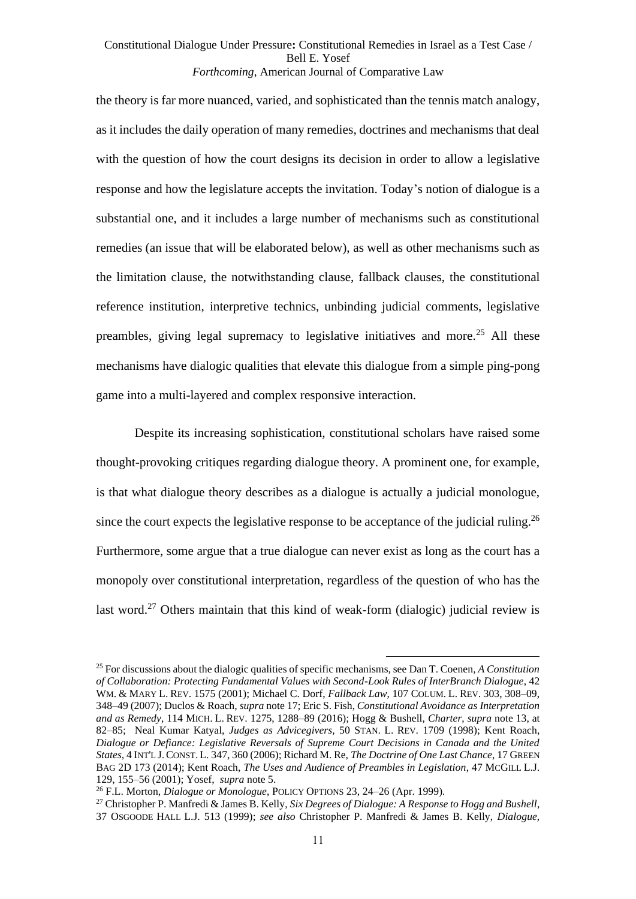the theory is far more nuanced, varied, and sophisticated than the tennis match analogy, as it includes the daily operation of many remedies, doctrines and mechanisms that deal with the question of how the court designs its decision in order to allow a legislative response and how the legislature accepts the invitation. Today's notion of dialogue is a substantial one, and it includes a large number of mechanisms such as constitutional remedies (an issue that will be elaborated below), as well as other mechanisms such as the limitation clause, the notwithstanding clause, fallback clauses, the constitutional reference institution, interpretive technics, unbinding judicial comments, legislative preambles, giving legal supremacy to legislative initiatives and more.<sup>25</sup> All these mechanisms have dialogic qualities that elevate this dialogue from a simple ping-pong game into a multi-layered and complex responsive interaction.

<span id="page-10-1"></span><span id="page-10-0"></span>Despite its increasing sophistication, constitutional scholars have raised some thought-provoking critiques regarding dialogue theory. A prominent one, for example, is that what dialogue theory describes as a dialogue is actually a judicial monologue, since the court expects the legislative response to be acceptance of the judicial ruling.<sup>26</sup> Furthermore, some argue that a true dialogue can never exist as long as the court has a monopoly over constitutional interpretation, regardless of the question of who has the last word.<sup>27</sup> Others maintain that this kind of weak-form (dialogic) judicial review is

<span id="page-10-2"></span><sup>25</sup> For discussions about the dialogic qualities of specific mechanisms, see Dan T. Coenen, *A Constitution of Collaboration: Protecting Fundamental Values with Second-Look Rules of InterBranch Dialogue*, 42 WM. & MARY L. REV. 1575 (2001); Michael C. Dorf, *Fallback Law*, 107 COLUM. L. REV. 303, 308–09, 348–49 (2007); Duclos & Roach, *supra* not[e 17;](#page-8-1) Eric S. Fish, *Constitutional Avoidance as Interpretation and as Remedy*, 114 MICH. L. REV. 1275, 1288–89 (2016); Hogg & Bushell, *Charter*, *supra* note [13,](#page-6-0) at 82–85; Neal Kumar Katyal, *Judges as Advicegivers*, 50 STAN. L. REV. 1709 (1998); Kent Roach, *Dialogue or Defiance: Legislative Reversals of Supreme Court Decisions in Canada and the United States*, 4 INT'L J.CONST. L. 347, 360 (2006); Richard M. Re, *The Doctrine of One Last Chance*, 17 GREEN BAG 2D 173 (2014); Kent Roach, *The Uses and Audience of Preambles in Legislation*, 47 MCGILL L.J. 129, 155–56 (2001); Yosef, *supra* note [5.](#page-1-0)

<sup>26</sup> F.L. Morton, *Dialogue or Monologue*, POLICY OPTIONS 23, 24–26 (Apr. 1999) .

<sup>27</sup> Christopher P. Manfredi & James B. Kelly, *Six Degrees of Dialogue: A Response to Hogg and Bushell*, 37 OSGOODE HALL L.J. 513 (1999); *see also* Christopher P. Manfredi & James B. Kelly, *Dialogue,*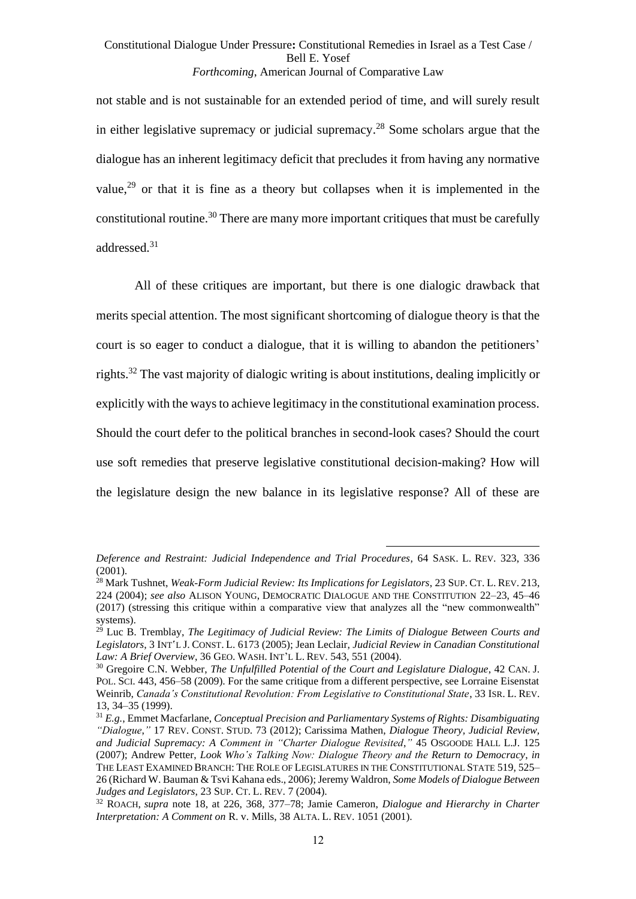<span id="page-11-2"></span><span id="page-11-1"></span>not stable and is not sustainable for an extended period of time, and will surely result in either legislative supremacy or judicial supremacy. <sup>28</sup> Some scholars argue that the dialogue has an inherent legitimacy deficit that precludes it from having any normative value, <sup>29</sup> or that it is fine as a theory but collapses when it is implemented in the constitutional routine.<sup>30</sup> There are many more important critiques that must be carefully addressed.<sup>31</sup>

<span id="page-11-0"></span>All of these critiques are important, but there is one dialogic drawback that merits special attention. The most significant shortcoming of dialogue theory is that the court is so eager to conduct a dialogue, that it is willing to abandon the petitioners' rights.<sup>32</sup> The vast majority of dialogic writing is about institutions, dealing implicitly or explicitly with the ways to achieve legitimacy in the constitutional examination process. Should the court defer to the political branches in second-look cases? Should the court use soft remedies that preserve legislative constitutional decision-making? How will the legislature design the new balance in its legislative response? All of these are

*Deference and Restraint: Judicial Independence and Trial Procedures*, 64 SASK. L. REV. 323, 336 (2001).

<sup>28</sup> Mark Tushnet, *Weak-Form Judicial Review: Its Implications for Legislators*, 23 SUP. CT. L. REV. 213, 224 (2004); *see also* ALISON YOUNG, DEMOCRATIC DIALOGUE AND THE CONSTITUTION 22–23, 45–46 (2017) (stressing this critique within a comparative view that analyzes all the "new commonwealth" systems).

<sup>29</sup> Luc B. Tremblay, *The Legitimacy of Judicial Review: The Limits of Dialogue Between Courts and Legislators*, 3 INT'L J. CONST. L. 6173 (2005); Jean Leclair, *Judicial Review in Canadian Constitutional*  Law: A Brief Overview, 36 GEO. WASH. INT'L L. REV. 543, 551 (2004).

<sup>30</sup> Gregoire C.N. Webber, *The Unfulfilled Potential of the Court and Legislature Dialogue*, 42 CAN. J. POL. SCI. 443, 456–58 (2009). For the same critique from a different perspective, see Lorraine Eisenstat Weinrib, *Canada's Constitutional Revolution: From Legislative to Constitutional State*, 33 ISR. L. REV. 13, 34–35 (1999).

<sup>31</sup> *E.g.*, Emmet Macfarlane, *Conceptual Precision and Parliamentary Systems of Rights: Disambiguating "Dialogue*,*"* 17 REV. CONST. STUD. 73 (2012); Carissima Mathen, *Dialogue Theory, Judicial Review, and Judicial Supremacy: A Comment in "Charter Dialogue Revisited*,*"* 45 OSGOODE HALL L.J. 125 (2007); Andrew Petter, *Look Who's Talking Now: Dialogue Theory and the Return to Democracy*, *in* THE LEAST EXAMINED BRANCH: THE ROLE OF LEGISLATURES IN THE CONSTITUTIONAL STATE 519, 525– 26 (Richard W. Bauman & Tsvi Kahana eds., 2006); Jeremy Waldron, *Some Models of Dialogue Between Judges and Legislators*, 23 SUP. CT. L. REV. 7 (2004).

<sup>32</sup> ROACH, *supra* note [18,](#page-8-0) at 226, 368, 377–78; Jamie Cameron, *Dialogue and Hierarchy in Charter Interpretation: A Comment on* R. v. Mills, 38 ALTA. L. REV. 1051 (2001).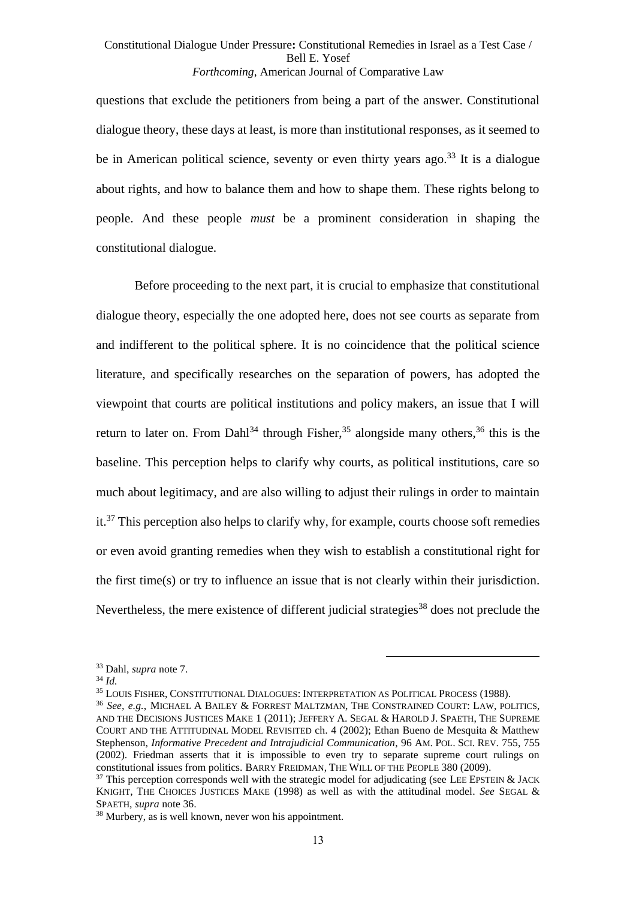questions that exclude the petitioners from being a part of the answer. Constitutional dialogue theory, these days at least, is more than institutional responses, as it seemed to be in American political science, seventy or even thirty years ago.<sup>33</sup> It is a dialogue about rights, and how to balance them and how to shape them. These rights belong to people. And these people *must* be a prominent consideration in shaping the constitutional dialogue.

<span id="page-12-2"></span><span id="page-12-0"></span>Before proceeding to the next part, it is crucial to emphasize that constitutional dialogue theory, especially the one adopted here, does not see courts as separate from and indifferent to the political sphere. It is no coincidence that the political science literature, and specifically researches on the separation of powers, has adopted the viewpoint that courts are political institutions and policy makers, an issue that I will return to later on. From Dahl<sup>34</sup> through Fisher,<sup>35</sup> alongside many others,<sup>36</sup> this is the baseline. This perception helps to clarify why courts, as political institutions, care so much about legitimacy, and are also willing to adjust their rulings in order to maintain  $it.^{37}$  This perception also helps to clarify why, for example, courts choose soft remedies or even avoid granting remedies when they wish to establish a constitutional right for the first time(s) or try to influence an issue that is not clearly within their jurisdiction. Nevertheless, the mere existence of different judicial strategies<sup>38</sup> does not preclude the

<sup>38</sup> Murbery, as is well known, never won his appointment.

<span id="page-12-1"></span><sup>33</sup> Dahl, *supra* not[e 7.](#page-2-0)

<sup>34</sup> *Id.*

<sup>35</sup> LOUIS FISHER, CONSTITUTIONAL DIALOGUES: INTERPRETATION AS POLITICAL PROCESS (1988).

<sup>36</sup> *See, e.g.*, MICHAEL A BAILEY & FORREST MALTZMAN, THE CONSTRAINED COURT: LAW, POLITICS, AND THE DECISIONS JUSTICES MAKE 1 (2011); JEFFERY A. SEGAL & HAROLD J. SPAETH, THE SUPREME COURT AND THE ATTITUDINAL MODEL REVISITED ch. 4 (2002); Ethan Bueno de Mesquita & Matthew Stephenson, *Informative Precedent and Intrajudicial Communication*, 96 AM. POL. SCI. REV. 755, 755 (2002). Friedman asserts that it is impossible to even try to separate supreme court rulings on constitutional issues from politics. BARRY FREIDMAN, THE WILL OF THE PEOPLE 380 (2009).

 $37$  This perception corresponds well with the strategic model for adjudicating (see LEE EPSTEIN & JACK) KNIGHT, THE CHOICES JUSTICES MAKE (1998) as well as with the attitudinal model. *See* SEGAL & SPAETH, *supra* note [36.](#page-12-0)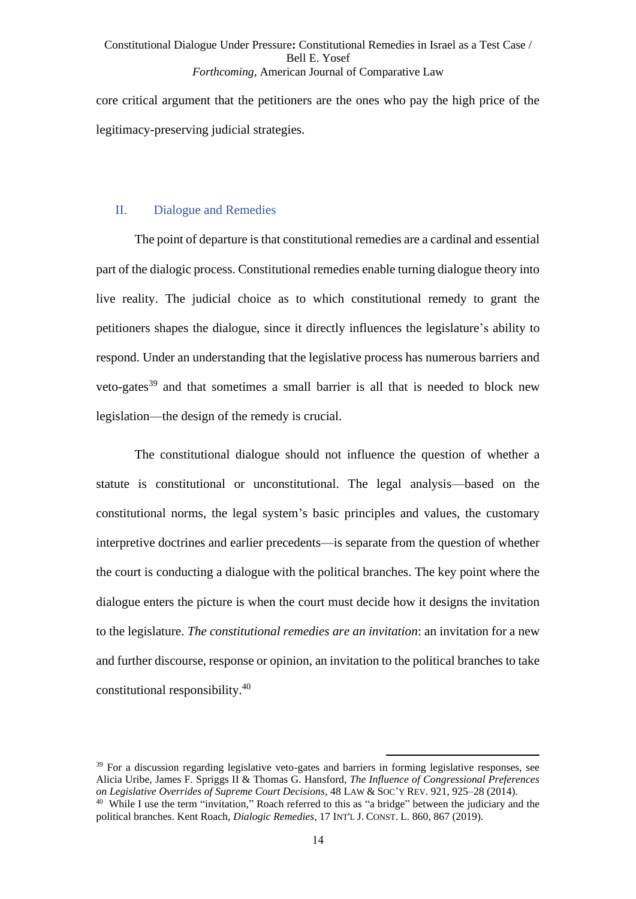core critical argument that the petitioners are the ones who pay the high price of the legitimacy-preserving judicial strategies.

#### II. Dialogue and Remedies

The point of departure is that constitutional remedies are a cardinal and essential part of the dialogic process. Constitutional remedies enable turning dialogue theory into live reality. The judicial choice as to which constitutional remedy to grant the petitioners shapes the dialogue, since it directly influences the legislature's ability to respond. Under an understanding that the legislative process has numerous barriers and veto-gates <sup>39</sup> and that sometimes a small barrier is all that is needed to block new legislation—the design of the remedy is crucial.

The constitutional dialogue should not influence the question of whether a statute is constitutional or unconstitutional. The legal analysis—based on the constitutional norms, the legal system's basic principles and values, the customary interpretive doctrines and earlier precedents—is separate from the question of whether the court is conducting a dialogue with the political branches. The key point where the dialogue enters the picture is when the court must decide how it designs the invitation to the legislature. *The constitutional remedies are an invitation*: an invitation for a new and further discourse, response or opinion, an invitation to the political branches to take constitutional responsibility.<sup>40</sup>

<span id="page-13-0"></span> $39$  For a discussion regarding legislative veto-gates and barriers in forming legislative responses, see Alicia Uribe, James F. Spriggs II & Thomas G. Hansford, *The Influence of Congressional Preferences on Legislative Overrides of Supreme Court Decisions*, 48 LAW & SOC'Y REV. 921, 925–28 (2014). <sup>40</sup> While I use the term "invitation," Roach referred to this as "a bridge" between the judiciary and the

political branches. Kent Roach, *Dialogic Remedies*, 17 INT'L J. CONST. L. 860, 867 (2019).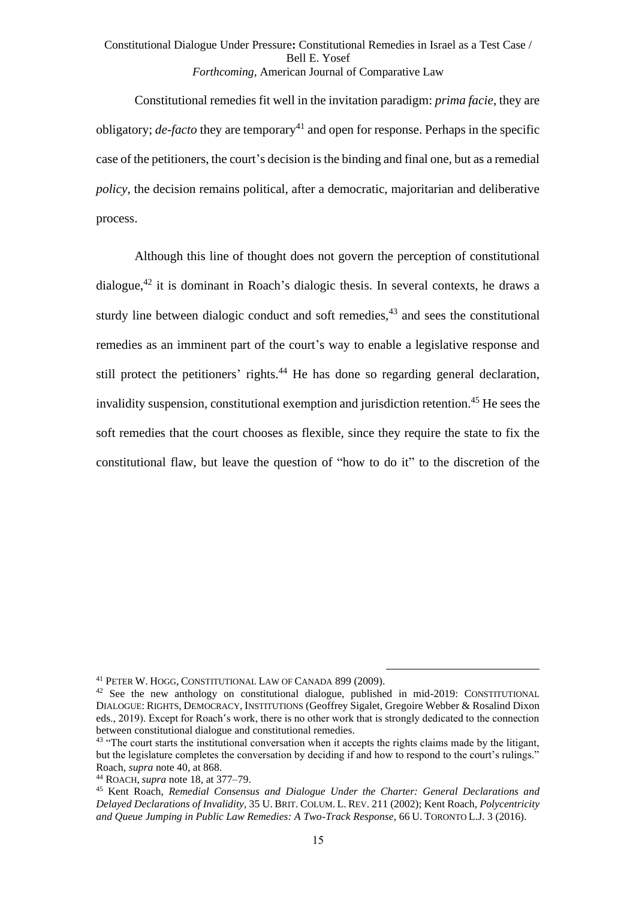<span id="page-14-0"></span>Constitutional remedies fit well in the invitation paradigm: *prima facie*, they are obligatory; *de-facto* they are temporary<sup>41</sup> and open for response. Perhaps in the specific case of the petitioners, the court's decision is the binding and final one, but as a remedial *policy*, the decision remains political, after a democratic, majoritarian and deliberative process.

<span id="page-14-1"></span>Although this line of thought does not govern the perception of constitutional dialogue, $42$  it is dominant in Roach's dialogic thesis. In several contexts, he draws a sturdy line between dialogic conduct and soft remedies, $43$  and sees the constitutional remedies as an imminent part of the court's way to enable a legislative response and still protect the petitioners' rights.<sup>44</sup> He has done so regarding general declaration, invalidity suspension, constitutional exemption and jurisdiction retention.<sup>45</sup> He sees the soft remedies that the court chooses as flexible, since they require the state to fix the constitutional flaw, but leave the question of "how to do it" to the discretion of the

<sup>41</sup> PETER W. HOGG, CONSTITUTIONAL LAW OF CANADA 899 (2009).

 $42$  See the new anthology on constitutional dialogue, published in mid-2019: CONSTITUTIONAL DIALOGUE: RIGHTS, DEMOCRACY, INSTITUTIONS (Geoffrey Sigalet, Gregoire Webber & Rosalind Dixon eds., 2019). Except for Roach's work, there is no other work that is strongly dedicated to the connection between constitutional dialogue and constitutional remedies.

<sup>&</sup>lt;sup>43</sup> "The court starts the institutional conversation when it accepts the rights claims made by the litigant, but the legislature completes the conversation by deciding if and how to respond to the court's rulings." Roach, *supra* not[e 40,](#page-13-0) at 868.

<sup>44</sup> ROACH, *supra* note [18,](#page-8-0) at 377–79.

<sup>45</sup> Kent Roach, *Remedial Consensus and Dialogue Under the Charter: General Declarations and Delayed Declarations of Invalidity*, 35 U. BRIT. COLUM. L. REV. 211 (2002); Kent Roach, *Polycentricity and Queue Jumping in Public Law Remedies: A Two-Track Response*, 66 U. TORONTO L.J. 3 (2016).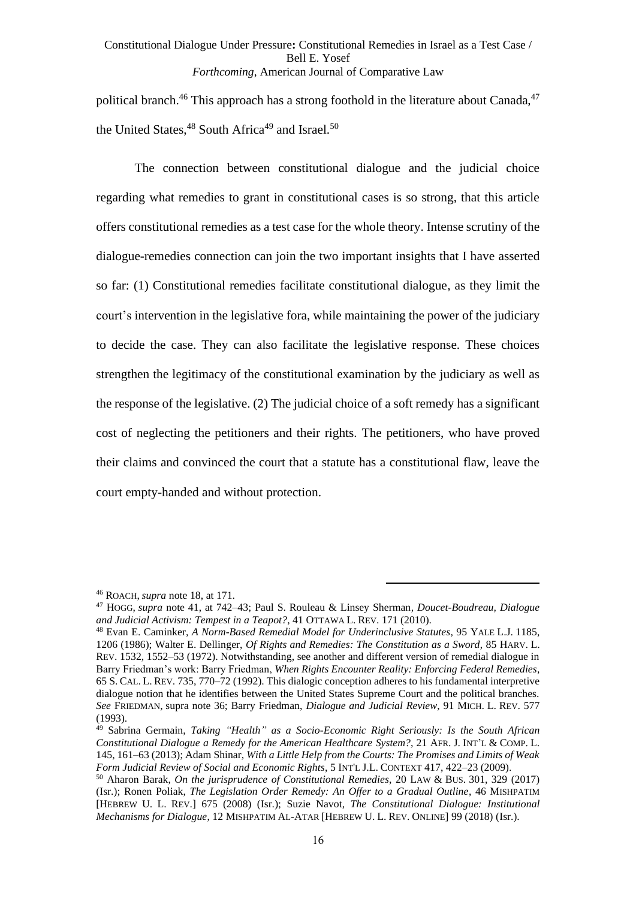<span id="page-15-2"></span><span id="page-15-1"></span><span id="page-15-0"></span>political branch.<sup>46</sup> This approach has a strong foothold in the literature about Canada,<sup>47</sup> the United States,  $48$  South Africa<sup>49</sup> and Israel.<sup>50</sup>

The connection between constitutional dialogue and the judicial choice regarding what remedies to grant in constitutional cases is so strong, that this article offers constitutional remedies as a test case for the whole theory. Intense scrutiny of the dialogue-remedies connection can join the two important insights that I have asserted so far: (1) Constitutional remedies facilitate constitutional dialogue, as they limit the court's intervention in the legislative fora, while maintaining the power of the judiciary to decide the case. They can also facilitate the legislative response. These choices strengthen the legitimacy of the constitutional examination by the judiciary as well as the response of the legislative. (2) The judicial choice of a soft remedy has a significant cost of neglecting the petitioners and their rights. The petitioners, who have proved their claims and convinced the court that a statute has a constitutional flaw, leave the court empty-handed and without protection.

<sup>46</sup> ROACH, *supra* note [18,](#page-8-0) at 171.

<sup>47</sup> HOGG, *supra* note [41,](#page-14-0) at 742–43; Paul S. Rouleau & Linsey Sherman*, Doucet-Boudreau, Dialogue and Judicial Activism: Tempest in a Teapot?*, 41 OTTAWA L. REV. 171 (2010).

<sup>48</sup> Evan E. Caminker, *A Norm-Based Remedial Model for Underinclusive Statutes*, 95 YALE L.J. 1185, 1206 (1986); Walter E. Dellinger, *Of Rights and Remedies: The Constitution as a Sword*, 85 HARV. L. REV. 1532, 1552–53 (1972). Notwithstanding, see another and different version of remedial dialogue in Barry Friedman's work: Barry Friedman, *When Rights Encounter Reality: Enforcing Federal Remedies*, 65 S. CAL. L. REV. 735, 770–72 (1992). This dialogic conception adheres to his fundamental interpretive dialogue notion that he identifies between the United States Supreme Court and the political branches. *See* FRIEDMAN, supra note [36;](#page-12-0) Barry Friedman, *Dialogue and Judicial Review*, 91 MICH. L. REV. 577 (1993).

<sup>49</sup> Sabrina Germain, *Taking "Health" as a Socio-Economic Right Seriously: Is the South African Constitutional Dialogue a Remedy for the American Healthcare System?*, 21 AFR. J. INT'L & COMP. L. 145, 161–63 (2013); Adam Shinar, *With a Little Help from the Courts: The Promises and Limits of Weak Form Judicial Review of Social and Economic Rights*, 5 INT'L J.L. CONTEXT 417, 422–23 (2009) .

<sup>50</sup> Aharon Barak, *On the jurisprudence of Constitutional Remedies*, 20 LAW & BUS. 301, 329 (2017) (Isr.); Ronen Poliak, *The Legislation Order Remedy: An Offer to a Gradual Outline*, 46 MISHPATIM [HEBREW U. L. REV.] 675 (2008) (Isr.); Suzie Navot, *The Constitutional Dialogue: Institutional Mechanisms for Dialogue*, 12 MISHPATIM AL-ATAR [HEBREW U. L. REV. ONLINE] 99 (2018) (Isr.).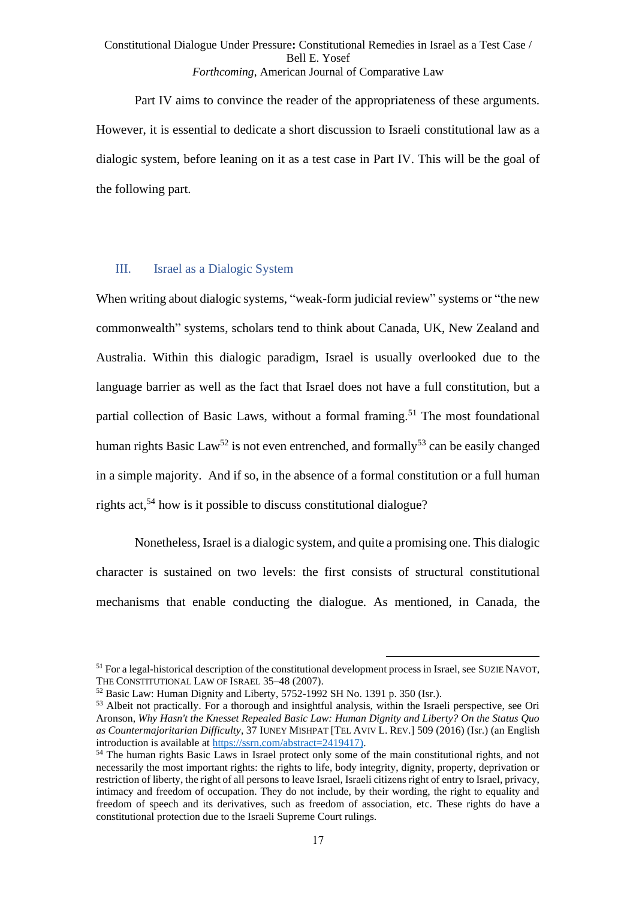Part IV aims to convince the reader of the appropriateness of these arguments. However, it is essential to dedicate a short discussion to Israeli constitutional law as a dialogic system, before leaning on it as a test case in Part IV. This will be the goal of the following part.

#### III. Israel as a Dialogic System

When writing about dialogic systems, "weak-form judicial review" systems or "the new commonwealth" systems, scholars tend to think about Canada, UK, New Zealand and Australia. Within this dialogic paradigm, Israel is usually overlooked due to the language barrier as well as the fact that Israel does not have a full constitution, but a partial collection of Basic Laws, without a formal framing.<sup>51</sup> The most foundational human rights Basic Law<sup>52</sup> is not even entrenched, and formally<sup>53</sup> can be easily changed in a simple majority. And if so, in the absence of a formal constitution or a full human rights act, <sup>54</sup> how is it possible to discuss constitutional dialogue?

Nonetheless, Israel is a dialogic system, and quite a promising one. This dialogic character is sustained on two levels: the first consists of structural constitutional mechanisms that enable conducting the dialogue. As mentioned, in Canada, the

<sup>&</sup>lt;sup>51</sup> For a legal-historical description of the constitutional development process in Israel, see SUZIE NAVOT, THE CONSTITUTIONAL LAW OF ISRAEL 35–48 (2007).

<sup>52</sup> Basic Law: Human Dignity and Liberty, 5752-1992 SH No. 1391 p. 350 (Isr.).

<sup>&</sup>lt;sup>53</sup> Albeit not practically. For a thorough and insightful analysis, within the Israeli perspective, see Ori Aronson, *Why Hasn't the Knesset Repealed Basic Law: Human Dignity and Liberty? On the Status Quo as Countermajoritarian Difficulty*, 37 IUNEY MISHPAT [TEL AVIV L. REV.] 509 (2016) (Isr.) (an English introduction is available at [https://ssrn.com/abstract=2419417\)](https://ssrn.com/abstract=2419417).

<sup>54</sup> The human rights Basic Laws in Israel protect only some of the main constitutional rights, and not necessarily the most important rights: the rights to life, body integrity, dignity, property, deprivation or restriction of liberty, the right of all persons to leave Israel, Israeli citizens right of entry to Israel, privacy, intimacy and freedom of occupation. They do not include, by their wording, the right to equality and freedom of speech and its derivatives, such as freedom of association, etc. These rights do have a constitutional protection due to the Israeli Supreme Court rulings.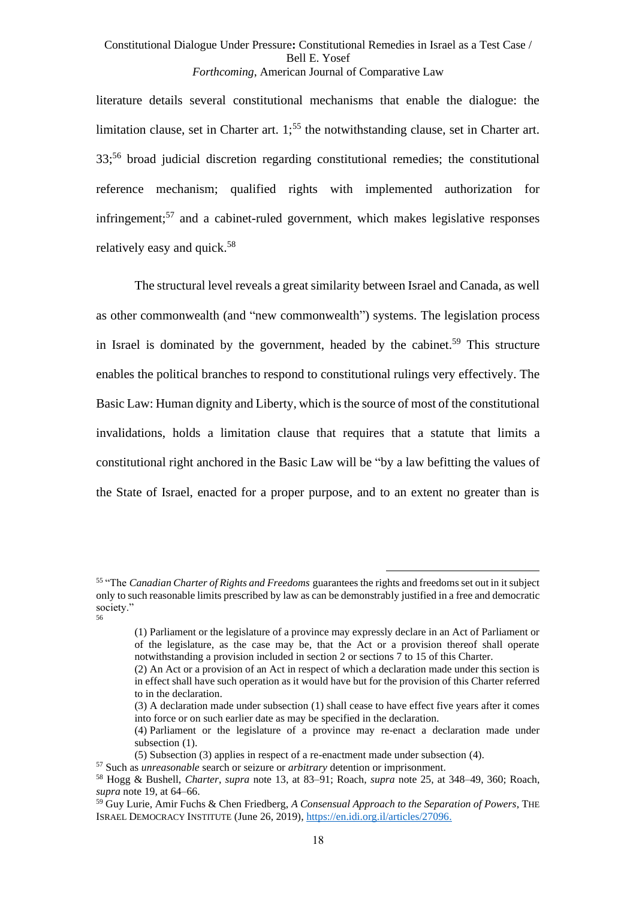literature details several constitutional mechanisms that enable the dialogue: the limitation clause, set in Charter art.  $1^{55}$ ; the notwithstanding clause, set in Charter art. 33;<sup>56</sup> broad judicial discretion regarding constitutional remedies; the constitutional reference mechanism; qualified rights with implemented authorization for infringement; <sup>57</sup> and a cabinet-ruled government, which makes legislative responses relatively easy and quick.<sup>58</sup>

The structural level reveals a great similarity between Israel and Canada, as well as other commonwealth (and "new commonwealth") systems. The legislation process in Israel is dominated by the government, headed by the cabinet.<sup>59</sup> This structure enables the political branches to respond to constitutional rulings very effectively. The Basic Law: Human dignity and Liberty, which is the source of most of the constitutional invalidations, holds a limitation clause that requires that a statute that limits a constitutional right anchored in the Basic Law will be "by a law befitting the values of the State of Israel, enacted for a proper purpose, and to an extent no greater than is

<sup>55</sup> "The *Canadian Charter of Rights and Freedoms* guarantees the rights and freedoms set out in it subject only to such reasonable limits prescribed by law as can be demonstrably justified in a free and democratic society." 56

<sup>(1)</sup> Parliament or the legislature of a province may expressly declare in an Act of Parliament or of the legislature, as the case may be, that the Act or a provision thereof shall operate notwithstanding a provision included in section 2 or sections 7 to 15 of this Charter.

<sup>(2)</sup> An Act or a provision of an Act in respect of which a declaration made under this section is in effect shall have such operation as it would have but for the provision of this Charter referred to in the declaration.

<sup>(3)</sup> A declaration made under subsection (1) shall cease to have effect five years after it comes into force or on such earlier date as may be specified in the declaration.

<sup>(4)</sup> Parliament or the legislature of a province may re-enact a declaration made under subsection  $(1)$ .

<sup>(5)</sup> Subsection (3) applies in respect of a re-enactment made under subsection (4).

<sup>57</sup> Such as *unreasonable* search or seizure or *arbitrary* detention or imprisonment.

<sup>58</sup> Hogg & Bushell, *Charter*, *supra* note [13,](#page-6-0) at 83–91; Roach, *supra* note [25,](#page-10-0) at 348–49, 360; Roach, *supra* note [19,](#page-8-2) at 64–66.

<sup>59</sup> Guy Lurie, Amir Fuchs & Chen Friedberg, *A Consensual Approach to the Separation of Powers*, THE ISRAEL DEMOCRACY INSTITUTE (June 26, 2019), [https://en.idi.org.il/articles/27096.](https://en.idi.org.il/articles/27096)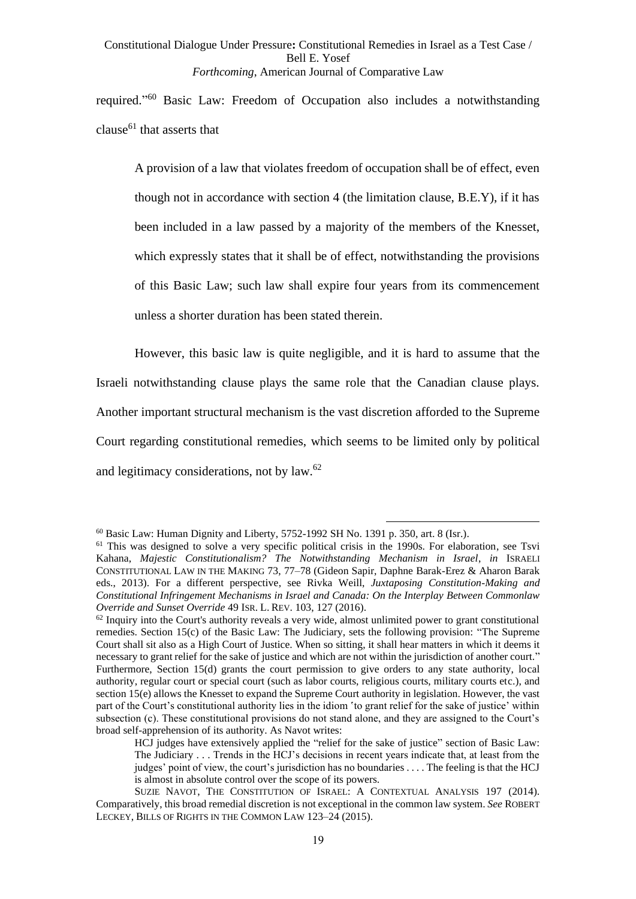required." <sup>60</sup> Basic Law: Freedom of Occupation also includes a notwithstanding clause<sup>61</sup> that asserts that

A provision of a law that violates freedom of occupation shall be of effect, even though not in accordance with section 4 (the limitation clause, B.E.Y), if it has been included in a law passed by a majority of the members of the Knesset, which expressly states that it shall be of effect, notwithstanding the provisions of this Basic Law; such law shall expire four years from its commencement unless a shorter duration has been stated therein.

However, this basic law is quite negligible, and it is hard to assume that the Israeli notwithstanding clause plays the same role that the Canadian clause plays. Another important structural mechanism is the vast discretion afforded to the Supreme Court regarding constitutional remedies, which seems to be limited only by political and legitimacy considerations, not by law.<sup>62</sup>

<span id="page-18-0"></span> $60$  Basic Law: Human Dignity and Liberty, 5752-1992 SH No. 1391 p. 350, art. 8 (Isr.).

<sup>&</sup>lt;sup>61</sup> This was designed to solve a very specific political crisis in the 1990s. For elaboration, see Tsvi Kahana, *Majestic Constitutionalism? The Notwithstanding Mechanism in Israel*, *in* ISRAELI CONSTITUTIONAL LAW IN THE MAKING 73, 77–78 (Gideon Sapir, Daphne Barak-Erez & Aharon Barak eds., 2013). For a different perspective, see Rivka Weill, *Juxtaposing Constitution-Making and Constitutional Infringement Mechanisms in Israel and Canada: On the Interplay Between Commonlaw Override and Sunset Override* 49 ISR. L. REV. 103, 127 (2016).

 $62$  Inquiry into the Court's authority reveals a very wide, almost unlimited power to grant constitutional remedies. Section 15(c) of the Basic Law: The Judiciary, sets the following provision: "The Supreme Court shall sit also as a High Court of Justice. When so sitting, it shall hear matters in which it deems it necessary to grant relief for the sake of justice and which are not within the jurisdiction of another court." Furthermore, Section 15(d) grants the court permission to give orders to any state authority, local authority, regular court or special court (such as labor courts, religious courts, military courts etc.), and section 15(e) allows the Knesset to expand the Supreme Court authority in legislation. However, the vast part of the Court's constitutional authority lies in the idiom 'to grant relief for the sake of justice' within subsection (c). These constitutional provisions do not stand alone, and they are assigned to the Court's broad self-apprehension of its authority. As Navot writes:

HCJ judges have extensively applied the "relief for the sake of justice" section of Basic Law: The Judiciary . . . Trends in the HCJ's decisions in recent years indicate that, at least from the judges' point of view, the court's jurisdiction has no boundaries . . . . The feeling is that the HCJ is almost in absolute control over the scope of its powers.

SUZIE NAVOT, THE CONSTITUTION OF ISRAEL: A CONTEXTUAL ANALYSIS 197 (2014). Comparatively, this broad remedial discretion is not exceptional in the common law system. *See* ROBERT LECKEY, BILLS OF RIGHTS IN THE COMMON LAW 123–24 (2015).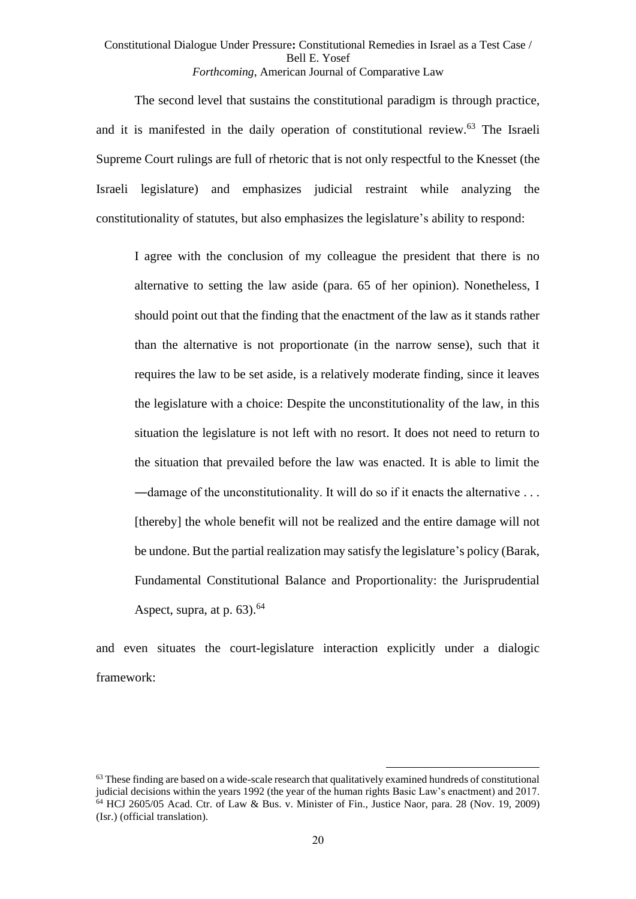The second level that sustains the constitutional paradigm is through practice, and it is manifested in the daily operation of constitutional review.<sup>63</sup> The Israeli Supreme Court rulings are full of rhetoric that is not only respectful to the Knesset (the Israeli legislature) and emphasizes judicial restraint while analyzing the constitutionality of statutes, but also emphasizes the legislature's ability to respond:

I agree with the conclusion of my colleague the president that there is no alternative to setting the law aside (para. 65 of her opinion). Nonetheless, I should point out that the finding that the enactment of the law as it stands rather than the alternative is not proportionate (in the narrow sense), such that it requires the law to be set aside, is a relatively moderate finding, since it leaves the legislature with a choice: Despite the unconstitutionality of the law, in this situation the legislature is not left with no resort. It does not need to return to the situation that prevailed before the law was enacted. It is able to limit the ―damage of the unconstitutionality. It will do so if it enacts the alternative . . . [thereby] the whole benefit will not be realized and the entire damage will not be undone. But the partial realization may satisfy the legislature's policy (Barak, Fundamental Constitutional Balance and Proportionality: the Jurisprudential Aspect, supra, at p.  $63$ ).<sup>64</sup>

and even situates the court-legislature interaction explicitly under a dialogic framework:

 $63$  These finding are based on a wide-scale research that qualitatively examined hundreds of constitutional judicial decisions within the years 1992 (the year of the human rights Basic Law's enactment) and 2017.  $64$  HCJ 2605/05 Acad. Ctr. of Law & Bus. v. Minister of Fin., Justice Naor, para. 28 (Nov. 19, 2009) (Isr.) (official translation).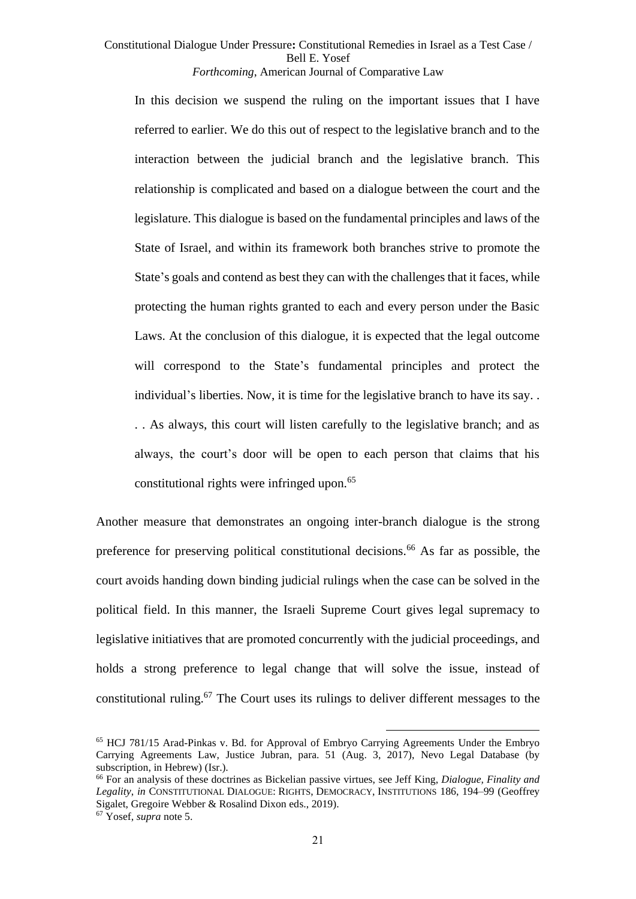In this decision we suspend the ruling on the important issues that I have referred to earlier. We do this out of respect to the legislative branch and to the interaction between the judicial branch and the legislative branch. This relationship is complicated and based on a dialogue between the court and the legislature. This dialogue is based on the fundamental principles and laws of the State of Israel, and within its framework both branches strive to promote the State's goals and contend as best they can with the challenges that it faces, while protecting the human rights granted to each and every person under the Basic Laws. At the conclusion of this dialogue, it is expected that the legal outcome will correspond to the State's fundamental principles and protect the individual's liberties. Now, it is time for the legislative branch to have its say. . . . As always, this court will listen carefully to the legislative branch; and as always, the court's door will be open to each person that claims that his constitutional rights were infringed upon. 65

<span id="page-20-0"></span>Another measure that demonstrates an ongoing inter-branch dialogue is the strong preference for preserving political constitutional decisions.<sup>66</sup> As far as possible, the court avoids handing down binding judicial rulings when the case can be solved in the political field. In this manner, the Israeli Supreme Court gives legal supremacy to legislative initiatives that are promoted concurrently with the judicial proceedings, and holds a strong preference to legal change that will solve the issue, instead of constitutional ruling.<sup>67</sup> The Court uses its rulings to deliver different messages to the

<sup>65</sup> HCJ 781/15 Arad-Pinkas v. Bd. for Approval of Embryo Carrying Agreements Under the Embryo Carrying Agreements Law, Justice Jubran, para. 51 (Aug. 3, 2017), Nevo Legal Database (by subscription, in Hebrew) (Isr.).

<sup>66</sup> For an analysis of these doctrines as Bickelian passive virtues, see Jeff King, *Dialogue, Finality and Legality*, *in* CONSTITUTIONAL DIALOGUE: RIGHTS, DEMOCRACY, INSTITUTIONS 186, 194–99 (Geoffrey Sigalet, Gregoire Webber & Rosalind Dixon eds., 2019).

<sup>67</sup> Yosef, *supra* note [5.](#page-1-0)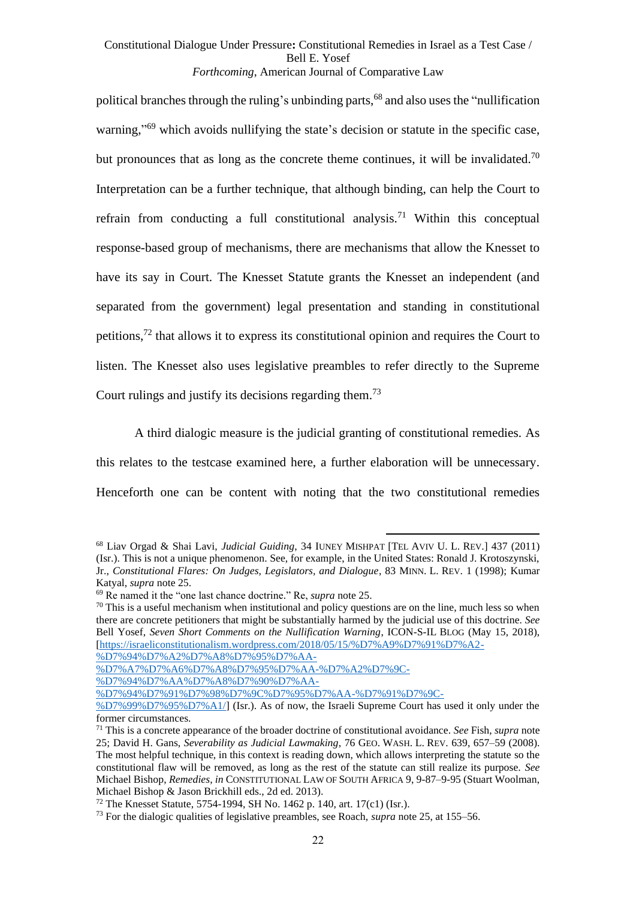<span id="page-21-2"></span><span id="page-21-1"></span>political branches through the ruling's unbinding parts,<sup>68</sup> and also uses the "nullification warning,"<sup>69</sup> which avoids nullifying the state's decision or statute in the specific case, but pronounces that as long as the concrete theme continues, it will be invalidated.<sup>70</sup> Interpretation can be a further technique, that although binding, can help the Court to refrain from conducting a full constitutional analysis.<sup>71</sup> Within this conceptual response-based group of mechanisms, there are mechanisms that allow the Knesset to have its say in Court. The Knesset Statute grants the Knesset an independent (and separated from the government) legal presentation and standing in constitutional petitions,<sup>72</sup> that allows it to express its constitutional opinion and requires the Court to listen. The Knesset also uses legislative preambles to refer directly to the Supreme Court rulings and justify its decisions regarding them.<sup>73</sup>

<span id="page-21-0"></span>A third dialogic measure is the judicial granting of constitutional remedies. As this relates to the testcase examined here, a further elaboration will be unnecessary. Henceforth one can be content with noting that the two constitutional remedies

[%D7%94%D7%A2%D7%A8%D7%95%D7%AA-](https://israeliconstitutionalism.wordpress.com/2018/05/15/%D7%A9%D7%91%D7%A2-%D7%94%D7%A2%D7%A8%D7%95%D7%AA-%D7%A7%D7%A6%D7%A8%D7%95%D7%AA-%D7%A2%D7%9C-%D7%94%D7%AA%D7%A8%D7%90%D7%AA-%D7%94%D7%91%D7%98%D7%9C%D7%95%D7%AA-%D7%91%D7%9C-%D7%99%D7%95%D7%A1/)

<sup>68</sup> Liav Orgad & Shai Lavi, *Judicial Guiding*, 34 IUNEY MISHPAT [TEL AVIV U. L. REV.] 437 (2011) (Isr.). This is not a unique phenomenon. See, for example, in the United States: Ronald J. Krotoszynski, Jr., *Constitutional Flares: On Judges, Legislators, and Dialogue*, 83 MINN. L. REV. 1 (1998); Kumar Katyal, *supra* not[e 25.](#page-10-0)

<sup>69</sup> Re named it the "one last chance doctrine." Re, *supra* note [25.](#page-10-0)

 $70$  This is a useful mechanism when institutional and policy questions are on the line, much less so when there are concrete petitioners that might be substantially harmed by the judicial use of this doctrine. *See* Bell Yosef, *Seven Short Comments on the Nullification Warning*, ICON-S-IL BLOG (May 15, 2018), [\[https://israeliconstitutionalism.wordpress.com/2018/05/15/%D7%A9%D7%91%D7%A2-](https://israeliconstitutionalism.wordpress.com/2018/05/15/%D7%A9%D7%91%D7%A2-%D7%94%D7%A2%D7%A8%D7%95%D7%AA-%D7%A7%D7%A6%D7%A8%D7%95%D7%AA-%D7%A2%D7%9C-%D7%94%D7%AA%D7%A8%D7%90%D7%AA-%D7%94%D7%91%D7%98%D7%9C%D7%95%D7%AA-%D7%91%D7%9C-%D7%99%D7%95%D7%A1/)

[<sup>%</sup>D7%A7%D7%A6%D7%A8%D7%95%D7%AA-%D7%A2%D7%9C-](https://israeliconstitutionalism.wordpress.com/2018/05/15/%D7%A9%D7%91%D7%A2-%D7%94%D7%A2%D7%A8%D7%95%D7%AA-%D7%A7%D7%A6%D7%A8%D7%95%D7%AA-%D7%A2%D7%9C-%D7%94%D7%AA%D7%A8%D7%90%D7%AA-%D7%94%D7%91%D7%98%D7%9C%D7%95%D7%AA-%D7%91%D7%9C-%D7%99%D7%95%D7%A1/)

[<sup>%</sup>D7%94%D7%AA%D7%A8%D7%90%D7%AA-](https://israeliconstitutionalism.wordpress.com/2018/05/15/%D7%A9%D7%91%D7%A2-%D7%94%D7%A2%D7%A8%D7%95%D7%AA-%D7%A7%D7%A6%D7%A8%D7%95%D7%AA-%D7%A2%D7%9C-%D7%94%D7%AA%D7%A8%D7%90%D7%AA-%D7%94%D7%91%D7%98%D7%9C%D7%95%D7%AA-%D7%91%D7%9C-%D7%99%D7%95%D7%A1/)

[<sup>%</sup>D7%94%D7%91%D7%98%D7%9C%D7%95%D7%AA-%D7%91%D7%9C-](https://israeliconstitutionalism.wordpress.com/2018/05/15/%D7%A9%D7%91%D7%A2-%D7%94%D7%A2%D7%A8%D7%95%D7%AA-%D7%A7%D7%A6%D7%A8%D7%95%D7%AA-%D7%A2%D7%9C-%D7%94%D7%AA%D7%A8%D7%90%D7%AA-%D7%94%D7%91%D7%98%D7%9C%D7%95%D7%AA-%D7%91%D7%9C-%D7%99%D7%95%D7%A1/)

[<sup>%</sup>D7%99%D7%95%D7%A1/\]](https://israeliconstitutionalism.wordpress.com/2018/05/15/%D7%A9%D7%91%D7%A2-%D7%94%D7%A2%D7%A8%D7%95%D7%AA-%D7%A7%D7%A6%D7%A8%D7%95%D7%AA-%D7%A2%D7%9C-%D7%94%D7%AA%D7%A8%D7%90%D7%AA-%D7%94%D7%91%D7%98%D7%9C%D7%95%D7%AA-%D7%91%D7%9C-%D7%99%D7%95%D7%A1/) (Isr.). As of now, the Israeli Supreme Court has used it only under the former circumstances.

<sup>71</sup> This is a concrete appearance of the broader doctrine of constitutional avoidance. *See* Fish, *supra* note [25;](#page-10-0) David H. Gans, *Severability as Judicial Lawmaking*, 76 GEO. WASH. L. REV. 639, 657–59 (2008). The most helpful technique, in this context is reading down, which allows interpreting the statute so the constitutional flaw will be removed, as long as the rest of the statute can still realize its purpose. *See*  Michael Bishop, *Remedies*, *in* CONSTITUTIONAL LAW OF SOUTH AFRICA 9, 9-87–9-95 (Stuart Woolman, Michael Bishop & Jason Brickhill eds., 2d ed. 2013).

<sup>72</sup> The Knesset Statute, 5754-1994, SH No. 1462 p. 140, art. 17(c1) (Isr.).

<sup>73</sup> For the dialogic qualities of legislative preambles, see Roach, *supra* not[e 25,](#page-10-0) at 155–56.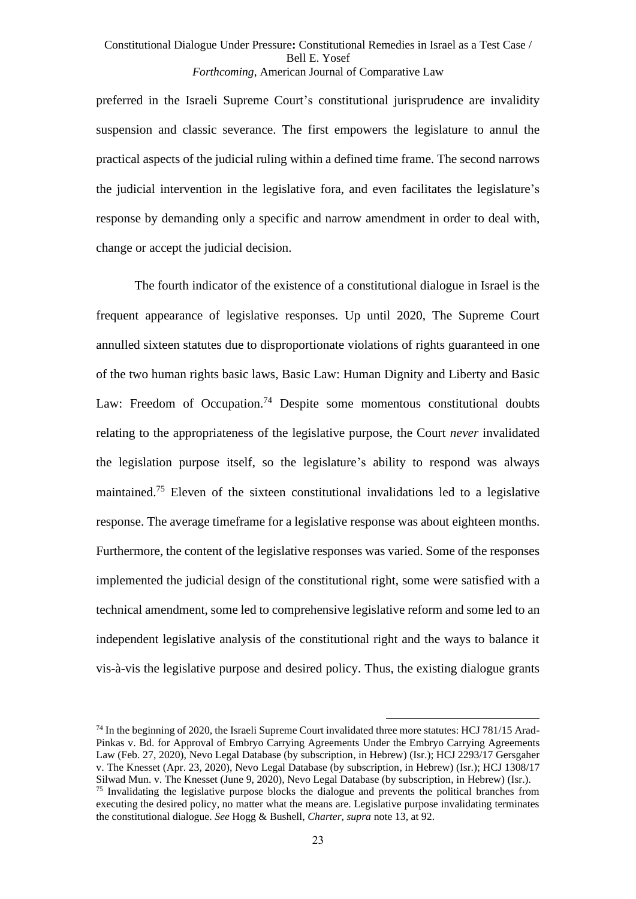preferred in the Israeli Supreme Court's constitutional jurisprudence are invalidity suspension and classic severance. The first empowers the legislature to annul the practical aspects of the judicial ruling within a defined time frame. The second narrows the judicial intervention in the legislative fora, and even facilitates the legislature's response by demanding only a specific and narrow amendment in order to deal with, change or accept the judicial decision.

The fourth indicator of the existence of a constitutional dialogue in Israel is the frequent appearance of legislative responses. Up until 2020, The Supreme Court annulled sixteen statutes due to disproportionate violations of rights guaranteed in one of the two human rights basic laws, Basic Law: Human Dignity and Liberty and Basic Law: Freedom of Occupation.<sup>74</sup> Despite some momentous constitutional doubts relating to the appropriateness of the legislative purpose, the Court *never* invalidated the legislation purpose itself, so the legislature's ability to respond was always maintained. <sup>75</sup> Eleven of the sixteen constitutional invalidations led to a legislative response. The average timeframe for a legislative response was about eighteen months. Furthermore, the content of the legislative responses was varied. Some of the responses implemented the judicial design of the constitutional right, some were satisfied with a technical amendment, some led to comprehensive legislative reform and some led to an independent legislative analysis of the constitutional right and the ways to balance it vis-à-vis the legislative purpose and desired policy. Thus, the existing dialogue grants

<sup>&</sup>lt;sup>74</sup> In the beginning of 2020, the Israeli Supreme Court invalidated three more statutes: HCJ 781/15 Arad-Pinkas v. Bd. for Approval of Embryo Carrying Agreements Under the Embryo Carrying Agreements Law (Feb. 27, 2020), Nevo Legal Database (by subscription, in Hebrew) (Isr.); HCJ 2293/17 Gersgaher v. The Knesset (Apr. 23, 2020), Nevo Legal Database (by subscription, in Hebrew) (Isr.); HCJ 1308/17 Silwad Mun. v. The Knesset (June 9, 2020), Nevo Legal Database (by subscription, in Hebrew) (Isr.). <sup>75</sup> Invalidating the legislative purpose blocks the dialogue and prevents the political branches from

executing the desired policy, no matter what the means are. Legislative purpose invalidating terminates the constitutional dialogue. *See* Hogg & Bushell, *Charter*, *supra* not[e 13,](#page-6-0) at 92.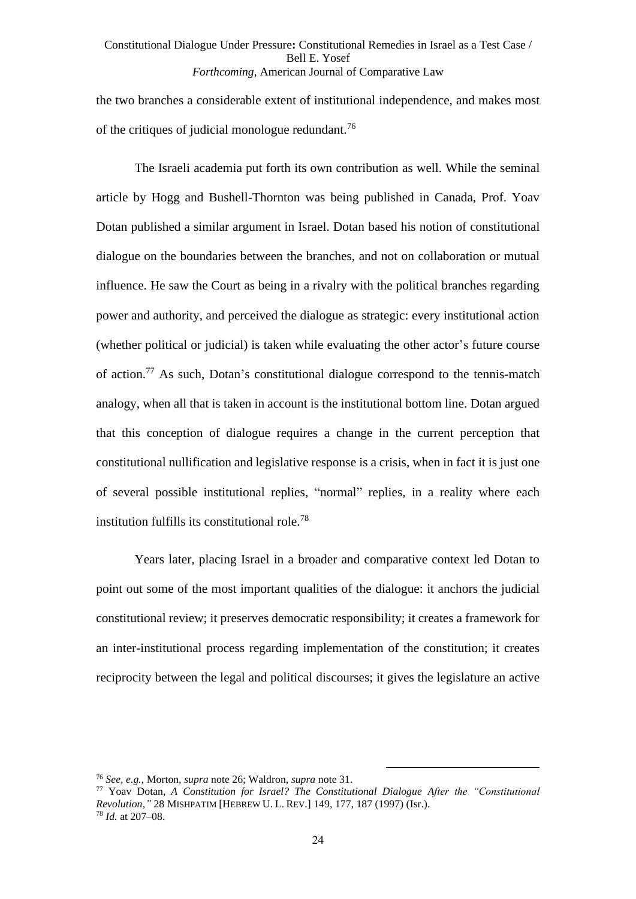the two branches a considerable extent of institutional independence, and makes most of the critiques of judicial monologue redundant.<sup>76</sup>

The Israeli academia put forth its own contribution as well. While the seminal article by Hogg and Bushell-Thornton was being published in Canada, Prof. Yoav Dotan published a similar argument in Israel. Dotan based his notion of constitutional dialogue on the boundaries between the branches, and not on collaboration or mutual influence. He saw the Court as being in a rivalry with the political branches regarding power and authority, and perceived the dialogue as strategic: every institutional action (whether political or judicial) is taken while evaluating the other actor's future course of action.<sup>77</sup> As such, Dotan's constitutional dialogue correspond to the tennis-match analogy, when all that is taken in account is the institutional bottom line. Dotan argued that this conception of dialogue requires a change in the current perception that constitutional nullification and legislative response is a crisis, when in fact it is just one of several possible institutional replies, "normal" replies, in a reality where each institution fulfills its constitutional role.<sup>78</sup>

Years later, placing Israel in a broader and comparative context led Dotan to point out some of the most important qualities of the dialogue: it anchors the judicial constitutional review; it preserves democratic responsibility; it creates a framework for an inter-institutional process regarding implementation of the constitution; it creates reciprocity between the legal and political discourses; it gives the legislature an active

<sup>76</sup> *See, e.g.*, Morton, *supra* note [26;](#page-10-1) Waldron, *supra* not[e 31.](#page-11-0)

<sup>77</sup> Yoav Dotan, *A Constitution for Israel? The Constitutional Dialogue After the "Constitutional Revolution*,*"* 28 MISHPATIM [HEBREW U. L. REV.] 149, 177, 187 (1997) (Isr.). <sup>78</sup> *Id.* at 207–08.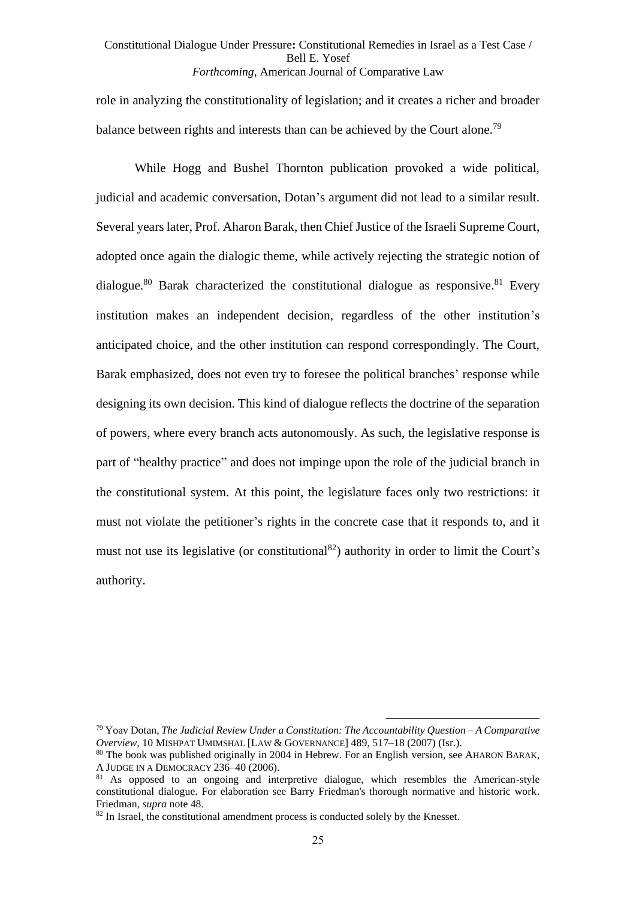role in analyzing the constitutionality of legislation; and it creates a richer and broader balance between rights and interests than can be achieved by the Court alone.<sup>79</sup>

While Hogg and Bushel Thornton publication provoked a wide political, judicial and academic conversation, Dotan's argument did not lead to a similar result. Several years later, Prof. Aharon Barak, then Chief Justice of the Israeli Supreme Court, adopted once again the dialogic theme, while actively rejecting the strategic notion of dialogue.<sup>80</sup> Barak characterized the constitutional dialogue as responsive.<sup>81</sup> Every institution makes an independent decision, regardless of the other institution's anticipated choice, and the other institution can respond correspondingly. The Court, Barak emphasized, does not even try to foresee the political branches' response while designing its own decision. This kind of dialogue reflects the doctrine of the separation of powers, where every branch acts autonomously. As such, the legislative response is part of "healthy practice" and does not impinge upon the role of the judicial branch in the constitutional system. At this point, the legislature faces only two restrictions: it must not violate the petitioner's rights in the concrete case that it responds to, and it must not use its legislative (or constitutional<sup>82</sup>) authority in order to limit the Court's authority.

<sup>79</sup> Yoav Dotan, *The Judicial Review Under a Constitution: The Accountability Question – A Comparative Overview*, 10 MISHPAT UMIMSHAL [LAW & GOVERNANCE] 489, 517–18 (2007) (Isr.).

<sup>80</sup> The book was published originally in 2004 in Hebrew. For an English version, see AHARON BARAK, A JUDGE IN A DEMOCRACY 236–40 (2006).

<sup>&</sup>lt;sup>81</sup> As opposed to an ongoing and interpretive dialogue, which resembles the American-style constitutional dialogue. For elaboration see Barry Friedman's thorough normative and historic work. Friedman, *supra* note [48.](#page-15-0)

<sup>&</sup>lt;sup>82</sup> In Israel, the constitutional amendment process is conducted solely by the Knesset.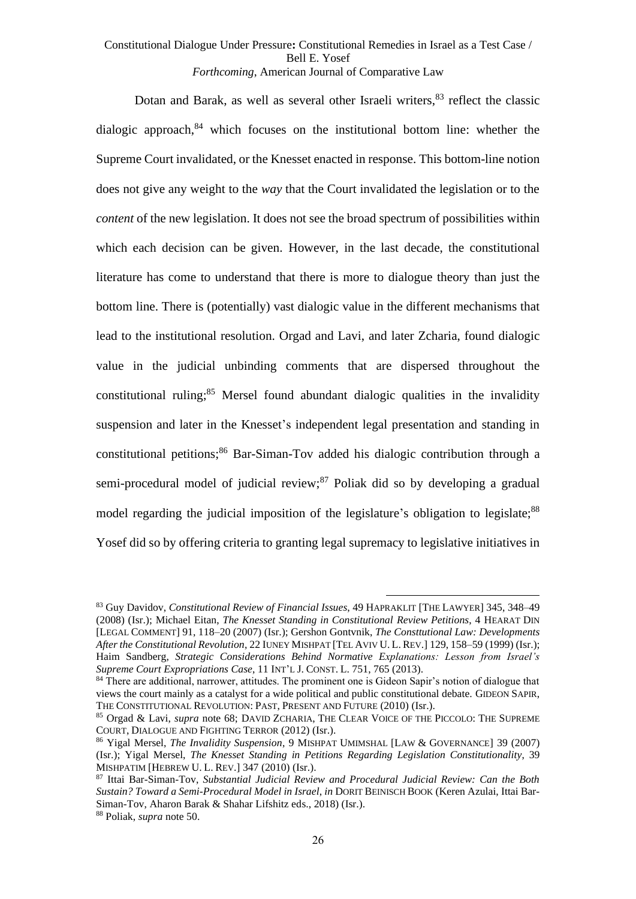Dotan and Barak, as well as several other Israeli writers, $83$  reflect the classic dialogic approach, <sup>84</sup> which focuses on the institutional bottom line: whether the Supreme Court invalidated, or the Knesset enacted in response. This bottom-line notion does not give any weight to the *way* that the Court invalidated the legislation or to the *content* of the new legislation. It does not see the broad spectrum of possibilities within which each decision can be given. However, in the last decade, the constitutional literature has come to understand that there is more to dialogue theory than just the bottom line. There is (potentially) vast dialogic value in the different mechanisms that lead to the institutional resolution. Orgad and Lavi, and later Zcharia, found dialogic value in the judicial unbinding comments that are dispersed throughout the constitutional ruling; $85$  Mersel found abundant dialogic qualities in the invalidity suspension and later in the Knesset's independent legal presentation and standing in constitutional petitions;<sup>86</sup> Bar-Siman-Tov added his dialogic contribution through a semi-procedural model of judicial review; $^{87}$  Poliak did so by developing a gradual model regarding the judicial imposition of the legislature's obligation to legislate;<sup>88</sup> Yosef did so by offering criteria to granting legal supremacy to legislative initiatives in

<span id="page-25-0"></span><sup>83</sup> Guy Davidov, *Constitutional Review of Financial Issues*, 49 HAPRAKLIT [THE LAWYER] 345, 348–49 (2008) (Isr.); Michael Eitan, *The Knesset Standing in Constitutional Review Petitions*, 4 HEARAT DIN [LEGAL COMMENT] 91, 118–20 (2007) (Isr.); Gershon Gontvnik, *The Consttutional Law: Developments After the Constitutional Revolution*, 22 IUNEY MISHPAT [TEL AVIV U. L. REV.] 129, 158–59 (1999) (Isr.); Haim Sandberg, *Strategic Considerations Behind Normative Explanations: Lesson from Israel's Supreme Court Expropriations Case*, 11 INT'L J. CONST. L. 751, 765 (2013).

<sup>84</sup> There are additional, narrower, attitudes. The prominent one is Gideon Sapir's notion of dialogue that views the court mainly as a catalyst for a wide political and public constitutional debate. GIDEON SAPIR, THE CONSTITUTIONAL REVOLUTION: PAST, PRESENT AND FUTURE (2010) (Isr.).

<sup>85</sup> Orgad & Lavi, *supra* note [68;](#page-21-1) DAVID ZCHARIA, THE CLEAR VOICE OF THE PICCOLO: THE SUPREME COURT, DIALOGUE AND FIGHTING TERROR (2012) (Isr.).

<sup>86</sup> Yigal Mersel, *The Invalidity Suspension*, 9 MISHPAT UMIMSHAL [LAW & GOVERNANCE] 39 (2007) (Isr.); Yigal Mersel, *The Knesset Standing in Petitions Regarding Legislation Constitutionality*, 39 MISHPATIM [HEBREW U. L. REV.] 347 (2010) (Isr.).

<sup>87</sup> Ittai Bar-Siman-Tov, *Substantial Judicial Review and Procedural Judicial Review: Can the Both Sustain? Toward a Semi-Procedural Model in Israel*, *in* DORIT BEINISCH BOOK (Keren Azulai, Ittai Bar-Siman-Tov, Aharon Barak & Shahar Lifshitz eds., 2018) (Isr.). <sup>88</sup> Poliak, *supra* not[e 50.](#page-15-1)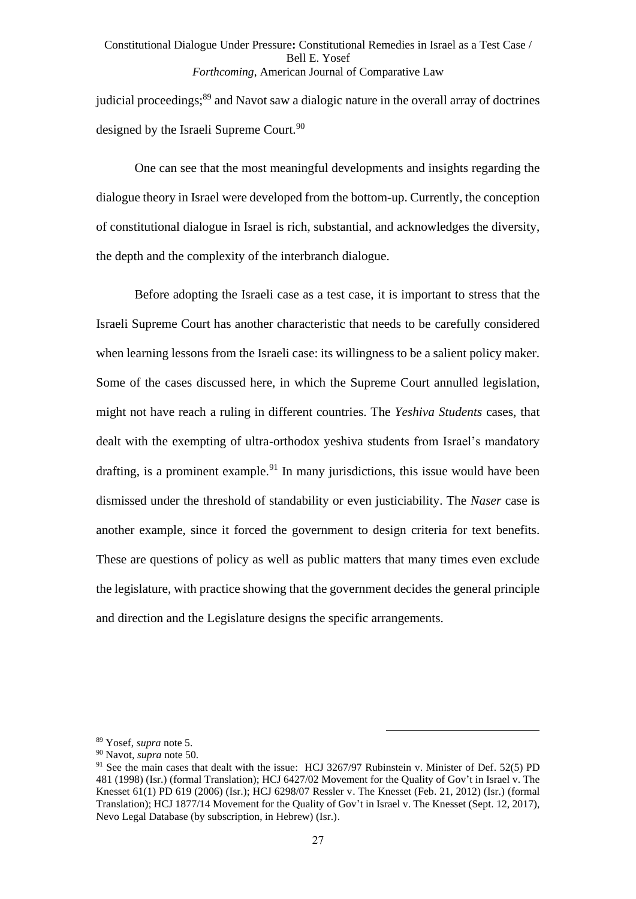judicial proceedings;<sup>89</sup> and Navot saw a dialogic nature in the overall array of doctrines designed by the Israeli Supreme Court.<sup>90</sup>

One can see that the most meaningful developments and insights regarding the dialogue theory in Israel were developed from the bottom-up. Currently, the conception of constitutional dialogue in Israel is rich, substantial, and acknowledges the diversity, the depth and the complexity of the interbranch dialogue.

Before adopting the Israeli case as a test case, it is important to stress that the Israeli Supreme Court has another characteristic that needs to be carefully considered when learning lessons from the Israeli case: its willingness to be a salient policy maker. Some of the cases discussed here, in which the Supreme Court annulled legislation, might not have reach a ruling in different countries. The *Yeshiva Students* cases, that dealt with the exempting of ultra-orthodox yeshiva students from Israel's mandatory drafting, is a prominent example.<sup>91</sup> In many jurisdictions, this issue would have been dismissed under the threshold of standability or even justiciability. The *Naser* case is another example, since it forced the government to design criteria for text benefits. These are questions of policy as well as public matters that many times even exclude the legislature, with practice showing that the government decides the general principle and direction and the Legislature designs the specific arrangements.

<sup>89</sup> Yosef, *supra* note [5.](#page-1-0)

<sup>90</sup> Navot, *supra* not[e 50.](#page-15-1)

<sup>&</sup>lt;sup>91</sup> See the main cases that dealt with the issue: HCJ 3267/97 Rubinstein v. Minister of Def. 52(5) PD 481 (1998) (Isr.) (formal Translation); HCJ 6427/02 Movement for the Quality of Gov't in Israel v. The Knesset 61(1) PD 619 (2006) (Isr.); HCJ 6298/07 Ressler v. The Knesset (Feb. 21, 2012) (Isr.) (formal Translation); HCJ 1877/14 Movement for the Quality of Gov't in Israel v. The Knesset (Sept. 12, 2017), Nevo Legal Database (by subscription, in Hebrew) (Isr.).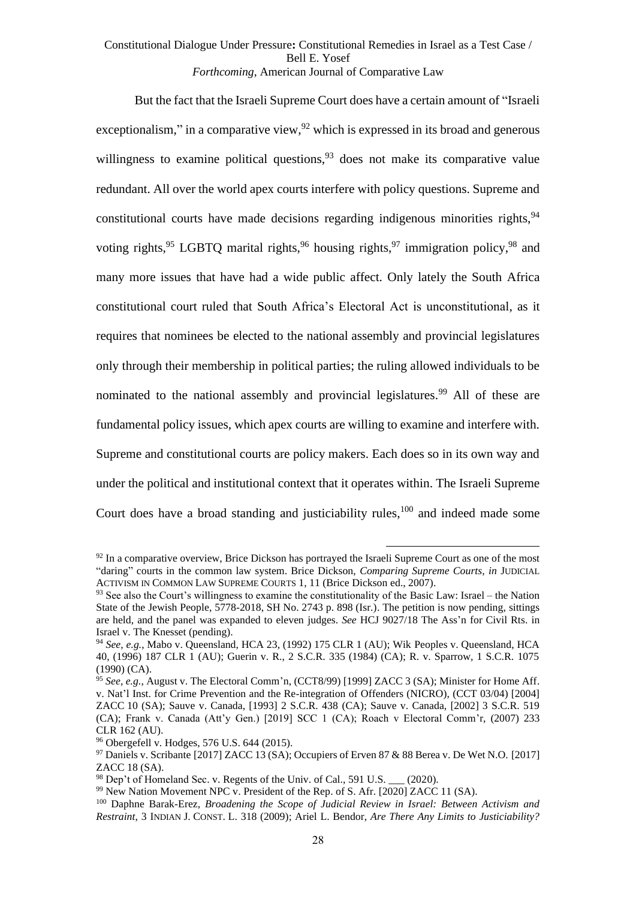But the fact that the Israeli Supreme Court does have a certain amount of "Israeli exceptionalism," in a comparative view,  $92$  which is expressed in its broad and generous willingness to examine political questions,  $93$  does not make its comparative value redundant. All over the world apex courts interfere with policy questions. Supreme and constitutional courts have made decisions regarding indigenous minorities rights,  $94$ voting rights,<sup>95</sup> LGBTQ marital rights,<sup>96</sup> housing rights,<sup>97</sup> immigration policy,<sup>98</sup> and many more issues that have had a wide public affect. Only lately the South Africa constitutional court ruled that South Africa's Electoral Act is unconstitutional, as it requires that nominees be elected to the national assembly and provincial legislatures only through their membership in political parties; the ruling allowed individuals to be nominated to the national assembly and provincial legislatures.<sup>99</sup> All of these are fundamental policy issues, which apex courts are willing to examine and interfere with. Supreme and constitutional courts are policy makers. Each does so in its own way and under the political and institutional context that it operates within. The Israeli Supreme Court does have a broad standing and justiciability rules,<sup>100</sup> and indeed made some

 $92$  In a comparative overview, Brice Dickson has portrayed the Israeli Supreme Court as one of the most "daring" courts in the common law system. Brice Dickson, *Comparing Supreme Courts*, *in* JUDICIAL ACTIVISM IN COMMON LAW SUPREME COURTS 1, 11 (Brice Dickson ed., 2007).

 $93$  See also the Court's willingness to examine the constitutionality of the Basic Law: Israel – the Nation State of the Jewish People, 5778-2018, SH No. 2743 p. 898 (Isr.). The petition is now pending, sittings are held, and the panel was expanded to eleven judges. *See* HCJ 9027/18 The Ass'n for Civil Rts. in Israel v. The Knesset (pending).

<sup>94</sup> *See, e.g.*, Mabo v. Queensland, HCA 23, (1992) 175 CLR 1 (AU); Wik Peoples v. Queensland, HCA 40, (1996) 187 CLR 1 (AU); Guerin v. R., 2 S.C.R. 335 (1984) (CA); R. v. Sparrow, 1 S.C.R. 1075 (1990) (CA).

<sup>95</sup> *See, e.g.*, August v. The Electoral Comm'n, (CCT8/99) [1999] ZACC 3 (SA); Minister for Home Aff. v. Nat'l Inst. for Crime Prevention and the Re-integration of Offenders (NICRO), (CCT 03/04) [2004] ZACC 10 (SA); Sauve v. Canada, [1993] 2 S.C.R. 438 (CA); Sauve v. Canada, [2002] 3 S.C.R. 519 (CA); Frank v. Canada (Att'y Gen.) [2019] SCC 1 (CA); Roach v Electoral Comm'r, (2007) 233 CLR 162 (AU).

<sup>96</sup> Obergefell v. Hodges, 576 U.S. 644 (2015).

<sup>97</sup> Daniels v. Scribante [2017] ZACC 13 (SA); Occupiers of Erven 87 & 88 Berea v. De Wet N.O. [2017] ZACC 18 (SA).

 $98$  Dep't of Homeland Sec. v. Regents of the Univ. of Cal., 591 U.S.  $(2020)$ .

<sup>&</sup>lt;sup>99</sup> New Nation Movement NPC v. President of the Rep. of S. Afr. [2020] ZACC 11 (SA).

<sup>100</sup> Daphne Barak-Erez, *Broadening the Scope of Judicial Review in Israel: Between Activism and Restraint*, 3 INDIAN J. CONST. L. 318 (2009); Ariel L. Bendor, *Are There Any Limits to Justiciability?*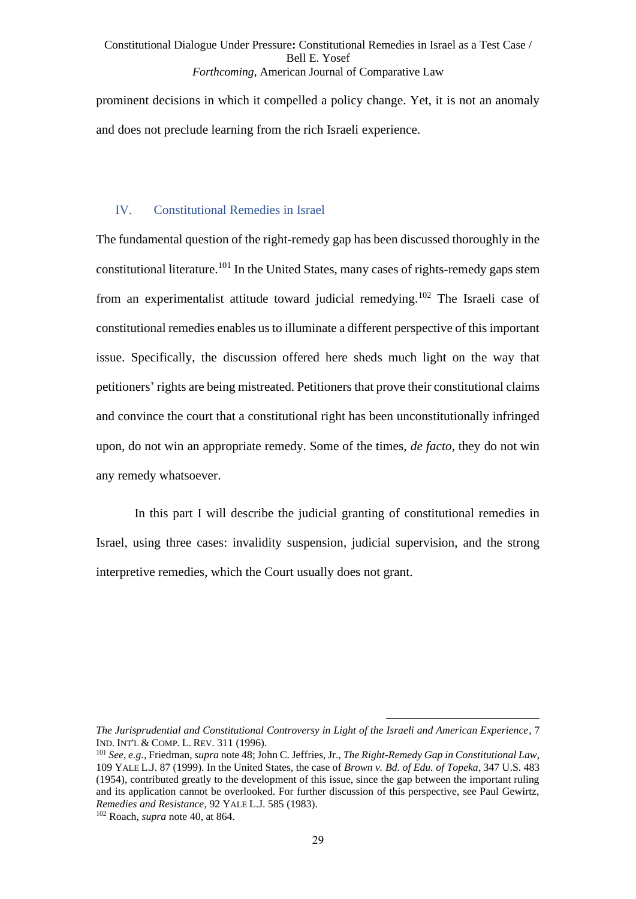prominent decisions in which it compelled a policy change. Yet, it is not an anomaly and does not preclude learning from the rich Israeli experience.

## IV. Constitutional Remedies in Israel

The fundamental question of the right-remedy gap has been discussed thoroughly in the constitutional literature.<sup>101</sup> In the United States, many cases of rights-remedy gaps stem from an experimentalist attitude toward judicial remedying.<sup>102</sup> The Israeli case of constitutional remedies enables us to illuminate a different perspective of this important issue. Specifically, the discussion offered here sheds much light on the way that petitioners' rights are being mistreated. Petitioners that prove their constitutional claims and convince the court that a constitutional right has been unconstitutionally infringed upon, do not win an appropriate remedy. Some of the times, *de facto*, they do not win any remedy whatsoever.

In this part I will describe the judicial granting of constitutional remedies in Israel, using three cases: invalidity suspension, judicial supervision, and the strong interpretive remedies, which the Court usually does not grant.

*The Jurisprudential and Constitutional Controversy in Light of the Israeli and American Experience*, 7 IND. INT'L & COMP. L. REV. 311 (1996).

<sup>101</sup> *See, e.g.*, Friedman, *supra* not[e 48;](#page-15-0) John C. Jeffries, Jr., *The Right-Remedy Gap in Constitutional Law*, 109 YALE L.J. 87 (1999). In the United States, the case of *Brown v. Bd. of Edu. of Topeka*, 347 U.S. 483 (1954), contributed greatly to the development of this issue, since the gap between the important ruling and its application cannot be overlooked. For further discussion of this perspective, see Paul Gewirtz, *Remedies and Resistance*, 92 YALE L.J. 585 (1983). <sup>102</sup> Roach, *supra* note [40,](#page-13-0) at 864.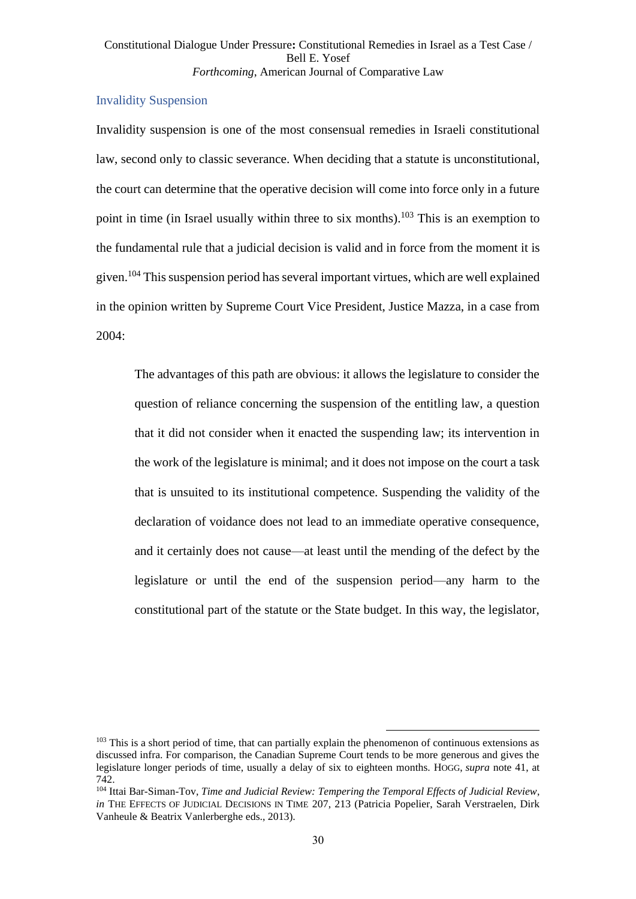# Invalidity Suspension

Invalidity suspension is one of the most consensual remedies in Israeli constitutional law, second only to classic severance. When deciding that a statute is unconstitutional, the court can determine that the operative decision will come into force only in a future point in time (in Israel usually within three to six months).<sup>103</sup> This is an exemption to the fundamental rule that a judicial decision is valid and in force from the moment it is given.<sup>104</sup> This suspension period has several important virtues, which are well explained in the opinion written by Supreme Court Vice President, Justice Mazza, in a case from 2004:

<span id="page-29-0"></span>The advantages of this path are obvious: it allows the legislature to consider the question of reliance concerning the suspension of the entitling law, a question that it did not consider when it enacted the suspending law; its intervention in the work of the legislature is minimal; and it does not impose on the court a task that is unsuited to its institutional competence. Suspending the validity of the declaration of voidance does not lead to an immediate operative consequence. and it certainly does not cause—at least until the mending of the defect by the legislature or until the end of the suspension period—any harm to the constitutional part of the statute or the State budget. In this way, the legislator,

 $103$  This is a short period of time, that can partially explain the phenomenon of continuous extensions as discussed infra. For comparison, the Canadian Supreme Court tends to be more generous and gives the legislature longer periods of time, usually a delay of six to eighteen months. HOGG, *supra* note [41,](#page-14-0) at 742.

<sup>104</sup> Ittai Bar-Siman-Tov, *Time and Judicial Review: Tempering the Temporal Effects of Judicial Review*, *in* THE EFFECTS OF JUDICIAL DECISIONS IN TIME 207, 213 (Patricia Popelier, Sarah Verstraelen, Dirk Vanheule & Beatrix Vanlerberghe eds., 2013).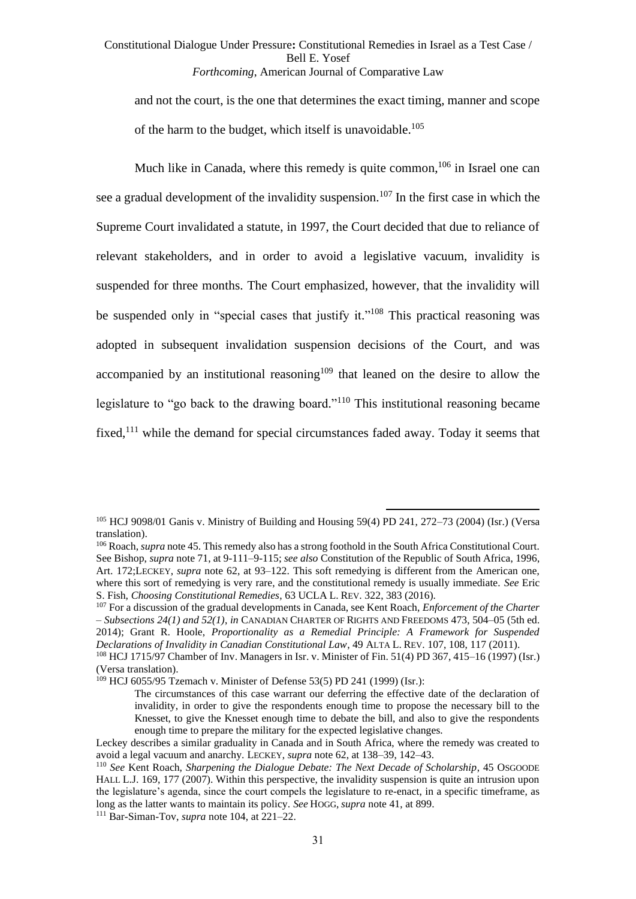<span id="page-30-1"></span><span id="page-30-0"></span>and not the court, is the one that determines the exact timing, manner and scope of the harm to the budget, which itself is unavoidable.<sup>105</sup>

Much like in Canada, where this remedy is quite common,  $106$  in Israel one can see a gradual development of the invalidity suspension.<sup>107</sup> In the first case in which the Supreme Court invalidated a statute, in 1997, the Court decided that due to reliance of relevant stakeholders, and in order to avoid a legislative vacuum, invalidity is suspended for three months. The Court emphasized, however, that the invalidity will be suspended only in "special cases that justify it."<sup>108</sup> This practical reasoning was adopted in subsequent invalidation suspension decisions of the Court, and was accompanied by an institutional reasoning<sup>109</sup> that leaned on the desire to allow the legislature to "go back to the drawing board."<sup>110</sup> This institutional reasoning became fixed,<sup> $111$ </sup> while the demand for special circumstances faded away. Today it seems that

<sup>105</sup> HCJ 9098/01 Ganis v. Ministry of Building and Housing 59(4) PD 241, 272–73 (2004) (Isr.) (Versa translation).

<sup>&</sup>lt;sup>106</sup> Roach, *supra* not[e 45.](#page-14-1) This remedy also has a strong foothold in the South Africa Constitutional Court. See Bishop, *supra* not[e 71,](#page-21-2) at 9-111–9-115; *see also* Constitution of the Republic of South Africa, 1996, Art. 172;LECKEY, *supra* note [62,](#page-18-0) at 93–122. This soft remedying is different from the American one, where this sort of remedying is very rare, and the constitutional remedy is usually immediate. *See* Eric S. Fish, *Choosing Constitutional Remedies*, 63 UCLA L. REV. 322, 383 (2016).

<sup>107</sup> For a discussion of the gradual developments in Canada, see Kent Roach, *Enforcement of the Charter – Subsections 24(1) and 52(1)*, *in* CANADIAN CHARTER OF RIGHTS AND FREEDOMS 473, 504–05 (5th ed. 2014); Grant R. Hoole, *Proportionality as a Remedial Principle: A Framework for Suspended Declarations of Invalidity in Canadian Constitutional Law*, 49 ALTA L. REV. 107, 108, 117 (2011).

<sup>108</sup> HCJ 1715/97 Chamber of Inv. Managers in Isr. v. Minister of Fin. 51(4) PD 367, 415–16 (1997) (Isr.) (Versa translation).

<sup>109</sup> HCJ 6055/95 Tzemach v. Minister of Defense 53(5) PD 241 (1999) (Isr.):

The circumstances of this case warrant our deferring the effective date of the declaration of invalidity, in order to give the respondents enough time to propose the necessary bill to the Knesset, to give the Knesset enough time to debate the bill, and also to give the respondents enough time to prepare the military for the expected legislative changes.

Leckey describes a similar graduality in Canada and in South Africa, where the remedy was created to avoid a legal vacuum and anarchy. LECKEY, *supra* note [62,](#page-18-0) at 138–39, 142–43.

<sup>110</sup> *See* Kent Roach, *Sharpening the Dialogue Debate: The Next Decade of Scholarship*, 45 OSGOODE HALL L.J. 169, 177 (2007). Within this perspective, the invalidity suspension is quite an intrusion upon the legislature's agenda, since the court compels the legislature to re-enact, in a specific timeframe, as long as the latter wants to maintain its policy. *See* HOGG, *supra* not[e 41,](#page-14-0) at 899.

<sup>111</sup> Bar-Siman-Tov, *supra* note [104,](#page-29-0) at 221–22.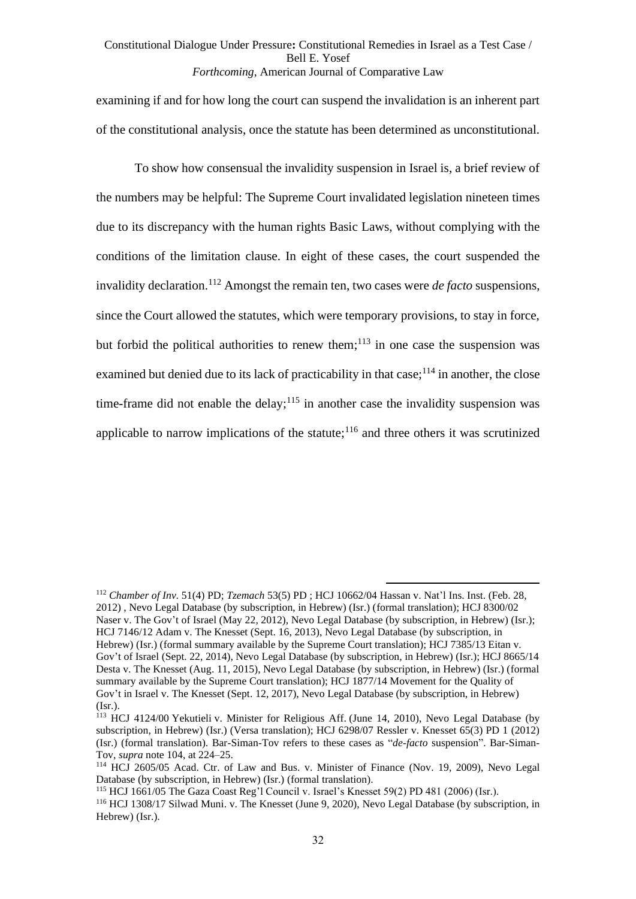examining if and for how long the court can suspend the invalidation is an inherent part of the constitutional analysis, once the statute has been determined as unconstitutional.

To show how consensual the invalidity suspension in Israel is, a brief review of the numbers may be helpful: The Supreme Court invalidated legislation nineteen times due to its discrepancy with the human rights Basic Laws, without complying with the conditions of the limitation clause. In eight of these cases, the court suspended the invalidity declaration. <sup>112</sup> Amongst the remain ten, two cases were *de facto* suspensions, since the Court allowed the statutes, which were temporary provisions, to stay in force, but forbid the political authorities to renew them; $^{113}$  in one case the suspension was examined but denied due to its lack of practicability in that case;  $114$  in another, the close time-frame did not enable the delay;<sup>115</sup> in another case the invalidity suspension was applicable to narrow implications of the statute; $116$  and three others it was scrutinized

<sup>112</sup> *Chamber of Inv.* 51(4) PD; *Tzemach* 53(5) PD ; HCJ 10662/04 Hassan v. Nat'l Ins. Inst. (Feb. 28, 2012) , Nevo Legal Database (by subscription, in Hebrew) (Isr.) (formal translation); HCJ 8300/02 Naser v. The Gov't of Israel (May 22, 2012), Nevo Legal Database (by subscription, in Hebrew) (Isr.); HCJ 7146/12 Adam v. The Knesset (Sept. 16, 2013), Nevo Legal Database (by subscription, in Hebrew) (Isr.) (formal summary available by the Supreme Court translation); HCJ 7385/13 Eitan v. Gov't of Israel (Sept. 22, 2014), Nevo Legal Database (by subscription, in Hebrew) (Isr.); HCJ 8665/14 Desta v. The Knesset (Aug. 11, 2015), Nevo Legal Database (by subscription, in Hebrew) (Isr.) (formal summary available by the Supreme Court translation); HCJ 1877/14 Movement for the Quality of Gov't in Israel v. The Knesset (Sept. 12, 2017), Nevo Legal Database (by subscription, in Hebrew) (Isr.).

<sup>&</sup>lt;sup>113</sup> HCJ 4124/00 Yekutieli v. Minister for Religious Aff. (June 14, 2010), Nevo Legal Database (by subscription, in Hebrew) (Isr.) (Versa translation); HCJ 6298/07 Ressler v. Knesset 65(3) PD 1 (2012) (Isr.) (formal translation). Bar-Siman-Tov refers to these cases as "*de-facto* suspension". Bar-Siman-Tov, *supra* note [104,](#page-29-0) at 224–25.

<sup>114</sup> HCJ 2605/05 Acad. Ctr. of Law and Bus. v. Minister of Finance (Nov. 19, 2009), Nevo Legal Database (by subscription, in Hebrew) (Isr.) (formal translation).

<sup>115</sup> HCJ 1661/05 The Gaza Coast Reg'l Council v. Israel's Knesset 59(2) PD 481 (2006) (Isr.).

<sup>116</sup> HCJ 1308/17 Silwad Muni. v. The Knesset (June 9, 2020), Nevo Legal Database (by subscription, in Hebrew) (Isr.).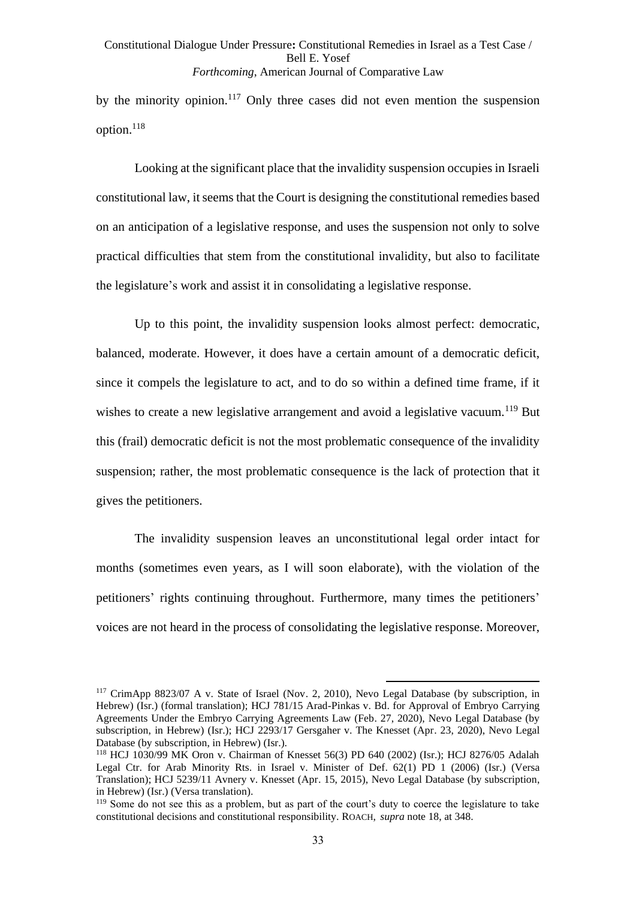by the minority opinion.<sup>117</sup> Only three cases did not even mention the suspension option.<sup>118</sup>

Looking at the significant place that the invalidity suspension occupies in Israeli constitutional law, it seems that the Court is designing the constitutional remedies based on an anticipation of a legislative response, and uses the suspension not only to solve practical difficulties that stem from the constitutional invalidity, but also to facilitate the legislature's work and assist it in consolidating a legislative response.

Up to this point, the invalidity suspension looks almost perfect: democratic, balanced, moderate. However, it does have a certain amount of a democratic deficit, since it compels the legislature to act, and to do so within a defined time frame, if it wishes to create a new legislative arrangement and avoid a legislative vacuum.<sup>119</sup> But this (frail) democratic deficit is not the most problematic consequence of the invalidity suspension; rather, the most problematic consequence is the lack of protection that it gives the petitioners.

The invalidity suspension leaves an unconstitutional legal order intact for months (sometimes even years, as I will soon elaborate), with the violation of the petitioners' rights continuing throughout. Furthermore, many times the petitioners' voices are not heard in the process of consolidating the legislative response. Moreover,

<sup>&</sup>lt;sup>117</sup> CrimApp 8823/07 A v. State of Israel (Nov. 2, 2010), Nevo Legal Database (by subscription, in Hebrew) (Isr.) (formal translation); HCJ 781/15 Arad-Pinkas v. Bd. for Approval of Embryo Carrying Agreements Under the Embryo Carrying Agreements Law (Feb. 27, 2020), Nevo Legal Database (by subscription, in Hebrew) (Isr.); HCJ 2293/17 Gersgaher v. The Knesset (Apr. 23, 2020), Nevo Legal Database (by subscription, in Hebrew) (Isr.).

<sup>118</sup> HCJ 1030/99 MK Oron v. Chairman of Knesset 56(3) PD 640 (2002) (Isr.); HCJ 8276/05 Adalah Legal Ctr. for Arab Minority Rts. in Israel v. Minister of Def. 62(1) PD 1 (2006) (Isr.) (Versa Translation); HCJ 5239/11 Avnery v. Knesset (Apr. 15, 2015), Nevo Legal Database (by subscription, in Hebrew) (Isr.) (Versa translation).

<sup>&</sup>lt;sup>119</sup> Some do not see this as a problem, but as part of the court's duty to coerce the legislature to take constitutional decisions and constitutional responsibility. ROACH, *supra* note [18,](#page-8-0) at 348.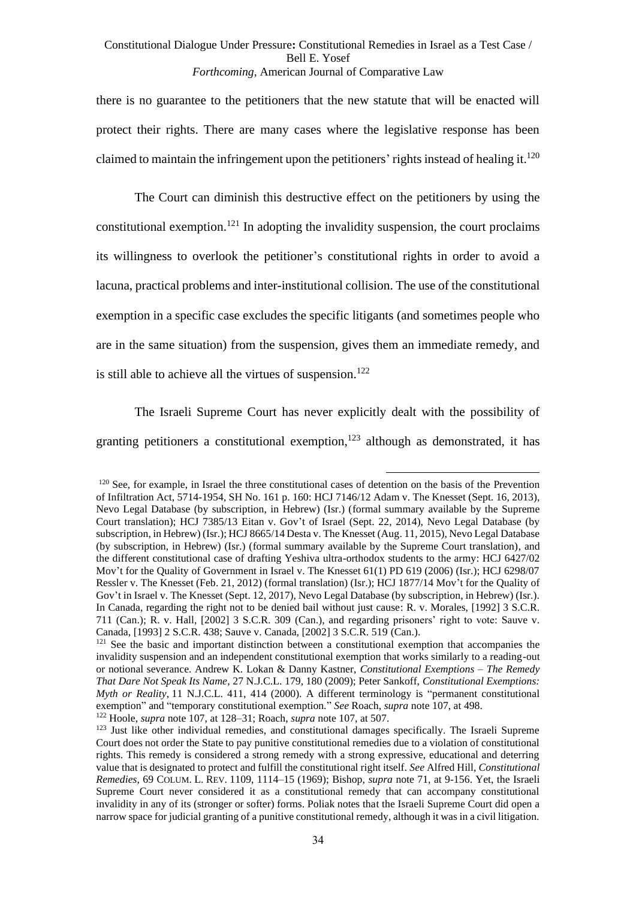there is no guarantee to the petitioners that the new statute that will be enacted will protect their rights. There are many cases where the legislative response has been claimed to maintain the infringement upon the petitioners' rights instead of healing it.<sup>120</sup>

<span id="page-33-0"></span>The Court can diminish this destructive effect on the petitioners by using the constitutional exemption.<sup>121</sup> In adopting the invalidity suspension, the court proclaims its willingness to overlook the petitioner's constitutional rights in order to avoid a lacuna, practical problems and inter-institutional collision. The use of the constitutional exemption in a specific case excludes the specific litigants (and sometimes people who are in the same situation) from the suspension, gives them an immediate remedy, and is still able to achieve all the virtues of suspension.<sup>122</sup>

<span id="page-33-1"></span>The Israeli Supreme Court has never explicitly dealt with the possibility of granting petitioners a constitutional exemption, $123$  although as demonstrated, it has

<sup>&</sup>lt;sup>120</sup> See, for example, in Israel the three constitutional cases of detention on the basis of the Prevention of Infiltration Act, 5714-1954, SH No. 161 p. 160: HCJ 7146/12 Adam v. The Knesset (Sept. 16, 2013), Nevo Legal Database (by subscription, in Hebrew) (Isr.) (formal summary available by the Supreme Court translation); HCJ 7385/13 Eitan v. Gov't of Israel (Sept. 22, 2014), Nevo Legal Database (by subscription, in Hebrew) (Isr.); HCJ 8665/14 Desta v. The Knesset (Aug. 11, 2015), Nevo Legal Database (by subscription, in Hebrew) (Isr.) (formal summary available by the Supreme Court translation), and the different constitutional case of drafting Yeshiva ultra-orthodox students to the army: HCJ 6427/02 Mov't for the Quality of Government in Israel v. The Knesset 61(1) PD 619 (2006) (Isr.); HCJ 6298/07 Ressler v. The Knesset (Feb. 21, 2012) (formal translation) (Isr.); HCJ 1877/14 Mov't for the Quality of Gov't in Israel v. The Knesset (Sept. 12, 2017), Nevo Legal Database (by subscription, in Hebrew) (Isr.). In Canada, regarding the right not to be denied bail without just cause: R. v. Morales, [1992] 3 S.C.R. 711 (Can.); R. v. Hall, [2002] 3 S.C.R. 309 (Can.), and regarding prisoners' right to vote: Sauve v. Canada, [1993] 2 S.C.R. 438; Sauve v. Canada, [2002] 3 S.C.R. 519 (Can.).

<sup>&</sup>lt;sup>121</sup> See the basic and important distinction between a constitutional exemption that accompanies the invalidity suspension and an independent constitutional exemption that works similarly to a reading-out or notional severance. Andrew K. Lokan & Danny Kastner, *Constitutional Exemptions – The Remedy That Dare Not Speak Its Name*, 27 N.J.C.L. 179, 180 (2009); Peter Sankoff, *Constitutional Exemptions: Myth or Reality*, 11 N.J.C.L. 411, 414 (2000). A different terminology is "permanent constitutional exemption" and "temporary constitutional exemption." *See* Roach, *supra* not[e 107,](#page-30-0) at 498. <sup>122</sup> Hoole, *supra* not[e 107,](#page-30-0) at 128–31; Roach, *supra* note [107,](#page-30-0) at 507.

<sup>&</sup>lt;sup>123</sup> Just like other individual remedies, and constitutional damages specifically. The Israeli Supreme Court does not order the State to pay punitive constitutional remedies due to a violation of constitutional rights. This remedy is considered a strong remedy with a strong expressive, educational and deterring value that is designated to protect and fulfill the constitutional right itself. *See* Alfred Hill, *Constitutional Remedies*, 69 COLUM. L. REV. 1109, 1114–15 (1969); Bishop, *supra* note [71,](#page-21-2) at 9-156. Yet, the Israeli Supreme Court never considered it as a constitutional remedy that can accompany constitutional invalidity in any of its (stronger or softer) forms. Poliak notes that the Israeli Supreme Court did open a narrow space for judicial granting of a punitive constitutional remedy, although it was in a civil litigation.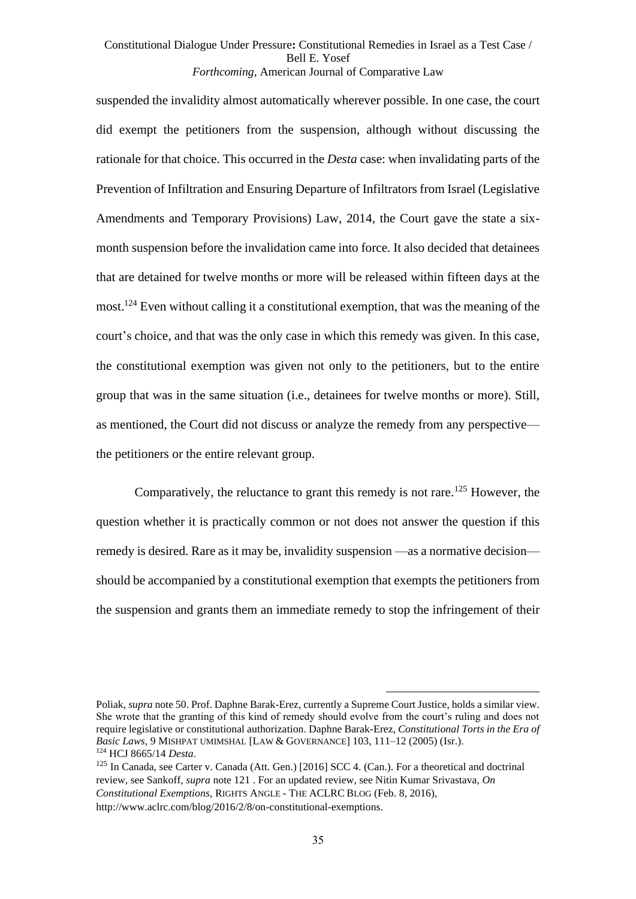suspended the invalidity almost automatically wherever possible. In one case, the court did exempt the petitioners from the suspension, although without discussing the rationale for that choice. This occurred in the *Desta* case: when invalidating parts of the Prevention of Infiltration and Ensuring Departure of Infiltrators from Israel (Legislative Amendments and Temporary Provisions) Law, 2014, the Court gave the state a sixmonth suspension before the invalidation came into force. It also decided that detainees that are detained for twelve months or more will be released within fifteen days at the most.<sup>124</sup> Even without calling it a constitutional exemption, that was the meaning of the court's choice, and that was the only case in which this remedy was given. In this case, the constitutional exemption was given not only to the petitioners, but to the entire group that was in the same situation (i.e., detainees for twelve months or more). Still, as mentioned, the Court did not discuss or analyze the remedy from any perspective–– the petitioners or the entire relevant group.

Comparatively, the reluctance to grant this remedy is not rare.<sup>125</sup> However, the question whether it is practically common or not does not answer the question if this remedy is desired. Rare as it may be, invalidity suspension —as a normative decision should be accompanied by a constitutional exemption that exempts the petitioners from the suspension and grants them an immediate remedy to stop the infringement of their

Poliak, *supra* not[e 50.](#page-15-1) Prof. Daphne Barak-Erez, currently a Supreme Court Justice, holds a similar view. She wrote that the granting of this kind of remedy should evolve from the court's ruling and does not require legislative or constitutional authorization. Daphne Barak-Erez, *Constitutional Torts in the Era of Basic Laws*, 9 MISHPAT UMIMSHAL [LAW & GOVERNANCE] 103, 111–12 (2005) (Isr.). <sup>124</sup> HCJ 8665/14 *Desta*.

 $125$  In Canada, see Carter v. Canada (Att. Gen.) [2016] SCC 4. (Can.). For a theoretical and doctrinal review, see Sankoff, *supra* note [121](#page-33-0) . For an updated review, see Nitin Kumar Srivastava, *On Constitutional Exemptions*, RIGHTS ANGLE - THE ACLRC BLOG (Feb. 8, 2016), http://www.aclrc.com/blog/2016/2/8/on-constitutional-exemptions.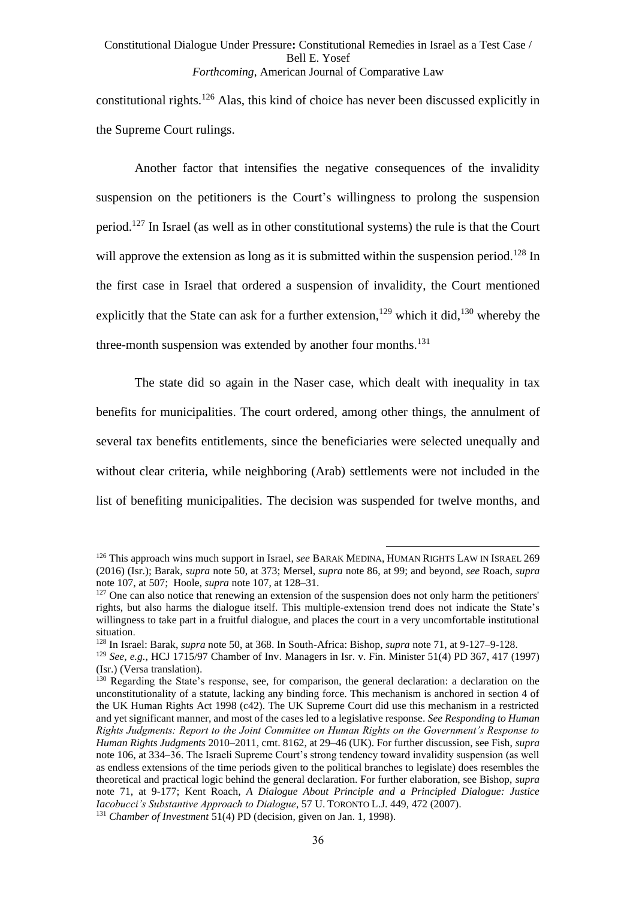constitutional rights.<sup>126</sup> Alas, this kind of choice has never been discussed explicitly in the Supreme Court rulings.

Another factor that intensifies the negative consequences of the invalidity suspension on the petitioners is the Court's willingness to prolong the suspension period.<sup>127</sup> In Israel (as well as in other constitutional systems) the rule is that the Court will approve the extension as long as it is submitted within the suspension period.<sup>128</sup> In the first case in Israel that ordered a suspension of invalidity, the Court mentioned explicitly that the State can ask for a further extension,<sup>129</sup> which it did,<sup>130</sup> whereby the three-month suspension was extended by another four months.<sup>131</sup>

<span id="page-35-0"></span>The state did so again in the Naser case, which dealt with inequality in tax benefits for municipalities. The court ordered, among other things, the annulment of several tax benefits entitlements, since the beneficiaries were selected unequally and without clear criteria, while neighboring (Arab) settlements were not included in the list of benefiting municipalities. The decision was suspended for twelve months, and

<sup>128</sup> In Israel: Barak, *supra* not[e 50,](#page-15-1) at 368. In South-Africa: Bishop, *supra* note [71,](#page-21-2) at 9-127–9-128.

<sup>126</sup> This approach wins much support in Israel, *see* BARAK MEDINA, HUMAN RIGHTS LAW IN ISRAEL 269 (2016) (Isr.); Barak, *supra* note [50,](#page-15-1) at 373; Mersel, *supra* note [86,](#page-25-0) at 99; and beyond, *see* Roach, *supra* not[e 107,](#page-30-0) at 507; Hoole, *supra* not[e 107,](#page-30-0) at 128–31.

 $127$  One can also notice that renewing an extension of the suspension does not only harm the petitioners' rights, but also harms the dialogue itself. This multiple-extension trend does not indicate the State's willingness to take part in a fruitful dialogue, and places the court in a very uncomfortable institutional situation.

<sup>129</sup> *See, e.g.*, HCJ 1715/97 Chamber of Inv. Managers in Isr. v. Fin. Minister 51(4) PD 367, 417 (1997) (Isr.) (Versa translation).

<sup>&</sup>lt;sup>130</sup> Regarding the State's response, see, for comparison, the general declaration: a declaration on the unconstitutionality of a statute, lacking any binding force. This mechanism is anchored in section 4 of the UK Human Rights Act 1998 (c42). The UK Supreme Court did use this mechanism in a restricted and yet significant manner, and most of the cases led to a legislative response. *See Responding to Human Rights Judgments: Report to the Joint Committee on Human Rights on the Government's Response to Human Rights Judgments* 2010–2011, cmt. 8162, at 29–46 (UK). For further discussion, see Fish, *supra* not[e 106,](#page-30-1) at 334–36. The Israeli Supreme Court's strong tendency toward invalidity suspension (as well as endless extensions of the time periods given to the political branches to legislate) does resembles the theoretical and practical logic behind the general declaration. For further elaboration, see Bishop, *supra* note [71,](#page-21-2) at 9-177; Kent Roach*, A Dialogue About Principle and a Principled Dialogue: Justice Iacobucci's Substantive Approach to Dialogue, 57 U. TORONTO L.J. 449, 472 (2007).* <sup>131</sup> *Chamber of Investment* 51(4) PD (decision, given on Jan. 1, 1998).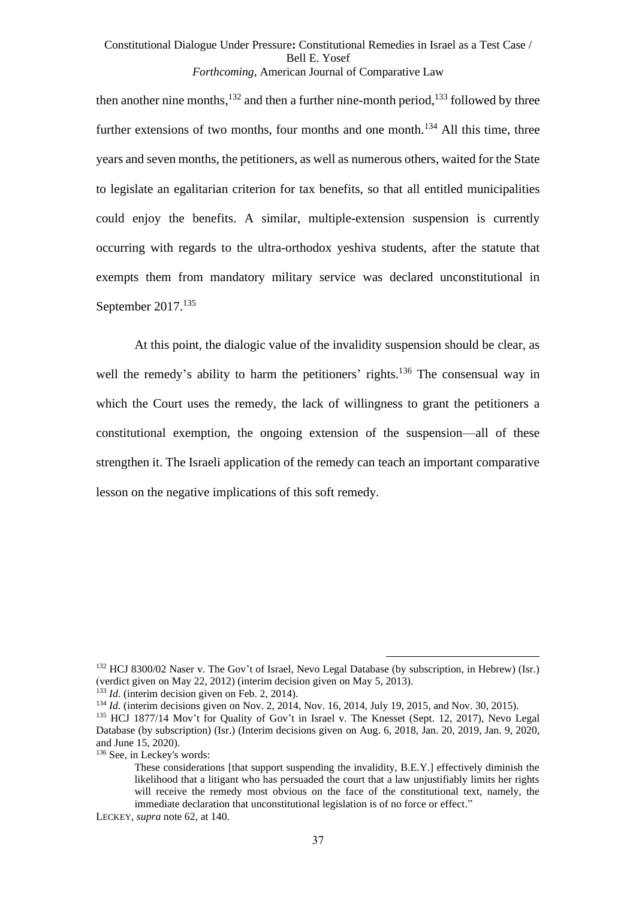then another nine months,  $^{132}$  and then a further nine-month period,  $^{133}$  followed by three further extensions of two months, four months and one month.<sup>134</sup> All this time, three years and seven months, the petitioners, as well as numerous others, waited for the State to legislate an egalitarian criterion for tax benefits, so that all entitled municipalities could enjoy the benefits. A similar, multiple-extension suspension is currently occurring with regards to the ultra-orthodox yeshiva students, after the statute that exempts them from mandatory military service was declared unconstitutional in September 2017.<sup>135</sup>

At this point, the dialogic value of the invalidity suspension should be clear, as well the remedy's ability to harm the petitioners' rights.<sup>136</sup> The consensual way in which the Court uses the remedy, the lack of willingness to grant the petitioners a constitutional exemption, the ongoing extension of the suspension—all of these strengthen it. The Israeli application of the remedy can teach an important comparative lesson on the negative implications of this soft remedy.

<sup>136</sup> See, in Leckey's words:

<sup>132</sup> HCJ 8300/02 Naser v. The Gov't of Israel, Nevo Legal Database (by subscription, in Hebrew) (Isr.) (verdict given on May 22, 2012) (interim decision given on May 5, 2013).

 $^{133}$  *Id.* (interim decision given on Feb. 2, 2014).

<sup>&</sup>lt;sup>134</sup> *Id.* (interim decisions given on Nov. 2, 2014, Nov. 16, 2014, July 19, 2015, and Nov. 30, 2015).

<sup>135</sup> HCJ 1877/14 Mov't for Quality of Gov't in Israel v. The Knesset (Sept. 12, 2017), Nevo Legal Database (by subscription) (Isr.) (Interim decisions given on Aug. 6, 2018, Jan. 20, 2019, Jan. 9, 2020, and June 15, 2020).

These considerations [that support suspending the invalidity, B.E.Y.] effectively diminish the likelihood that a litigant who has persuaded the court that a law unjustifiably limits her rights will receive the remedy most obvious on the face of the constitutional text, namely, the immediate declaration that unconstitutional legislation is of no force or effect."

LECKEY, *supra* note [62,](#page-18-0) at 140.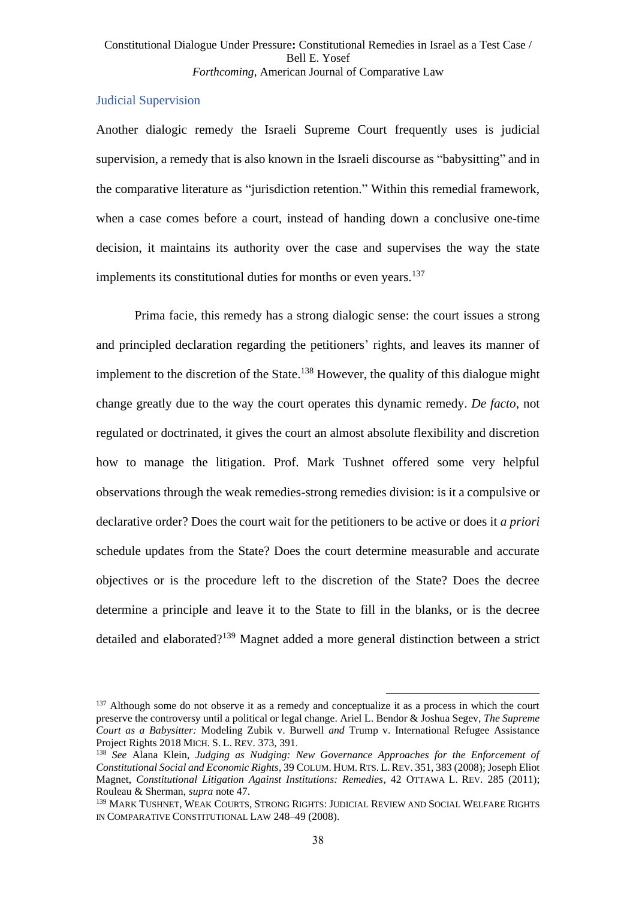## Judicial Supervision

Another dialogic remedy the Israeli Supreme Court frequently uses is judicial supervision, a remedy that is also known in the Israeli discourse as "babysitting" and in the comparative literature as "jurisdiction retention." Within this remedial framework, when a case comes before a court, instead of handing down a conclusive one-time decision, it maintains its authority over the case and supervises the way the state implements its constitutional duties for months or even years.<sup>137</sup>

<span id="page-37-0"></span>Prima facie, this remedy has a strong dialogic sense: the court issues a strong and principled declaration regarding the petitioners' rights, and leaves its manner of implement to the discretion of the State.<sup>138</sup> However, the quality of this dialogue might change greatly due to the way the court operates this dynamic remedy. *De facto*, not regulated or doctrinated, it gives the court an almost absolute flexibility and discretion how to manage the litigation. Prof. Mark Tushnet offered some very helpful observations through the weak remedies-strong remedies division: is it a compulsive or declarative order? Does the court wait for the petitioners to be active or does it *a priori* schedule updates from the State? Does the court determine measurable and accurate objectives or is the procedure left to the discretion of the State? Does the decree determine a principle and leave it to the State to fill in the blanks, or is the decree detailed and elaborated?<sup>139</sup> Magnet added a more general distinction between a strict

<sup>&</sup>lt;sup>137</sup> Although some do not observe it as a remedy and conceptualize it as a process in which the court preserve the controversy until a political or legal change. Ariel L. Bendor & Joshua Segev, *The Supreme Court as a Babysitter:* Modeling Zubik v. Burwell *and* Trump v. International Refugee Assistance Project Rights 2018 MICH. S. L. REV. 373, 391 .

<sup>138</sup> *See* Alana Klein, *Judging as Nudging: New Governance Approaches for the Enforcement of Constitutional Social and Economic Rights*, 39 COLUM. HUM. RTS. L. REV. 351, 383 (2008); Joseph Eliot Magnet, *Constitutional Litigation Against Institutions: Remedies*, 42 OTTAWA L. REV. 285 (2011); Rouleau & Sherman, *supra* not[e 47.](#page-15-2)

<sup>139</sup> MARK TUSHNET, WEAK COURTS, STRONG RIGHTS: JUDICIAL REVIEW AND SOCIAL WELFARE RIGHTS IN COMPARATIVE CONSTITUTIONAL LAW 248–49 (2008).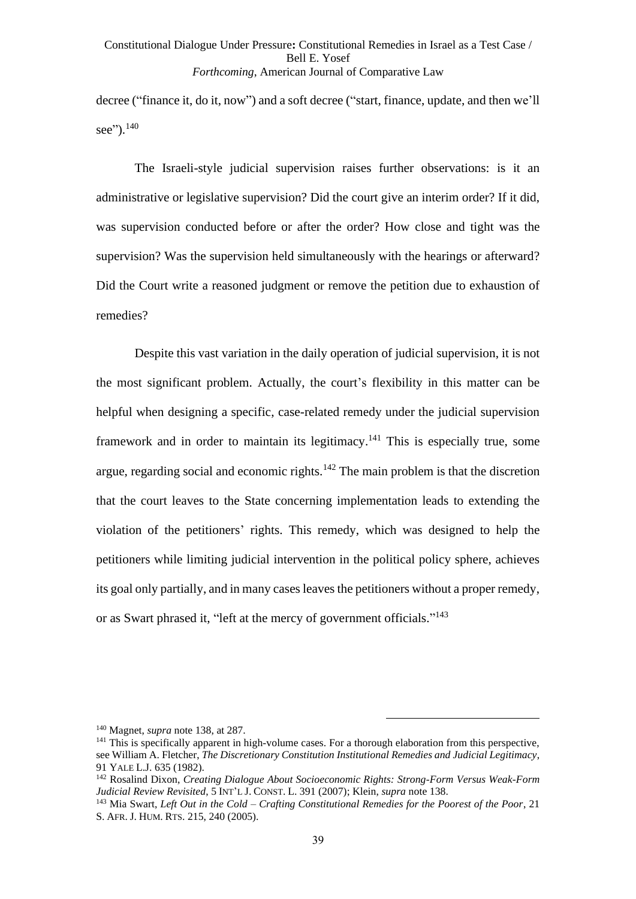decree ("finance it, do it, now") and a soft decree ("start, finance, update, and then we'll see").<sup>140</sup>

The Israeli-style judicial supervision raises further observations: is it an administrative or legislative supervision? Did the court give an interim order? If it did, was supervision conducted before or after the order? How close and tight was the supervision? Was the supervision held simultaneously with the hearings or afterward? Did the Court write a reasoned judgment or remove the petition due to exhaustion of remedies?

Despite this vast variation in the daily operation of judicial supervision, it is not the most significant problem. Actually, the court's flexibility in this matter can be helpful when designing a specific, case-related remedy under the judicial supervision framework and in order to maintain its legitimacy.<sup>141</sup> This is especially true, some argue, regarding social and economic rights. $142$  The main problem is that the discretion that the court leaves to the State concerning implementation leads to extending the violation of the petitioners' rights. This remedy, which was designed to help the petitioners while limiting judicial intervention in the political policy sphere, achieves its goal only partially, and in many cases leaves the petitioners without a proper remedy, or as Swart phrased it, "left at the mercy of government officials."<sup>143</sup>

<sup>140</sup> Magnet, *supra* note [138,](#page-37-0) at 287.

<sup>&</sup>lt;sup>141</sup> This is specifically apparent in high-volume cases. For a thorough elaboration from this perspective, see William A. Fletcher, *The Discretionary Constitution Institutional Remedies and Judicial Legitimacy*, 91 YALE L.J. 635 (1982).

<sup>142</sup> Rosalind Dixon, *Creating Dialogue About Socioeconomic Rights: Strong-Form Versus Weak-Form Judicial Review Revisited*, 5 INT'L J. CONST. L. 391 (2007); Klein, *supra* note [138.](#page-37-0)

<sup>143</sup> Mia Swart, *Left Out in the Cold – Crafting Constitutional Remedies for the Poorest of the Poor*, 21 S. AFR. J. HUM. RTS. 215, 240 (2005).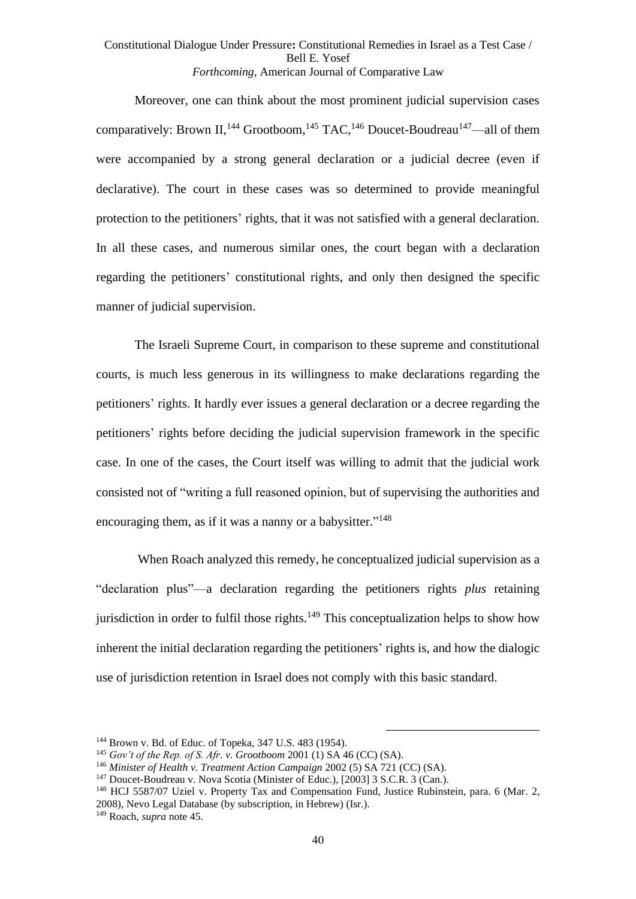Moreover, one can think about the most prominent judicial supervision cases comparatively: Brown II,<sup>144</sup> Grootboom,<sup>145</sup> TAC,<sup>146</sup> Doucet-Boudreau<sup>147</sup>—all of them were accompanied by a strong general declaration or a judicial decree (even if declarative). The court in these cases was so determined to provide meaningful protection to the petitioners' rights, that it was not satisfied with a general declaration. In all these cases, and numerous similar ones, the court began with a declaration regarding the petitioners' constitutional rights, and only then designed the specific manner of judicial supervision.

The Israeli Supreme Court, in comparison to these supreme and constitutional courts, is much less generous in its willingness to make declarations regarding the petitioners' rights. It hardly ever issues a general declaration or a decree regarding the petitioners' rights before deciding the judicial supervision framework in the specific case. In one of the cases, the Court itself was willing to admit that the judicial work consisted not of "writing a full reasoned opinion, but of supervising the authorities and encouraging them, as if it was a nanny or a babysitter."<sup>148</sup>

When Roach analyzed this remedy, he conceptualized judicial supervision as a "declaration plus"—a declaration regarding the petitioners rights *plus* retaining jurisdiction in order to fulfil those rights.<sup>149</sup> This conceptualization helps to show how inherent the initial declaration regarding the petitioners' rights is, and how the dialogic use of jurisdiction retention in Israel does not comply with this basic standard.

<sup>148</sup> HCJ 5587/07 Uziel v. Property Tax and Compensation Fund, Justice Rubinstein, para. 6 (Mar. 2, 2008), Nevo Legal Database (by subscription, in Hebrew) (Isr.). <sup>149</sup> Roach, *supra* note [45.](#page-14-1)

<sup>144</sup> Brown v. Bd. of Educ. of Topeka, 347 U.S. 483 (1954).

<sup>145</sup> *Gov't of the Rep. of S. Afr. v. Grootboom* 2001 (1) SA 46 (CC) (SA).

<sup>146</sup> *Minister of Health v. Treatment Action Campaign* 2002 (5) SA 721 (CC) (SA).

<sup>&</sup>lt;sup>147</sup> Doucet-Boudreau v. Nova Scotia (Minister of Educ.), [2003] 3 S.C.R. 3 (Can.).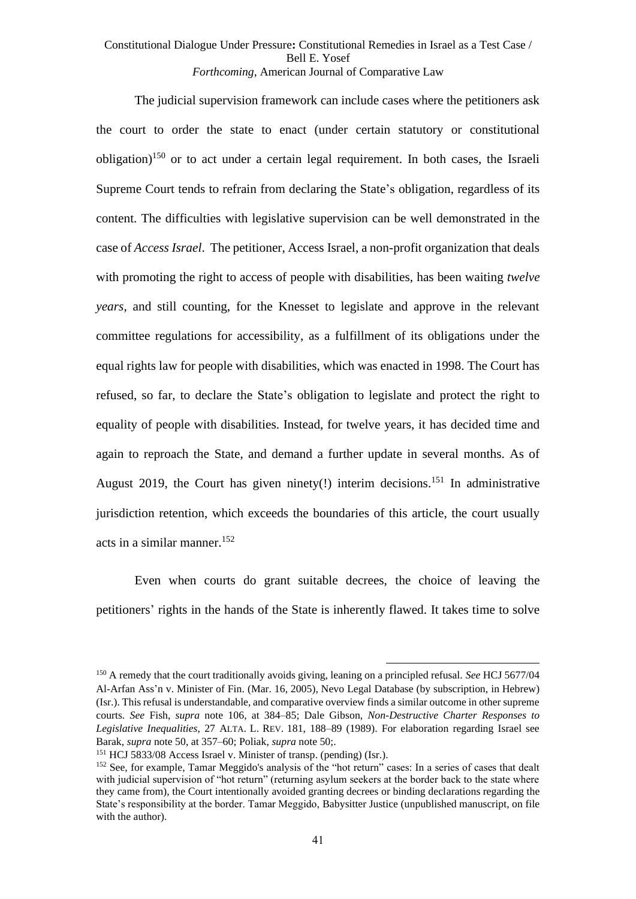The judicial supervision framework can include cases where the petitioners ask the court to order the state to enact (under certain statutory or constitutional obligation)<sup>150</sup> or to act under a certain legal requirement. In both cases, the Israeli Supreme Court tends to refrain from declaring the State's obligation, regardless of its content. The difficulties with legislative supervision can be well demonstrated in the case of *Access Israel*. The petitioner, Access Israel, a non-profit organization that deals with promoting the right to access of people with disabilities, has been waiting *twelve years*, and still counting, for the Knesset to legislate and approve in the relevant committee regulations for accessibility, as a fulfillment of its obligations under the equal rights law for people with disabilities, which was enacted in 1998. The Court has refused, so far, to declare the State's obligation to legislate and protect the right to equality of people with disabilities. Instead, for twelve years, it has decided time and again to reproach the State, and demand a further update in several months. As of August 2019, the Court has given ninety(!) interim decisions.<sup>151</sup> In administrative jurisdiction retention, which exceeds the boundaries of this article, the court usually acts in a similar manner. 152

Even when courts do grant suitable decrees, the choice of leaving the petitioners' rights in the hands of the State is inherently flawed. It takes time to solve

<sup>150</sup> A remedy that the court traditionally avoids giving, leaning on a principled refusal. *See* HCJ 5677/04 Al-Arfan Ass'n v. Minister of Fin. (Mar. 16, 2005), Nevo Legal Database (by subscription, in Hebrew) (Isr.). This refusal is understandable, and comparative overview finds a similar outcome in other supreme courts. *See* Fish, *supra* note [106,](#page-30-1) at 384–85; Dale Gibson, *Non-Destructive Charter Responses to Legislative Inequalities*, 27 ALTA. L. REV. 181, 188–89 (1989). For elaboration regarding Israel see Barak, *supra* note [50,](#page-15-1) at 357–60; Poliak, *supra* not[e 50;](#page-15-1).

<sup>151</sup> HCJ 5833/08 Access Israel v. Minister of transp. (pending) (Isr.).

<sup>&</sup>lt;sup>152</sup> See, for example, Tamar Meggido's analysis of the "hot return" cases: In a series of cases that dealt with judicial supervision of "hot return" (returning asylum seekers at the border back to the state where they came from), the Court intentionally avoided granting decrees or binding declarations regarding the State's responsibility at the border. Tamar Meggido, Babysitter Justice (unpublished manuscript, on file with the author).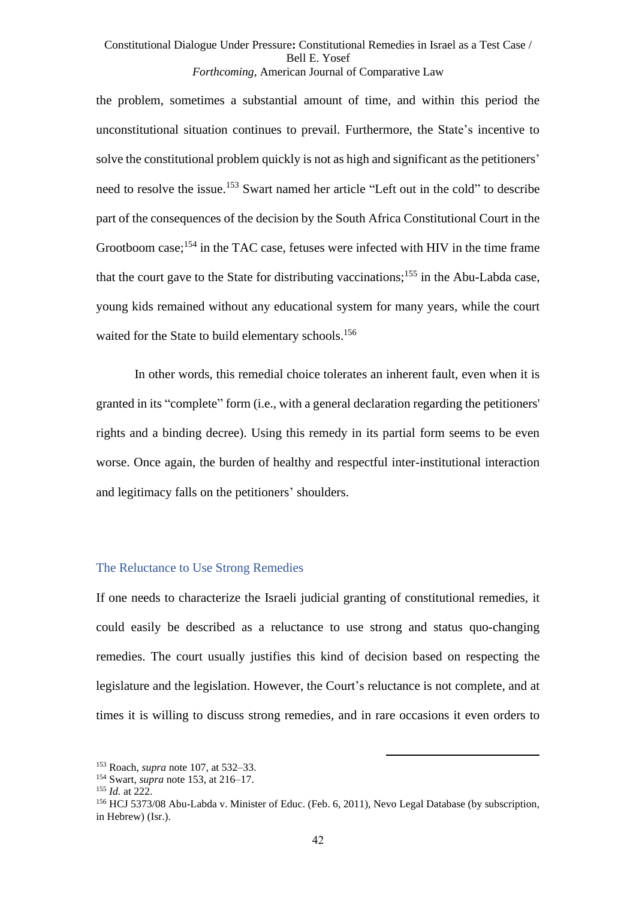<span id="page-41-0"></span>the problem, sometimes a substantial amount of time, and within this period the unconstitutional situation continues to prevail. Furthermore, the State's incentive to solve the constitutional problem quickly is not as high and significant as the petitioners' need to resolve the issue. <sup>153</sup> Swart named her article "Left out in the cold" to describe part of the consequences of the decision by the South Africa Constitutional Court in the Grootboom case;<sup>154</sup> in the TAC case, fetuses were infected with HIV in the time frame that the court gave to the State for distributing vaccinations; <sup>155</sup> in the Abu-Labda case, young kids remained without any educational system for many years, while the court waited for the State to build elementary schools.<sup>156</sup>

In other words, this remedial choice tolerates an inherent fault, even when it is granted in its "complete" form (i.e., with a general declaration regarding the petitioners' rights and a binding decree). Using this remedy in its partial form seems to be even worse. Once again, the burden of healthy and respectful inter-institutional interaction and legitimacy falls on the petitioners' shoulders.

# The Reluctance to Use Strong Remedies

If one needs to characterize the Israeli judicial granting of constitutional remedies, it could easily be described as a reluctance to use strong and status quo-changing remedies. The court usually justifies this kind of decision based on respecting the legislature and the legislation. However, the Court's reluctance is not complete, and at times it is willing to discuss strong remedies, and in rare occasions it even orders to

<sup>153</sup> Roach, *supra* note [107,](#page-30-0) at 532–33.

<sup>154</sup> Swart, *supra* not[e 153,](#page-41-0) at 216–17.

<sup>155</sup> *Id.* at 222.

<sup>156</sup> HCJ 5373/08 Abu-Labda v. Minister of Educ. (Feb. 6, 2011), Nevo Legal Database (by subscription, in Hebrew) (Isr.).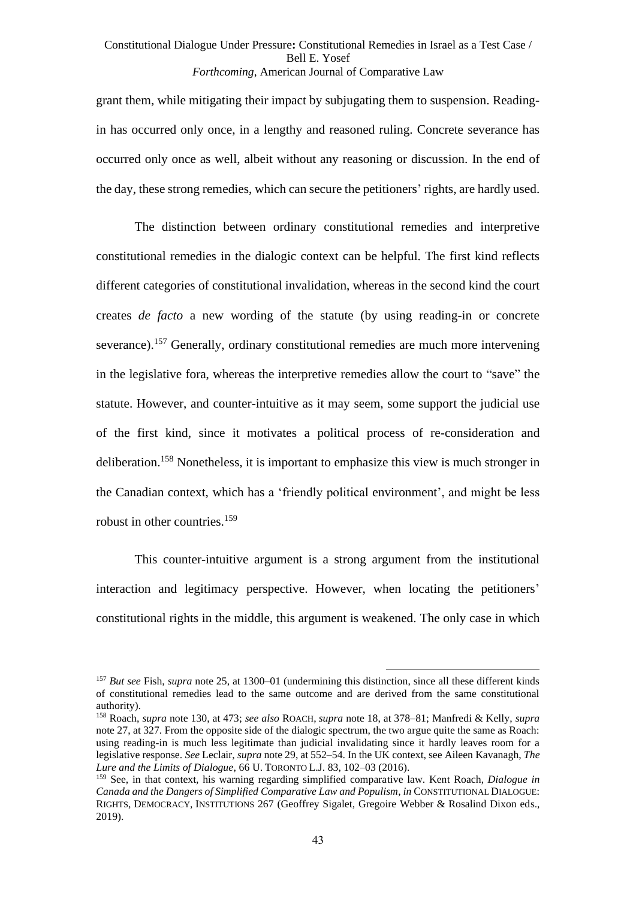grant them, while mitigating their impact by subjugating them to suspension. Readingin has occurred only once, in a lengthy and reasoned ruling. Concrete severance has occurred only once as well, albeit without any reasoning or discussion. In the end of the day, these strong remedies, which can secure the petitioners' rights, are hardly used.

The distinction between ordinary constitutional remedies and interpretive constitutional remedies in the dialogic context can be helpful. The first kind reflects different categories of constitutional invalidation, whereas in the second kind the court creates *de facto* a new wording of the statute (by using reading-in or concrete severance).<sup>157</sup> Generally, ordinary constitutional remedies are much more intervening in the legislative fora, whereas the interpretive remedies allow the court to "save" the statute. However, and counter-intuitive as it may seem, some support the judicial use of the first kind, since it motivates a political process of re-consideration and deliberation.<sup>158</sup> Nonetheless, it is important to emphasize this view is much stronger in the Canadian context, which has a 'friendly political environment', and might be less robust in other countries.<sup>159</sup>

<span id="page-42-0"></span>This counter-intuitive argument is a strong argument from the institutional interaction and legitimacy perspective. However, when locating the petitioners' constitutional rights in the middle, this argument is weakened. The only case in which

<sup>157</sup> *But see* Fish, *supra* note [25,](#page-10-0) at 1300–01 (undermining this distinction, since all these different kinds of constitutional remedies lead to the same outcome and are derived from the same constitutional authority).

<sup>158</sup> Roach, *supra* not[e 130,](#page-35-0) at 473; *see also* ROACH, *supra* note [18,](#page-8-0) at 378–81; Manfredi & Kelly, *supra*  not[e 27,](#page-10-2) at 327. From the opposite side of the dialogic spectrum, the two argue quite the same as Roach: using reading-in is much less legitimate than judicial invalidating since it hardly leaves room for a legislative response. *See* Leclair, *supra* not[e 29,](#page-11-1) at 552–54. In the UK context, see Aileen Kavanagh, *The Lure and the Limits of Dialogue*, 66 U. TORONTO L.J. 83, 102–03 (2016).

<sup>159</sup> See, in that context, his warning regarding simplified comparative law. Kent Roach, *Dialogue in Canada and the Dangers of Simplified Comparative Law and Populism*, *in* CONSTITUTIONAL DIALOGUE: RIGHTS, DEMOCRACY, INSTITUTIONS 267 (Geoffrey Sigalet, Gregoire Webber & Rosalind Dixon eds., 2019).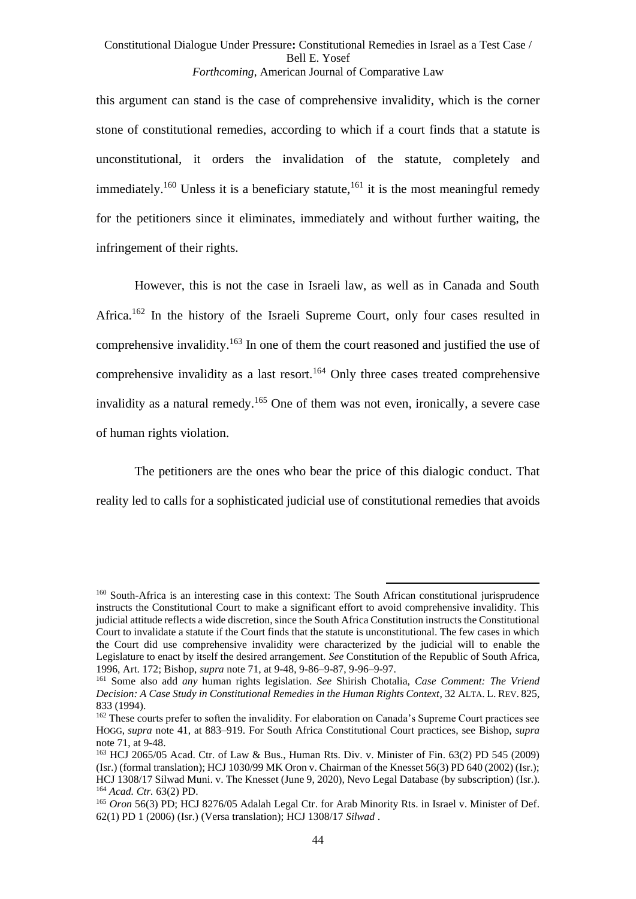this argument can stand is the case of comprehensive invalidity, which is the corner stone of constitutional remedies, according to which if a court finds that a statute is unconstitutional, it orders the invalidation of the statute, completely and immediately.<sup>160</sup> Unless it is a beneficiary statute,<sup>161</sup> it is the most meaningful remedy for the petitioners since it eliminates, immediately and without further waiting, the infringement of their rights.

However, this is not the case in Israeli law, as well as in Canada and South Africa.<sup>162</sup> In the history of the Israeli Supreme Court, only four cases resulted in comprehensive invalidity.<sup>163</sup> In one of them the court reasoned and justified the use of comprehensive invalidity as a last resort.<sup>164</sup> Only three cases treated comprehensive invalidity as a natural remedy.<sup>165</sup> One of them was not even, ironically, a severe case of human rights violation.

The petitioners are the ones who bear the price of this dialogic conduct. That reality led to calls for a sophisticated judicial use of constitutional remedies that avoids

<sup>160</sup> South-Africa is an interesting case in this context: The South African constitutional jurisprudence instructs the Constitutional Court to make a significant effort to avoid comprehensive invalidity. This judicial attitude reflects a wide discretion, since the South Africa Constitution instructs the Constitutional Court to invalidate a statute if the Court finds that the statute is unconstitutional. The few cases in which the Court did use comprehensive invalidity were characterized by the judicial will to enable the Legislature to enact by itself the desired arrangement. *See* Constitution of the Republic of South Africa, 1996, Art. 172; Bishop, *supra* note [71,](#page-21-2) at 9-48, 9-86–9-87, 9-96–9-97.

<sup>161</sup> Some also add *any* human rights legislation. *See* Shirish Chotalia, *Case Comment: The Vriend Decision: A Case Study in Constitutional Remedies in the Human Rights Context*, 32 ALTA. L. REV. 825, 833 (1994).

<sup>&</sup>lt;sup>162</sup> These courts prefer to soften the invalidity. For elaboration on Canada's Supreme Court practices see HOGG, *supra* note [41,](#page-14-0) at 883–919. For South Africa Constitutional Court practices, see Bishop, *supra* not[e 71,](#page-21-2) at 9-48.

<sup>163</sup> HCJ 2065/05 Acad. Ctr. of Law & Bus., Human Rts. Div. v. Minister of Fin. 63(2) PD 545 (2009) (Isr.) (formal translation); HCJ 1030/99 MK Oron v. Chairman of the Knesset 56(3) PD 640 (2002) (Isr.); HCJ 1308/17 Silwad Muni. v. The Knesset (June 9, 2020), Nevo Legal Database (by subscription) (Isr.). <sup>164</sup> *Acad. Ctr.* 63(2) PD.

<sup>165</sup> *Oron* 56(3) PD; HCJ 8276/05 Adalah Legal Ctr. for Arab Minority Rts. in Israel v. Minister of Def. 62(1) PD 1 (2006) (Isr.) (Versa translation); HCJ 1308/17 *Silwad* .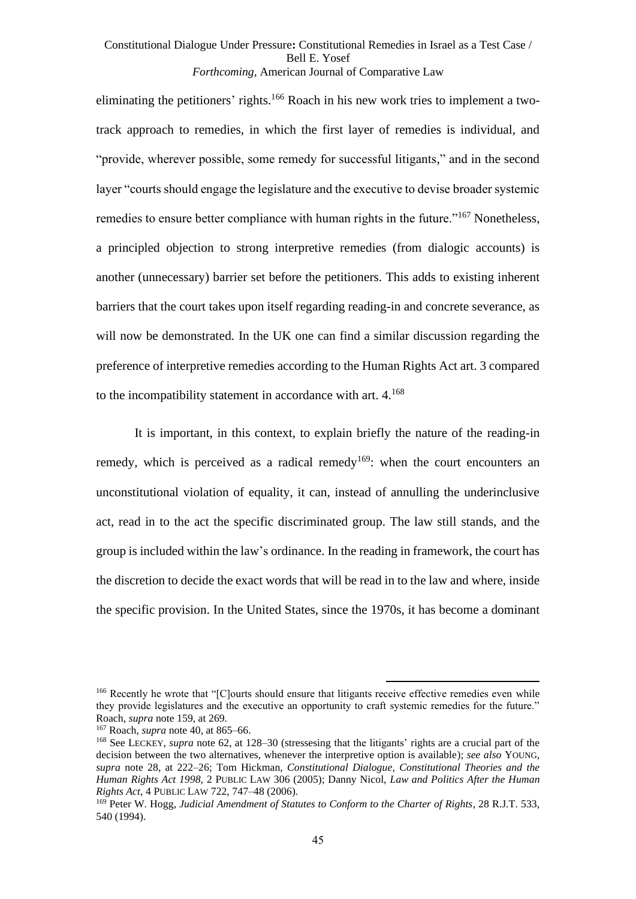eliminating the petitioners' rights.<sup>166</sup> Roach in his new work tries to implement a twotrack approach to remedies, in which the first layer of remedies is individual, and "provide, wherever possible, some remedy for successful litigants," and in the second layer "courts should engage the legislature and the executive to devise broader systemic remedies to ensure better compliance with human rights in the future."<sup>167</sup> Nonetheless, a principled objection to strong interpretive remedies (from dialogic accounts) is another (unnecessary) barrier set before the petitioners. This adds to existing inherent barriers that the court takes upon itself regarding reading-in and concrete severance, as will now be demonstrated. In the UK one can find a similar discussion regarding the preference of interpretive remedies according to the Human Rights Act art. 3 compared to the incompatibility statement in accordance with art.  $4.168$ 

<span id="page-44-0"></span>It is important, in this context, to explain briefly the nature of the reading-in remedy, which is perceived as a radical remedy<sup>169</sup>: when the court encounters an unconstitutional violation of equality, it can, instead of annulling the underinclusive act, read in to the act the specific discriminated group. The law still stands, and the group is included within the law's ordinance. In the reading in framework, the court has the discretion to decide the exact words that will be read in to the law and where, inside the specific provision. In the United States, since the 1970s, it has become a dominant

<sup>&</sup>lt;sup>166</sup> Recently he wrote that "[C]ourts should ensure that litigants receive effective remedies even while they provide legislatures and the executive an opportunity to craft systemic remedies for the future." Roach, *supra* not[e 159,](#page-42-0) at 269.

<sup>167</sup> Roach, *supra* note [40,](#page-13-0) at 865–66.

<sup>168</sup> See LECKEY, *supra* note [62,](#page-18-0) at 128–30 (stressesing that the litigants' rights are a crucial part of the decision between the two alternatives, whenever the interpretive option is available); *see also* YOUNG, *supra* note [28,](#page-11-2) at 222–26; Tom Hickman, *Constitutional Dialogue, Constitutional Theories and the Human Rights Act 1998,* 2 PUBLIC LAW 306 (2005); Danny Nicol, *Law and Politics After the Human Rights Act*, 4 PUBLIC LAW 722, 747–48 (2006).

<sup>169</sup> Peter W. Hogg, *Judicial Amendment of Statutes to Conform to the Charter of Rights*, 28 R.J.T. 533, 540 (1994).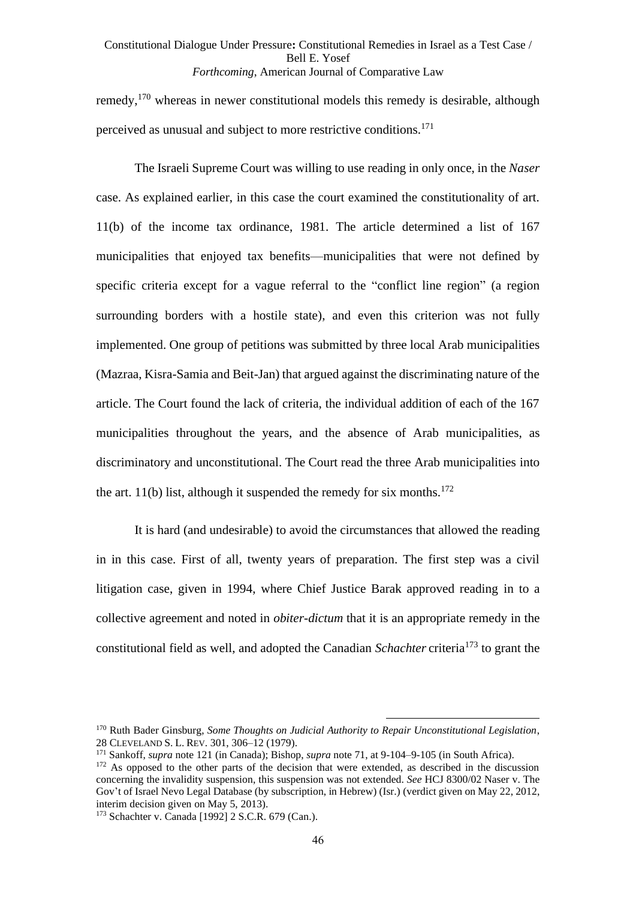remedy,<sup>170</sup> whereas in newer constitutional models this remedy is desirable, although perceived as unusual and subject to more restrictive conditions.<sup>171</sup>

The Israeli Supreme Court was willing to use reading in only once, in the *Naser* case. As explained earlier, in this case the court examined the constitutionality of art. 11(b) of the income tax ordinance, 1981. The article determined a list of 167 municipalities that enjoyed tax benefits—municipalities that were not defined by specific criteria except for a vague referral to the "conflict line region" (a region surrounding borders with a hostile state), and even this criterion was not fully implemented. One group of petitions was submitted by three local Arab municipalities (Mazraa, Kisra-Samia and Beit-Jan) that argued against the discriminating nature of the article. The Court found the lack of criteria, the individual addition of each of the 167 municipalities throughout the years, and the absence of Arab municipalities, as discriminatory and unconstitutional. The Court read the three Arab municipalities into the art. 11(b) list, although it suspended the remedy for six months.<sup>172</sup>

It is hard (and undesirable) to avoid the circumstances that allowed the reading in in this case. First of all, twenty years of preparation. The first step was a civil litigation case, given in 1994, where Chief Justice Barak approved reading in to a collective agreement and noted in *obiter-dictum* that it is an appropriate remedy in the constitutional field as well, and adopted the Canadian *Schachter* criteria<sup>173</sup> to grant the

<sup>170</sup> Ruth Bader Ginsburg, *Some Thoughts on Judicial Authority to Repair Unconstitutional Legislation*, 28 CLEVELAND S. L. REV. 301, 306–12 (1979).

<sup>171</sup> Sankoff, *supra* note [121](#page-33-0) (in Canada); Bishop, *supra* note [71,](#page-21-2) at 9-104–9-105 (in South Africa).

<sup>&</sup>lt;sup>172</sup> As opposed to the other parts of the decision that were extended, as described in the discussion concerning the invalidity suspension, this suspension was not extended. *See* HCJ 8300/02 Naser v. The Gov't of Israel Nevo Legal Database (by subscription, in Hebrew) (Isr.) (verdict given on May 22, 2012, interim decision given on May 5, 2013).

<sup>173</sup> Schachter v. Canada [1992] 2 S.C.R. 679 (Can.).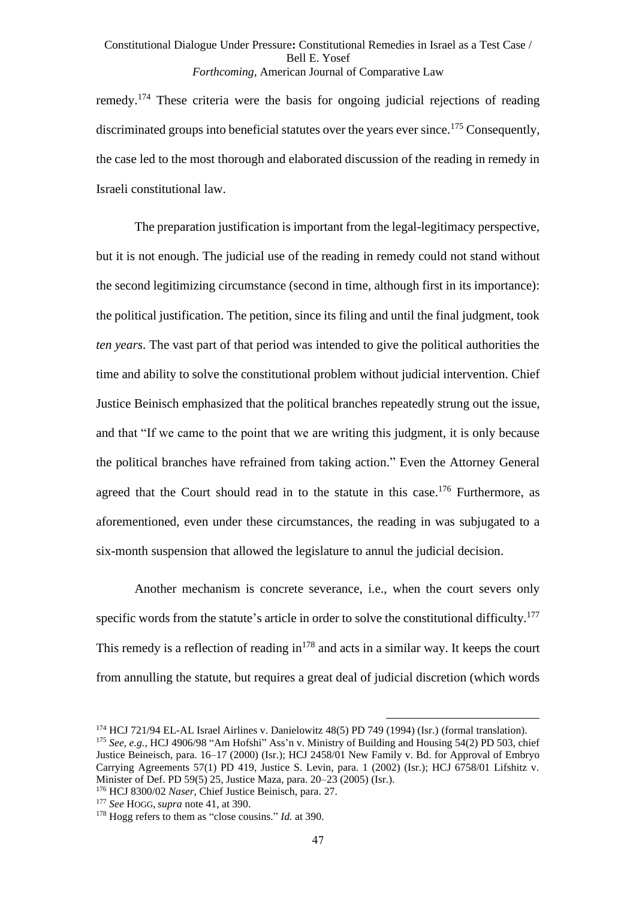remedy.<sup>174</sup> These criteria were the basis for ongoing judicial rejections of reading discriminated groups into beneficial statutes over the years ever since.<sup>175</sup> Consequently, the case led to the most thorough and elaborated discussion of the reading in remedy in Israeli constitutional law.

The preparation justification is important from the legal-legitimacy perspective, but it is not enough. The judicial use of the reading in remedy could not stand without the second legitimizing circumstance (second in time, although first in its importance): the political justification. The petition, since its filing and until the final judgment, took *ten years*. The vast part of that period was intended to give the political authorities the time and ability to solve the constitutional problem without judicial intervention. Chief Justice Beinisch emphasized that the political branches repeatedly strung out the issue, and that "If we came to the point that we are writing this judgment, it is only because the political branches have refrained from taking action." Even the Attorney General agreed that the Court should read in to the statute in this case.<sup>176</sup> Furthermore, as aforementioned, even under these circumstances, the reading in was subjugated to a six-month suspension that allowed the legislature to annul the judicial decision.

Another mechanism is concrete severance, i.e., when the court severs only specific words from the statute's article in order to solve the constitutional difficulty.<sup>177</sup> This remedy is a reflection of reading  $in^{178}$  and acts in a similar way. It keeps the court from annulling the statute, but requires a great deal of judicial discretion (which words

<sup>174</sup> HCJ 721/94 EL-AL Israel Airlines v. Danielowitz 48(5) PD 749 (1994) (Isr.) (formal translation). <sup>175</sup> *See, e.g.*, HCJ 4906/98 "Am Hofshi" Ass'n v. Ministry of Building and Housing 54(2) PD 503, chief Justice Beineisch, para. 16–17 (2000) (Isr.); HCJ 2458/01 New Family v. Bd. for Approval of Embryo Carrying Agreements 57(1) PD 419, Justice S. Levin, para. 1 (2002) (Isr.); HCJ 6758/01 Lifshitz v. Minister of Def. PD 59(5) 25, Justice Maza, para. 20–23 (2005) (Isr.).

<sup>176</sup> HCJ 8300/02 *Naser*, Chief Justice Beinisch, para. 27.

<sup>177</sup> *See* HOGG, *supra* not[e 41,](#page-14-0) at 390.

<sup>178</sup> Hogg refers to them as "close cousins." *Id.* at 390.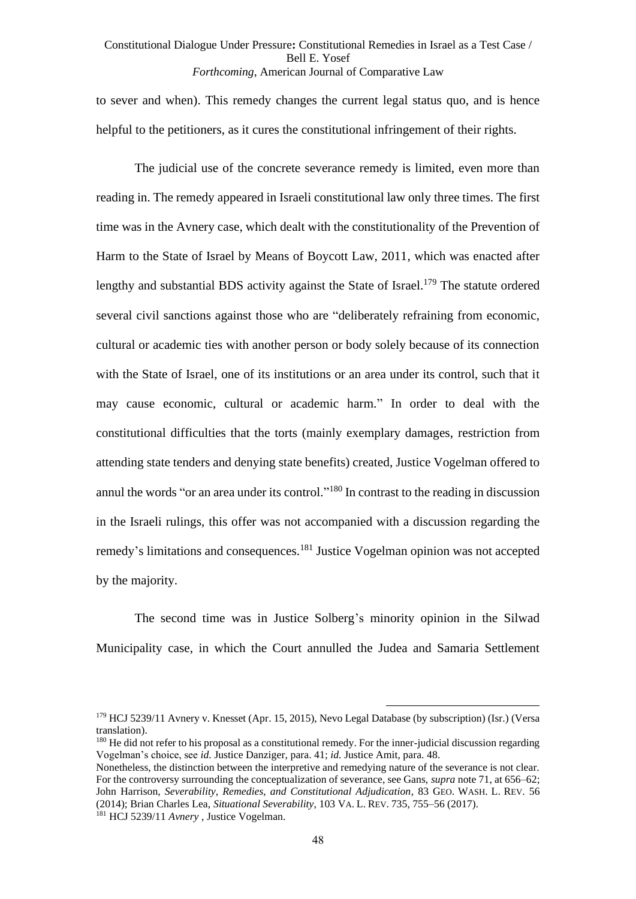to sever and when). This remedy changes the current legal status quo, and is hence helpful to the petitioners, as it cures the constitutional infringement of their rights.

The judicial use of the concrete severance remedy is limited, even more than reading in. The remedy appeared in Israeli constitutional law only three times. The first time was in the Avnery case, which dealt with the constitutionality of the Prevention of Harm to the State of Israel by Means of Boycott Law, 2011, which was enacted after lengthy and substantial BDS activity against the State of Israel.<sup>179</sup> The statute ordered several civil sanctions against those who are "deliberately refraining from economic, cultural or academic ties with another person or body solely because of its connection with the State of Israel, one of its institutions or an area under its control, such that it may cause economic, cultural or academic harm." In order to deal with the constitutional difficulties that the torts (mainly exemplary damages, restriction from attending state tenders and denying state benefits) created, Justice Vogelman offered to annul the words "or an area under its control."<sup>180</sup> In contrast to the reading in discussion in the Israeli rulings, this offer was not accompanied with a discussion regarding the remedy's limitations and consequences.<sup>181</sup> Justice Vogelman opinion was not accepted by the majority.

The second time was in Justice Solberg's minority opinion in the Silwad Municipality case, in which the Court annulled the Judea and Samaria Settlement

<sup>&</sup>lt;sup>179</sup> HCJ 5239/11 Avnery v. Knesset (Apr. 15, 2015), Nevo Legal Database (by subscription) (Isr.) (Versa translation).

<sup>&</sup>lt;sup>180</sup> He did not refer to his proposal as a constitutional remedy. For the inner-judicial discussion regarding Vogelman's choice, see *id.* Justice Danziger, para. 41; *id.* Justice Amit, para. 48.

Nonetheless, the distinction between the interpretive and remedying nature of the severance is not clear. For the controversy surrounding the conceptualization of severance, see Gans, *supra* note [71,](#page-21-2) at 656–62; John Harrison, *Severability, Remedies, and Constitutional Adjudication*, 83 GEO. WASH. L. REV. 56 (2014); Brian Charles Lea, *Situational Severability*, 103 VA. L. REV. 735, 755–56 (2017). <sup>181</sup> HCJ 5239/11 *Avnery* , Justice Vogelman.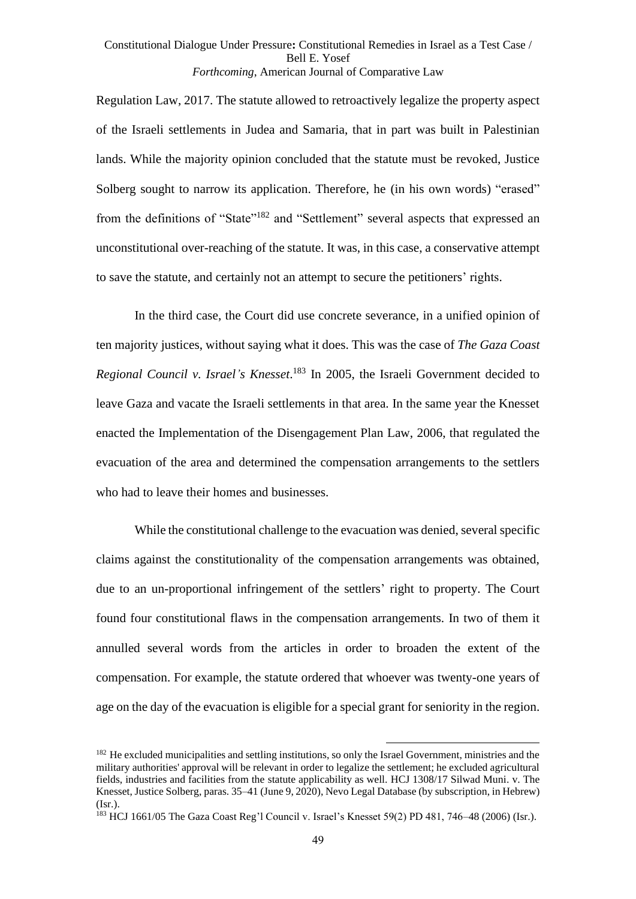Regulation Law, 2017. The statute allowed to retroactively legalize the property aspect of the Israeli settlements in Judea and Samaria, that in part was built in Palestinian lands. While the majority opinion concluded that the statute must be revoked, Justice Solberg sought to narrow its application. Therefore, he (in his own words) "erased" from the definitions of "State"<sup>182</sup> and "Settlement" several aspects that expressed an unconstitutional over-reaching of the statute. It was, in this case, a conservative attempt to save the statute, and certainly not an attempt to secure the petitioners' rights.

In the third case, the Court did use concrete severance, in a unified opinion of ten majority justices, without saying what it does. This was the case of *The Gaza Coast Regional Council v. Israel's Knesset*. <sup>183</sup> In 2005, the Israeli Government decided to leave Gaza and vacate the Israeli settlements in that area. In the same year the Knesset enacted the Implementation of the Disengagement Plan Law, 2006, that regulated the evacuation of the area and determined the compensation arrangements to the settlers who had to leave their homes and businesses.

While the constitutional challenge to the evacuation was denied, several specific claims against the constitutionality of the compensation arrangements was obtained, due to an un-proportional infringement of the settlers' right to property. The Court found four constitutional flaws in the compensation arrangements. In two of them it annulled several words from the articles in order to broaden the extent of the compensation. For example, the statute ordered that whoever was twenty-one years of age on the day of the evacuation is eligible for a special grant for seniority in the region.

<sup>&</sup>lt;sup>182</sup> He excluded municipalities and settling institutions, so only the Israel Government, ministries and the military authorities' approval will be relevant in order to legalize the settlement; he excluded agricultural fields, industries and facilities from the statute applicability as well. HCJ 1308/17 Silwad Muni. v. The Knesset, Justice Solberg, paras. 35–41 (June 9, 2020), Nevo Legal Database (by subscription, in Hebrew)  $(Isr.)$ .

<sup>183</sup> HCJ 1661/05 The Gaza Coast Reg'l Council v. Israel's Knesset 59(2) PD 481, 746–48 (2006) (Isr.).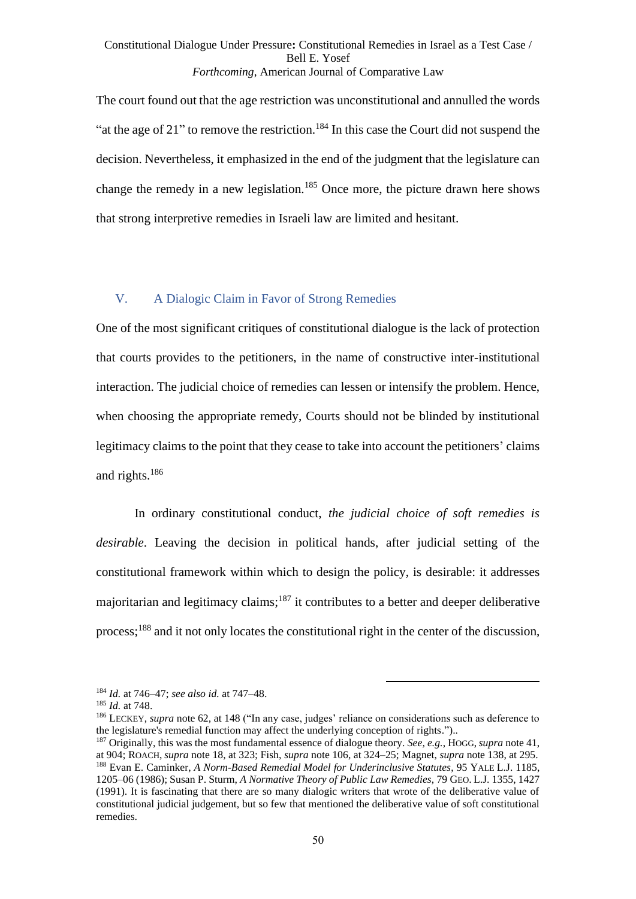The court found out that the age restriction was unconstitutional and annulled the words "at the age of 21" to remove the restriction.<sup>184</sup> In this case the Court did not suspend the decision. Nevertheless, it emphasized in the end of the judgment that the legislature can change the remedy in a new legislation.<sup>185</sup> Once more, the picture drawn here shows that strong interpretive remedies in Israeli law are limited and hesitant.

# V. A Dialogic Claim in Favor of Strong Remedies

One of the most significant critiques of constitutional dialogue is the lack of protection that courts provides to the petitioners, in the name of constructive inter-institutional interaction. The judicial choice of remedies can lessen or intensify the problem. Hence, when choosing the appropriate remedy, Courts should not be blinded by institutional legitimacy claims to the point that they cease to take into account the petitioners' claims and rights.<sup>186</sup>

In ordinary constitutional conduct, *the judicial choice of soft remedies is desirable*. Leaving the decision in political hands, after judicial setting of the constitutional framework within which to design the policy, is desirable: it addresses majoritarian and legitimacy claims; $187$  it contributes to a better and deeper deliberative process;<sup>188</sup> and it not only locates the constitutional right in the center of the discussion,

<sup>184</sup> *Id.* at 746–47; *see also id.* at 747–48.

<sup>185</sup> *Id.* at 748.

<sup>186</sup> LECKEY, *supra* note [62,](#page-18-0) at 148 ("In any case, judges' reliance on considerations such as deference to the legislature's remedial function may affect the underlying conception of rights.")..

<sup>187</sup> Originally, this was the most fundamental essence of dialogue theory. *See, e.g.*, HOGG, *supra* note [41,](#page-14-0) at 904; ROACH, *supra* note [18,](#page-8-0) at 323; Fish, *supra* note [106,](#page-30-1) at 324–25; Magnet, *supra* not[e 138,](#page-37-0) at 295. <sup>188</sup> Evan E. Caminker, *A Norm-Based Remedial Model for Underinclusive Statutes*, 95 YALE L.J. 1185, 1205–06 (1986); Susan P. Sturm, *A Normative Theory of Public Law Remedies*, 79 GEO. L.J. 1355, 1427 (1991). It is fascinating that there are so many dialogic writers that wrote of the deliberative value of constitutional judicial judgement, but so few that mentioned the deliberative value of soft constitutional remedies.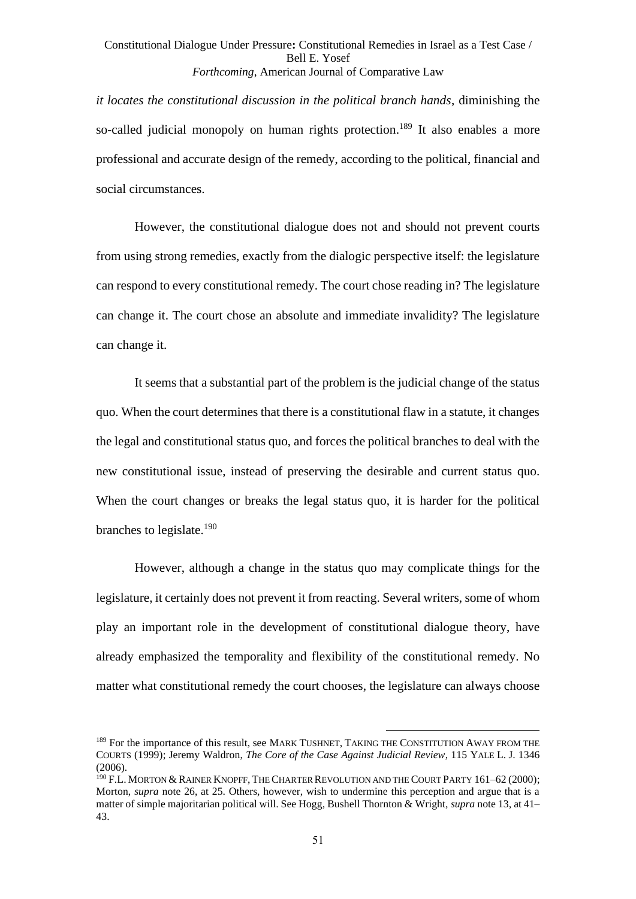*it locates the constitutional discussion in the political branch hands*, diminishing the so-called judicial monopoly on human rights protection.<sup>189</sup> It also enables a more professional and accurate design of the remedy, according to the political, financial and social circumstances.

However, the constitutional dialogue does not and should not prevent courts from using strong remedies, exactly from the dialogic perspective itself: the legislature can respond to every constitutional remedy. The court chose reading in? The legislature can change it. The court chose an absolute and immediate invalidity? The legislature can change it.

It seems that a substantial part of the problem is the judicial change of the status quo. When the court determines that there is a constitutional flaw in a statute, it changes the legal and constitutional status quo, and forces the political branches to deal with the new constitutional issue, instead of preserving the desirable and current status quo. When the court changes or breaks the legal status quo, it is harder for the political branches to legislate.<sup>190</sup>

However, although a change in the status quo may complicate things for the legislature, it certainly does not prevent it from reacting. Several writers, some of whom play an important role in the development of constitutional dialogue theory, have already emphasized the temporality and flexibility of the constitutional remedy. No matter what constitutional remedy the court chooses, the legislature can always choose

<sup>&</sup>lt;sup>189</sup> For the importance of this result, see MARK TUSHNET, TAKING THE CONSTITUTION AWAY FROM THE COURTS (1999); Jeremy Waldron, *The Core of the Case Against Judicial Review*, 115 YALE L. J. 1346 (2006).

<sup>&</sup>lt;sup>190</sup> F.L. MORTON & RAINER KNOPFF, THE CHARTER REVOLUTION AND THE COURT PARTY 161–62 (2000); Morton, *supra* note [26,](#page-10-1) at 25. Others, however, wish to undermine this perception and argue that is a matter of simple majoritarian political will. See Hogg, Bushell Thornton & Wright, *supra* not[e 13,](#page-6-0) at 41– 43.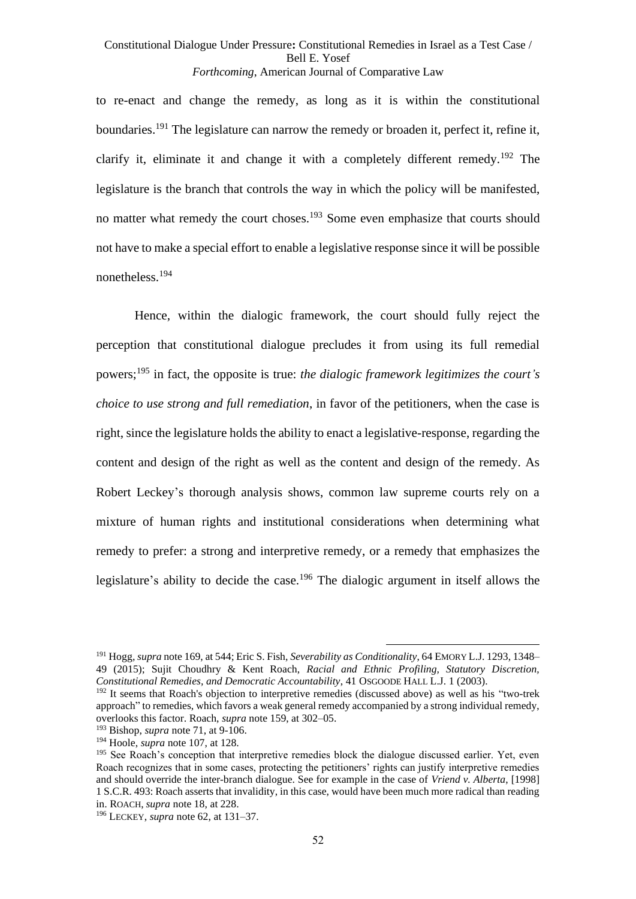to re-enact and change the remedy, as long as it is within the constitutional boundaries.<sup>191</sup> The legislature can narrow the remedy or broaden it, perfect it, refine it, clarify it, eliminate it and change it with a completely different remedy.<sup>192</sup> The legislature is the branch that controls the way in which the policy will be manifested, no matter what remedy the court choses.<sup>193</sup> Some even emphasize that courts should not have to make a special effort to enable a legislative response since it will be possible nonetheless.<sup>194</sup>

Hence, within the dialogic framework, the court should fully reject the perception that constitutional dialogue precludes it from using its full remedial powers; <sup>195</sup> in fact, the opposite is true: *the dialogic framework legitimizes the court's choice to use strong and full remediation*, in favor of the petitioners, when the case is right, since the legislature holds the ability to enact a legislative-response, regarding the content and design of the right as well as the content and design of the remedy. As Robert Leckey's thorough analysis shows, common law supreme courts rely on a mixture of human rights and institutional considerations when determining what remedy to prefer: a strong and interpretive remedy, or a remedy that emphasizes the legislature's ability to decide the case.<sup>196</sup> The dialogic argument in itself allows the

<sup>191</sup> Hogg, *supra* not[e 169,](#page-44-0) at 544; Eric S. Fish, *Severability as Conditionality*, 64 EMORY L.J. 1293, 1348– 49 (2015); Sujit Choudhry & Kent Roach, *Racial and Ethnic Profiling, Statutory Discretion, Constitutional Remedies, and Democratic Accountability*, 41 OSGOODE HALL L.J. 1 (2003).

<sup>&</sup>lt;sup>192</sup> It seems that Roach's objection to interpretive remedies (discussed above) as well as his "two-trek approach" to remedies, which favors a weak general remedy accompanied by a strong individual remedy, overlooks this factor. Roach, *supra* not[e 159,](#page-42-0) at 302–05.

<sup>193</sup> Bishop, *supra* not[e 71,](#page-21-2) at 9-106.

<sup>194</sup> Hoole, *supra* not[e 107,](#page-30-0) at 128.

<sup>&</sup>lt;sup>195</sup> See Roach's conception that interpretive remedies block the dialogue discussed earlier. Yet, even Roach recognizes that in some cases, protecting the petitioners' rights can justify interpretive remedies and should override the inter-branch dialogue. See for example in the case of *Vriend v. Alberta*, [1998] 1 S.C.R. 493: Roach asserts that invalidity, in this case, would have been much more radical than reading in. ROACH, *supra* not[e 18,](#page-8-0) at 228.

<sup>196</sup> LECKEY, *supra* note [62,](#page-18-0) at 131–37.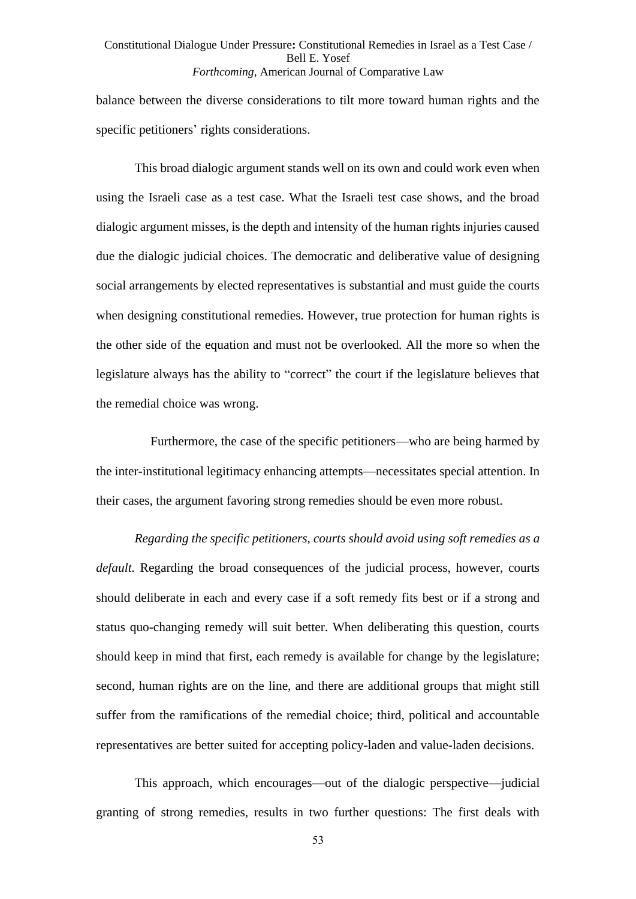balance between the diverse considerations to tilt more toward human rights and the specific petitioners' rights considerations.

This broad dialogic argument stands well on its own and could work even when using the Israeli case as a test case. What the Israeli test case shows, and the broad dialogic argument misses, is the depth and intensity of the human rights injuries caused due the dialogic judicial choices. The democratic and deliberative value of designing social arrangements by elected representatives is substantial and must guide the courts when designing constitutional remedies. However, true protection for human rights is the other side of the equation and must not be overlooked. All the more so when the legislature always has the ability to "correct" the court if the legislature believes that the remedial choice was wrong.

 Furthermore, the case of the specific petitioners—who are being harmed by the inter-institutional legitimacy enhancing attempts—necessitates special attention. In their cases, the argument favoring strong remedies should be even more robust.

*Regarding the specific petitioners, courts should avoid using soft remedies as a default.* Regarding the broad consequences of the judicial process, however, courts should deliberate in each and every case if a soft remedy fits best or if a strong and status quo-changing remedy will suit better. When deliberating this question, courts should keep in mind that first, each remedy is available for change by the legislature; second, human rights are on the line, and there are additional groups that might still suffer from the ramifications of the remedial choice; third, political and accountable representatives are better suited for accepting policy-laden and value-laden decisions.

This approach, which encourages—out of the dialogic perspective—judicial granting of strong remedies, results in two further questions: The first deals with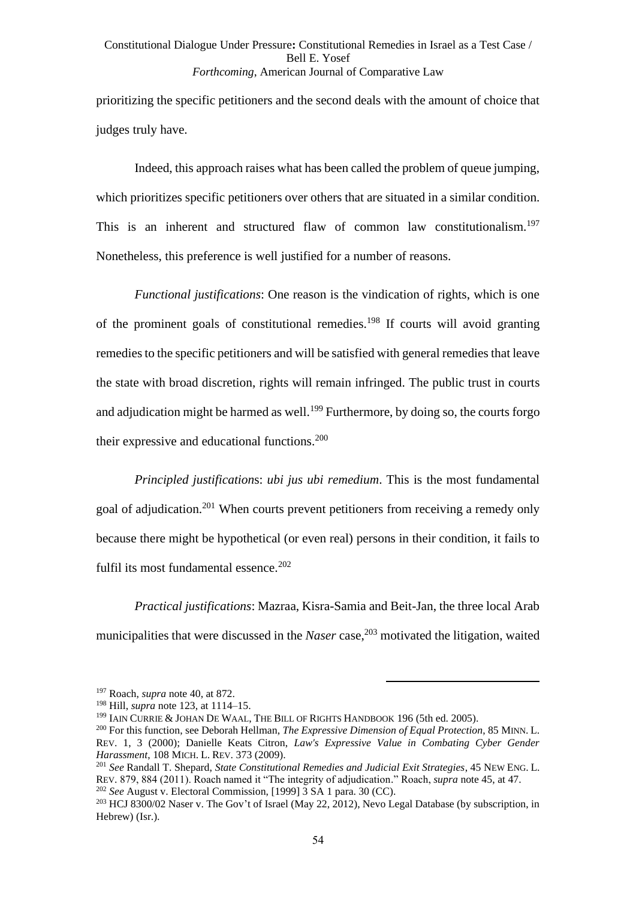prioritizing the specific petitioners and the second deals with the amount of choice that judges truly have.

Indeed, this approach raises what has been called the problem of queue jumping, which prioritizes specific petitioners over others that are situated in a similar condition. This is an inherent and structured flaw of common law constitutionalism.<sup>197</sup> Nonetheless, this preference is well justified for a number of reasons.

*Functional justifications*: One reason is the vindication of rights, which is one of the prominent goals of constitutional remedies.<sup>198</sup> If courts will avoid granting remedies to the specific petitioners and will be satisfied with general remedies that leave the state with broad discretion, rights will remain infringed. The public trust in courts and adjudication might be harmed as well.<sup>199</sup> Furthermore, by doing so, the courts forgo their expressive and educational functions.<sup>200</sup>

*Principled justification*s: *ubi jus ubi remedium*. This is the most fundamental goal of adjudication.<sup>201</sup> When courts prevent petitioners from receiving a remedy only because there might be hypothetical (or even real) persons in their condition, it fails to fulfil its most fundamental essence.<sup>202</sup>

*Practical justifications*: Mazraa, Kisra-Samia and Beit-Jan, the three local Arab municipalities that were discussed in the *Naser* case,<sup>203</sup> motivated the litigation, waited

<sup>197</sup> Roach, *supra* note [40,](#page-13-0) at 872.

<sup>198</sup> Hill, *supra* note [123,](#page-33-1) at 1114–15.

<sup>&</sup>lt;sup>199</sup> IAIN CURRIE & JOHAN DE WAAL, THE BILL OF RIGHTS HANDBOOK 196 (5th ed. 2005).

<sup>200</sup> For this function, see Deborah Hellman, *The Expressive Dimension of Equal Protection*, 85 MINN. L. REV. 1, 3 (2000); Danielle Keats Citron, *Law's Expressive Value in Combating Cyber Gender Harassment*, 108 MICH. L. REV. 373 (2009).

<sup>201</sup> *See* Randall T. Shepard, *State Constitutional Remedies and Judicial Exit Strategies*, 45 NEW ENG. L. REV. 879, 884 (2011). Roach named it "The integrity of adjudication." Roach, *supra* note [45,](#page-14-1) at 47. <sup>202</sup> *See* August v. Electoral Commission, [1999] 3 SA 1 para. 30 (CC).

 $^{203}$  HCJ 8300/02 Naser v. The Gov't of Israel (May 22, 2012), Nevo Legal Database (by subscription, in Hebrew) (Isr.).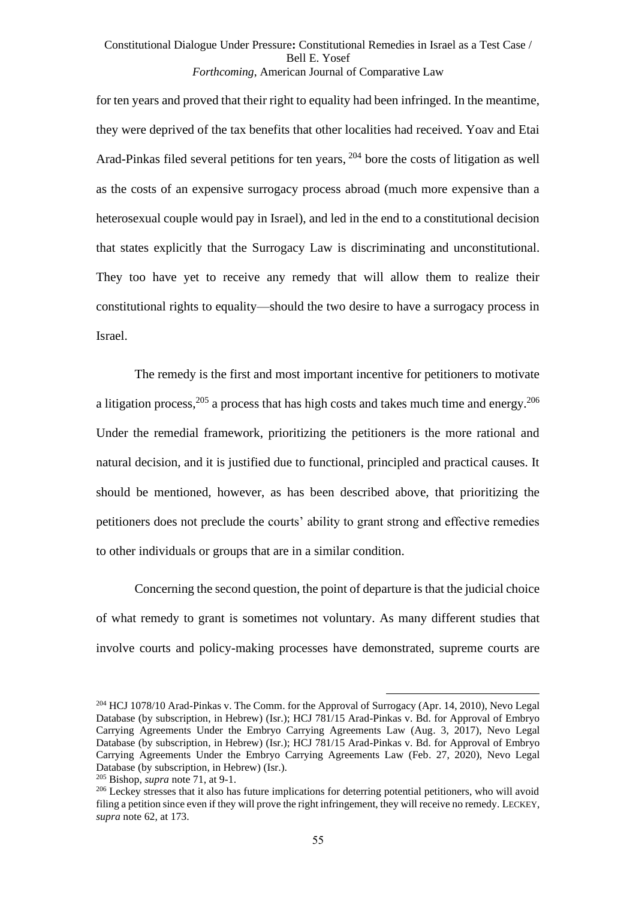for ten years and proved that their right to equality had been infringed. In the meantime, they were deprived of the tax benefits that other localities had received. Yoav and Etai Arad-Pinkas filed several petitions for ten years, <sup>204</sup> bore the costs of litigation as well as the costs of an expensive surrogacy process abroad (much more expensive than a heterosexual couple would pay in Israel), and led in the end to a constitutional decision that states explicitly that the Surrogacy Law is discriminating and unconstitutional. They too have yet to receive any remedy that will allow them to realize their constitutional rights to equality—should the two desire to have a surrogacy process in Israel.

The remedy is the first and most important incentive for petitioners to motivate a litigation process,  $205$  a process that has high costs and takes much time and energy.  $206$ Under the remedial framework, prioritizing the petitioners is the more rational and natural decision, and it is justified due to functional, principled and practical causes. It should be mentioned, however, as has been described above, that prioritizing the petitioners does not preclude the courts' ability to grant strong and effective remedies to other individuals or groups that are in a similar condition.

Concerning the second question, the point of departure is that the judicial choice of what remedy to grant is sometimes not voluntary. As many different studies that involve courts and policy-making processes have demonstrated, supreme courts are

<sup>204</sup> HCJ 1078/10 Arad-Pinkas v. The Comm. for the Approval of Surrogacy (Apr. 14, 2010), Nevo Legal Database (by subscription, in Hebrew) (Isr.); HCJ 781/15 Arad-Pinkas v. Bd. for Approval of Embryo Carrying Agreements Under the Embryo Carrying Agreements Law (Aug. 3, 2017), Nevo Legal Database (by subscription, in Hebrew) (Isr.); HCJ 781/15 Arad-Pinkas v. Bd. for Approval of Embryo Carrying Agreements Under the Embryo Carrying Agreements Law (Feb. 27, 2020), Nevo Legal Database (by subscription, in Hebrew) (Isr.).

<sup>205</sup> Bishop, *supra* not[e 71,](#page-21-2) at 9-1.

<sup>&</sup>lt;sup>206</sup> Leckey stresses that it also has future implications for deterring potential petitioners, who will avoid filing a petition since even if they will prove the right infringement, they will receive no remedy. LECKEY, *supra* note [62,](#page-18-0) at 173.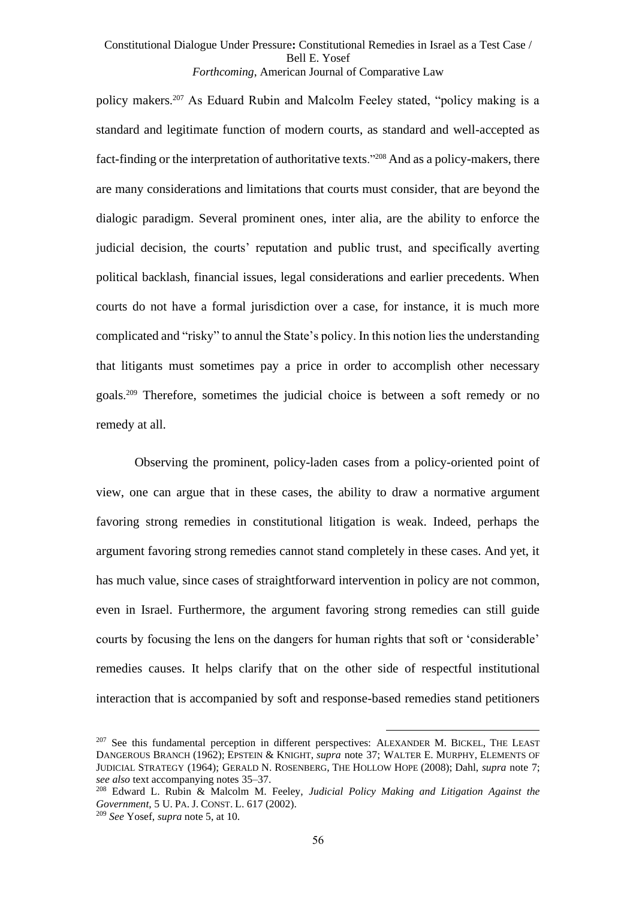policy makers. <sup>207</sup> As Eduard Rubin and Malcolm Feeley stated, "policy making is a standard and legitimate function of modern courts, as standard and well-accepted as fact-finding or the interpretation of authoritative texts."<sup>208</sup> And as a policy-makers, there are many considerations and limitations that courts must consider, that are beyond the dialogic paradigm. Several prominent ones, inter alia, are the ability to enforce the judicial decision, the courts' reputation and public trust, and specifically averting political backlash, financial issues, legal considerations and earlier precedents. When courts do not have a formal jurisdiction over a case, for instance, it is much more complicated and "risky" to annul the State's policy. In this notion lies the understanding that litigants must sometimes pay a price in order to accomplish other necessary goals. <sup>209</sup> Therefore, sometimes the judicial choice is between a soft remedy or no remedy at all.

Observing the prominent, policy-laden cases from a policy-oriented point of view, one can argue that in these cases, the ability to draw a normative argument favoring strong remedies in constitutional litigation is weak. Indeed, perhaps the argument favoring strong remedies cannot stand completely in these cases. And yet, it has much value, since cases of straightforward intervention in policy are not common, even in Israel. Furthermore, the argument favoring strong remedies can still guide courts by focusing the lens on the dangers for human rights that soft or 'considerable' remedies causes. It helps clarify that on the other side of respectful institutional interaction that is accompanied by soft and response-based remedies stand petitioners

<sup>&</sup>lt;sup>207</sup> See this fundamental perception in different perspectives: ALEXANDER M. BICKEL, THE LEAST DANGEROUS BRANCH (1962); EPSTEIN & KNIGHT, *supra* note [37;](#page-12-1) WALTER E. MURPHY, ELEMENTS OF JUDICIAL STRATEGY (1964); GERALD N. ROSENBERG, THE HOLLOW HOPE (2008); Dahl, *supra* note [7;](#page-2-0) *see also* text accompanying notes [35–](#page-12-2)[37.](#page-12-1)

<sup>208</sup> Edward L. Rubin & Malcolm M. Feeley, *Judicial Policy Making and Litigation Against the Government*, 5 U. PA. J. CONST. L. 617 (2002).

<sup>209</sup> *See* Yosef, *supra* not[e 5,](#page-1-0) at 10.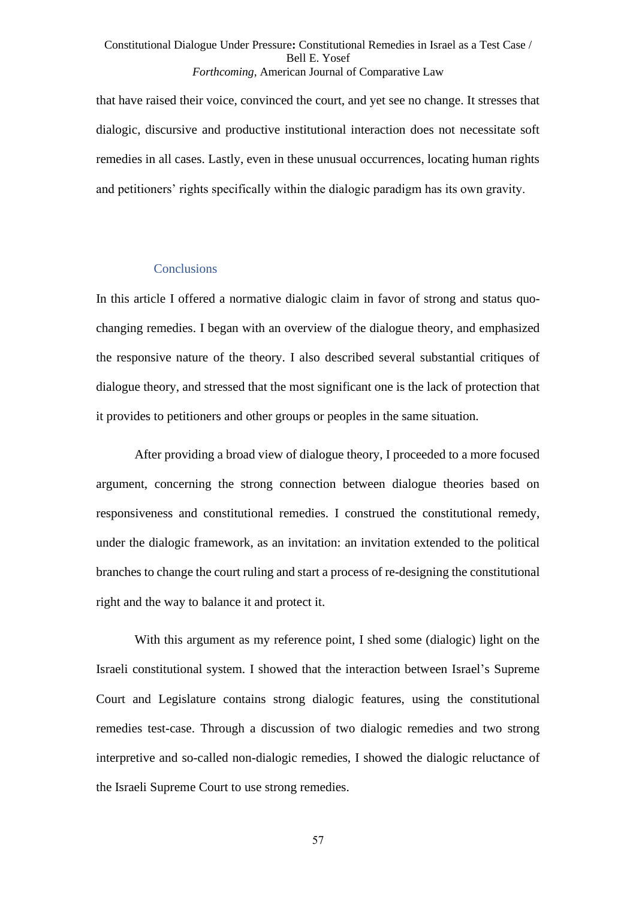that have raised their voice, convinced the court, and yet see no change. It stresses that dialogic, discursive and productive institutional interaction does not necessitate soft remedies in all cases. Lastly, even in these unusual occurrences, locating human rights and petitioners' rights specifically within the dialogic paradigm has its own gravity.

#### **Conclusions**

In this article I offered a normative dialogic claim in favor of strong and status quochanging remedies. I began with an overview of the dialogue theory, and emphasized the responsive nature of the theory. I also described several substantial critiques of dialogue theory, and stressed that the most significant one is the lack of protection that it provides to petitioners and other groups or peoples in the same situation.

After providing a broad view of dialogue theory, I proceeded to a more focused argument, concerning the strong connection between dialogue theories based on responsiveness and constitutional remedies. I construed the constitutional remedy, under the dialogic framework, as an invitation: an invitation extended to the political branches to change the court ruling and start a process of re-designing the constitutional right and the way to balance it and protect it.

With this argument as my reference point, I shed some (dialogic) light on the Israeli constitutional system. I showed that the interaction between Israel's Supreme Court and Legislature contains strong dialogic features, using the constitutional remedies test-case. Through a discussion of two dialogic remedies and two strong interpretive and so-called non-dialogic remedies, I showed the dialogic reluctance of the Israeli Supreme Court to use strong remedies.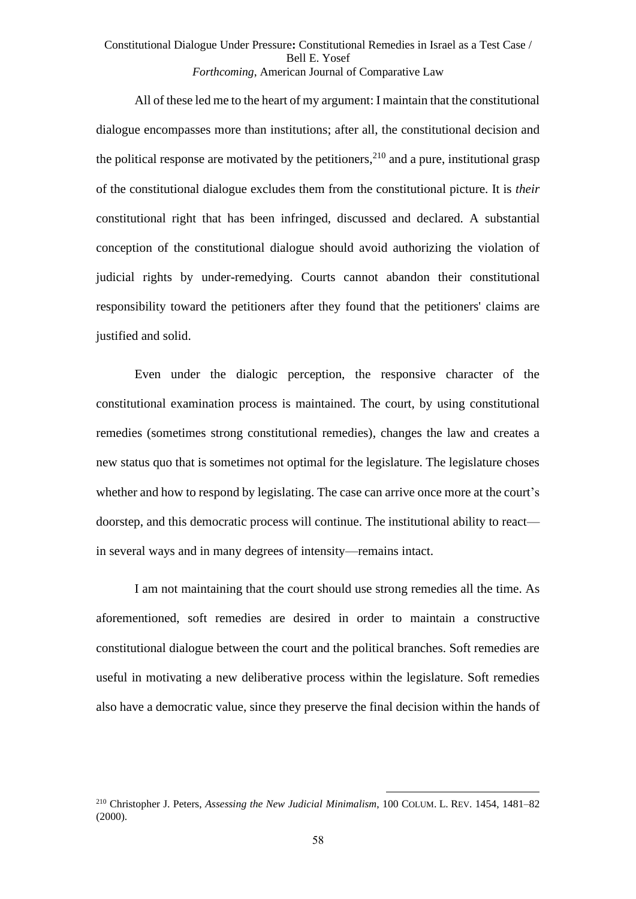All of these led me to the heart of my argument: I maintain that the constitutional dialogue encompasses more than institutions; after all, the constitutional decision and the political response are motivated by the petitioners,  $2^{10}$  and a pure, institutional grasp of the constitutional dialogue excludes them from the constitutional picture. It is *their* constitutional right that has been infringed, discussed and declared. A substantial conception of the constitutional dialogue should avoid authorizing the violation of judicial rights by under-remedying. Courts cannot abandon their constitutional responsibility toward the petitioners after they found that the petitioners' claims are justified and solid.

Even under the dialogic perception, the responsive character of the constitutional examination process is maintained. The court, by using constitutional remedies (sometimes strong constitutional remedies), changes the law and creates a new status quo that is sometimes not optimal for the legislature. The legislature choses whether and how to respond by legislating. The case can arrive once more at the court's doorstep, and this democratic process will continue. The institutional ability to react in several ways and in many degrees of intensity—remains intact.

I am not maintaining that the court should use strong remedies all the time. As aforementioned, soft remedies are desired in order to maintain a constructive constitutional dialogue between the court and the political branches. Soft remedies are useful in motivating a new deliberative process within the legislature. Soft remedies also have a democratic value, since they preserve the final decision within the hands of

<sup>210</sup> Christopher J. Peters, *Assessing the New Judicial Minimalism*, 100 COLUM. L. REV. 1454, 1481–82 (2000).